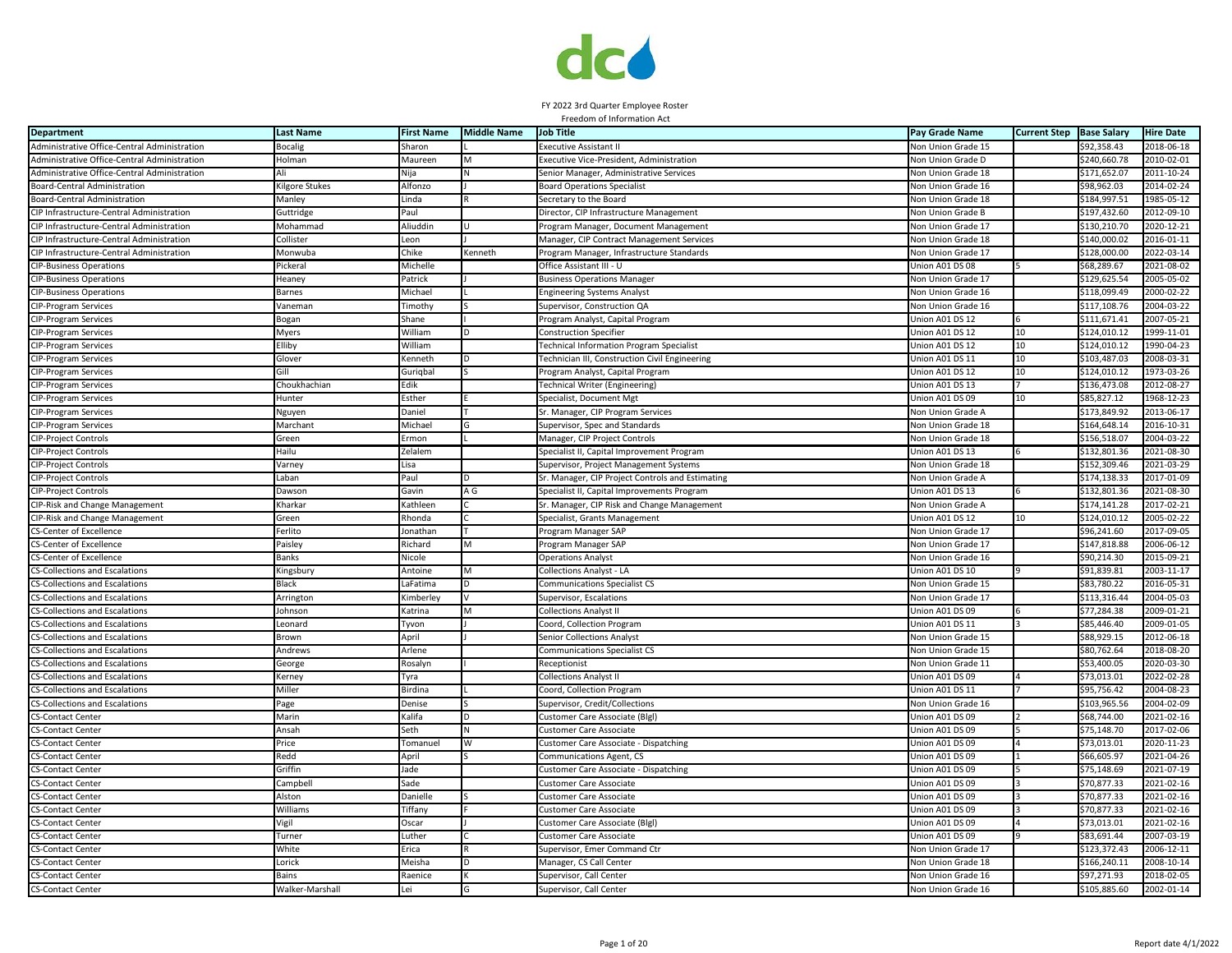

| <b>Department</b>                            | <b>Last Name</b>     | <b>First Name</b> | <b>Middle Name</b> | Job Title                                             | Pay Grade Name            | <b>Current Step</b> | <b>Base Salary</b> | <b>Hire Date</b> |
|----------------------------------------------|----------------------|-------------------|--------------------|-------------------------------------------------------|---------------------------|---------------------|--------------------|------------------|
| Administrative Office-Central Administration | Bocalig              | Sharon            |                    | Executive Assistant II                                | <b>Non Union Grade 15</b> |                     | \$92,358.43        | 2018-06-18       |
| Administrative Office-Central Administration | Holman               | Maureen           |                    | Executive Vice-President, Administration              | <b>Von Union Grade D</b>  |                     | \$240,660.78       | 2010-02-01       |
| Administrative Office-Central Administration |                      | Nija              |                    | Senior Manager, Administrative Services               | Non Union Grade 18        |                     | \$171,652.07       | $2011 - 10 - 24$ |
| Board-Central Administration                 | Gilgore Stukes       | Alfonzo           |                    | <b>Board Operations Specialist</b>                    | Non Union Grade 16        |                     | \$98,962.03        | 2014-02-24       |
| Board-Central Administration                 | Manley               | Linda             |                    | Secretary to the Board                                | <b>Von Union Grade 18</b> |                     | \$184,997.51       | 1985-05-12       |
| CIP Infrastructure-Central Administration    | Guttridge            | Paul              |                    | Director, CIP Infrastructure Management               | Non Union Grade B         |                     | \$197,432.60       | 2012-09-10       |
| CIP Infrastructure-Central Administration    | Mohammad             | Aliuddin          |                    | Program Manager, Document Management                  | <b>Von Union Grade 17</b> |                     | \$130,210.70       | 2020-12-21       |
| CIP Infrastructure-Central Administration    | Collister            | Leon              |                    | Manager, CIP Contract Management Services             | <b>Von Union Grade 18</b> |                     | \$140,000.02       | 2016-01-11       |
| CIP Infrastructure-Central Administration    | Monwuba              | Chike             | Kenneth            | Program Manager, Infrastructure Standards             | Von Union Grade 17        |                     | \$128,000.00       | 2022-03-14       |
| <b>CIP-Business Operations</b>               | <sup>9</sup> ickeral | Michelle          |                    | Office Assistant III - U                              | Jnion A01 DS 08           |                     | \$68,289.67        | $2021 - 08 - 02$ |
| <b>CIP-Business Operations</b>               | Heaney               | Patrick           |                    | <b>Business Operations Manager</b>                    | Non Union Grade 17        |                     | \$129,625.54       | 2005-05-02       |
| <b>CIP-Business Operations</b>               | Barnes               | Michael           |                    | Engineering Systems Analyst                           | Non Union Grade 16        |                     | \$118,099.49       | 2000-02-22       |
| CIP-Program Services                         | Vanemar              | <b>Timothy</b>    |                    | Supervisor, Construction QA                           | Non Union Grade 16        |                     | \$117,108.76       | 2004-03-22       |
| CIP-Program Services                         | 3ogan                | Shane             |                    | Program Analyst, Capital Program                      | Jnion A01 DS 12           |                     | \$111,671.41       | 2007-05-21       |
| CIP-Program Services                         | Myers                | William           | n                  | <b>Construction Specifier</b>                         | Jnion A01 DS 12           | 10                  | \$124,010.12       | 1999-11-01       |
| CIP-Program Services                         | <b>Iliby</b>         | William           |                    | Technical Information Program Specialist              | Jnion A01 DS 12           | 10                  | \$124,010.12       | 1990-04-23       |
| CIP-Program Services                         | Glover               | Kenneth           |                    | <b>Technician III, Construction Civil Engineering</b> | Jnion A01 DS 11           | 10                  | \$103,487.03       | 2008-03-31       |
| CIP-Program Services                         | Gill                 | Gurigbal          |                    | Program Analyst, Capital Program                      | Union A01 DS 12           | 10                  | \$124,010.12       | 1973-03-26       |
| CIP-Program Services                         | Choukhachian         | Edik              |                    | Technical Writer (Engineering)                        | Union A01 DS 13           |                     | \$136,473.08       | 2012-08-27       |
| <b>CIP-Program Services</b>                  | Hunter               | Esther            |                    | Specialist, Document Mgt                              | Union A01 DS 09           | 10                  | \$85,827.12        | 1968-12-23       |
| CIP-Program Services                         | Vguyen               | Daniel            |                    | Sr. Manager, CIP Program Services                     | <b>Non Union Grade A</b>  |                     | \$173,849.92       | 2013-06-17       |
| CIP-Program Services                         | Marchant             | Michael           | G                  | Supervisor, Spec and Standards                        | Non Union Grade 18        |                     | \$164,648.14       | 2016-10-31       |
| CIP-Project Controls                         | Green                | Ermon             |                    | Manager, CIP Project Controls                         | <b>Von Union Grade 18</b> |                     | \$156,518.07       | 2004-03-22       |
| CIP-Project Controls                         | Hailu                | Zelalem           |                    | Specialist II, Capital Improvement Program            | Jnion A01 DS 13           |                     | \$132,801.36       | 2021-08-30       |
| CIP-Project Controls                         | Varney               | Lisa              |                    | Supervisor, Project Management Systems                | Non Union Grade 18        |                     | \$152,309.46       | 2021-03-29       |
| CIP-Project Controls                         | .aban                | Paul              |                    | Sr. Manager, CIP Project Controls and Estimating      | Non Union Grade A         |                     | \$174,138.33       | 2017-01-09       |
| <b>CIP-Project Controls</b>                  | Dawson               | Gavin             | A G                | Specialist II, Capital Improvements Program           | Union A01 DS 13           |                     | \$132,801.36       | 2021-08-30       |
| CIP-Risk and Change Management               | <b>Charkar</b>       | Kathleen          |                    | Sr. Manager, CIP Risk and Change Management           | <b>Non Union Grade A</b>  |                     | \$174,141.28       | 2017-02-21       |
| CIP-Risk and Change Management               | Green                | Rhonda            |                    | Specialist, Grants Management                         | Union A01 DS 12           | 10                  | \$124,010.12       | 2005-02-22       |
| <b>CS-Center of Excellence</b>               | erlito               | Jonathan          |                    | Program Manager SAP                                   | Von Union Grade 17        |                     | \$96,241.60        | 2017-09-05       |
| <b>CS-Center of Excellence</b>               | Paisley              | Richard           | M                  | Program Manager SAP                                   | Non Union Grade 17        |                     | \$147,818.88       | 2006-06-12       |
| <b>CS-Center of Excellence</b>               | 3anks                | Nicole            |                    | Operations Analyst                                    | Non Union Grade 16        |                     | \$90,214.30        | 2015-09-21       |
| <b>CS-Collections and Escalations</b>        | Kingsbury            | Antoine           | M                  | <b>Collections Analyst - LA</b>                       | Union A01 DS 10           |                     | \$91,839.81        | 2003-11-17       |
| <b>CS-Collections and Escalations</b>        | <b>Black</b>         | LaFatima          | D                  | <b>Communications Specialist CS</b>                   | Non Union Grade 15        |                     | \$83,780.22        | 2016-05-31       |
| <b>CS-Collections and Escalations</b>        | Arrington            | <b>imberley</b>   |                    | Supervisor, Escalations                               | Non Union Grade 17        |                     | \$113,316.44       | 2004-05-03       |
| <b>CS-Collections and Escalations</b>        | Johnson              | Katrina           | M                  | <b>Collections Analyst II</b>                         | Union A01 DS 09           |                     | \$77,284.38        | 2009-01-21       |
| <b>CS-Collections and Escalations</b>        | .eonard              | Tyvon             |                    | Coord, Collection Program                             | Jnion A01 DS 11           |                     | \$85,446.40        | 2009-01-05       |
| <b>CS-Collections and Escalations</b>        | 3rown                | April             |                    | Senior Collections Analyst                            | Non Union Grade 15        |                     | \$88,929.15        | 2012-06-18       |
| CS-Collections and Escalations               | Andrews              | Arlene            |                    | Communications Specialist CS                          | <b>Von Union Grade 15</b> |                     | \$80,762.64        | 2018-08-20       |
| <b>CS-Collections and Escalations</b>        | George               | Rosalyn           |                    | Receptionist                                          | Non Union Grade 11        |                     | \$53,400.05        | 2020-03-30       |
| <b>CS-Collections and Escalations</b>        | Kerney               | Tyra              |                    | <b>Collections Analyst II</b>                         | Union A01 DS 09           |                     | \$73,013.01        | 2022-02-28       |
| <b>CS-Collections and Escalations</b>        | Miller               | Birdina           |                    | Coord, Collection Program                             | Union A01 DS 11           |                     | \$95,756.42        | 2004-08-23       |
| <b>CS-Collections and Escalations</b>        | Page                 | Denise            |                    | Supervisor, Credit/Collections                        | Non Union Grade 16        |                     | \$103,965.56       | 2004-02-09       |
| <b>CS-Contact Center</b>                     | Marin                | Kalifa            |                    | Customer Care Associate (Blgl)                        | Jnion A01 DS 09           |                     | \$68,744.00        | 2021-02-16       |
| <b>CS-Contact Center</b>                     | Ansah                | Seth              |                    | Customer Care Associate                               | Jnion A01 DS 09           |                     | \$75,148.70        | 2017-02-06       |
| CS-Contact Center                            | Price                | Tomanuel          |                    | Customer Care Associate - Dispatching                 | Jnion A01 DS 09           |                     | \$73,013.01        | 2020-11-23       |
| <b>CS-Contact Center</b>                     | Redd                 | April             |                    | Communications Agent, CS                              | Jnion A01 DS 09           |                     | \$66,605.97        | $2021 - 04 - 26$ |
| <b>CS-Contact Center</b>                     | Griffin              | Jade              |                    | Customer Care Associate - Dispatching                 | Union A01 DS 09           |                     | \$75,148.69        | 2021-07-19       |
| <b>CS-Contact Center</b>                     | Campbel              | Sade              |                    | <b>Customer Care Associate</b>                        | Union A01 DS 09           |                     | \$70,877.33        | 2021-02-16       |
| <b>CS-Contact Center</b>                     | Alston               | Danielle          |                    | Customer Care Associate                               | Union A01 DS 09           |                     | \$70,877.33        | 2021-02-16       |
| <b>CS-Contact Center</b>                     | Williams             | Tiffany           |                    | Customer Care Associate                               | Jnion A01 DS 09           |                     | \$70,877.33        | 2021-02-16       |
| <b>CS-Contact Center</b>                     | /igil                | Oscar             |                    | Customer Care Associate (Blgl)                        | Jnion A01 DS 09           |                     | \$73,013.01        | 2021-02-16       |
| <b>CS-Contact Center</b>                     | Turnei               | Luther            |                    | <b>Customer Care Associate</b>                        | Jnion A01 DS 09           |                     | \$83,691.44        | 2007-03-19       |
| <b>CS-Contact Center</b>                     | White                | Erica             |                    | Supervisor, Emer Command Ctr                          | <b>Non Union Grade 17</b> |                     | \$123,372.43       | 2006-12-11       |
| <b>CS-Contact Center</b>                     | .orick               | Meisha            | D                  | Manager, CS Call Center                               | Non Union Grade 18        |                     | \$166,240.11       | 2008-10-14       |
| <b>CS-Contact Center</b>                     | Bains                | Raenice           |                    | Supervisor, Call Center                               | Non Union Grade 16        |                     | \$97,271.93        | 2018-02-05       |
| <b>CS-Contact Center</b>                     | Walker-Marshall      | Lei               | G                  | Supervisor, Call Center                               | Non Union Grade 16        |                     | \$105,885.60       | 2002-01-14       |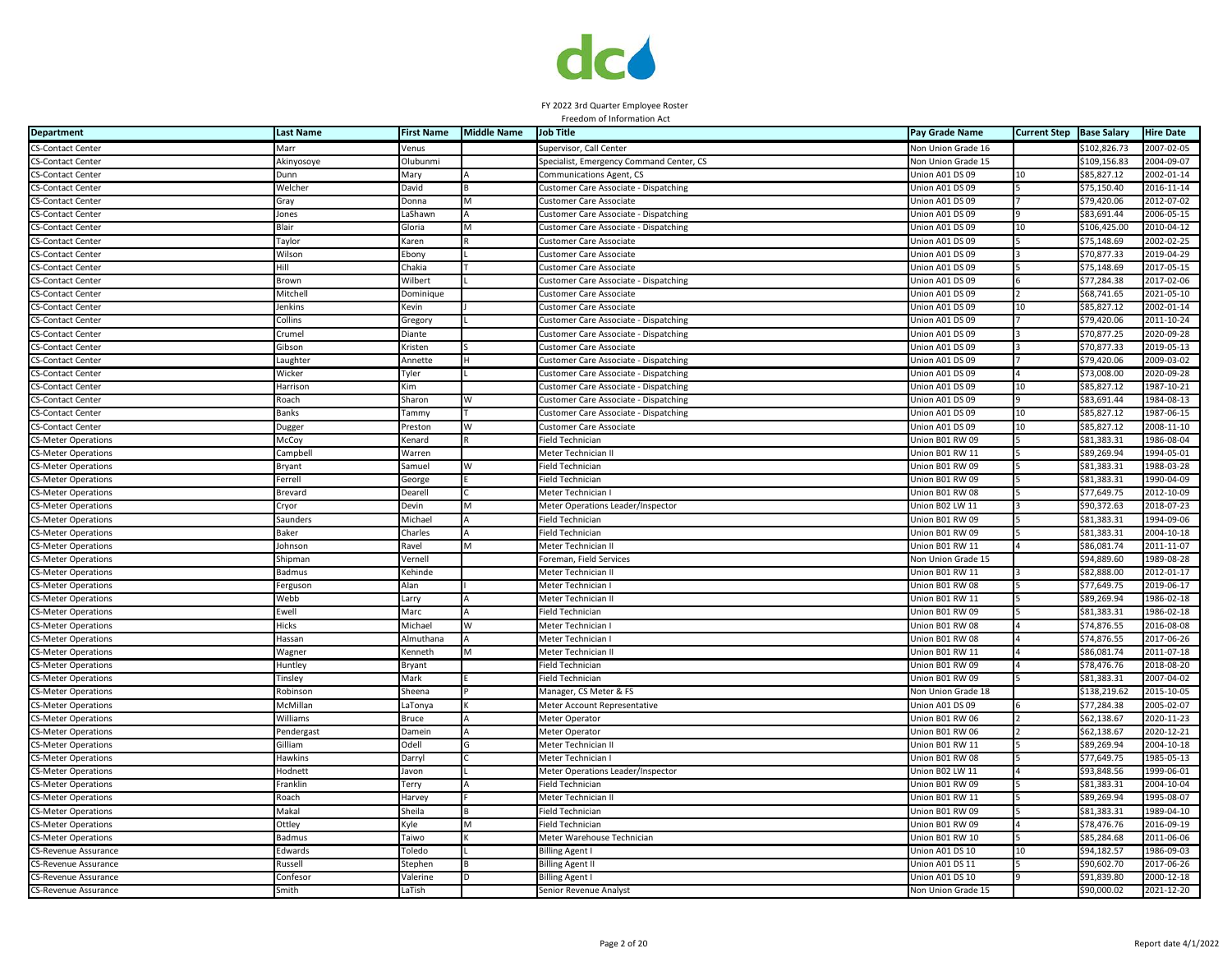

| <b>Department</b>           | <b>Last Name</b> | <b>First Name</b> | <b>Middle Name</b> | <b>Job Title</b>                         | Pay Grade Name            | <b>Current Step</b> | <b>Base Salary</b> | <b>Hire Date</b> |
|-----------------------------|------------------|-------------------|--------------------|------------------------------------------|---------------------------|---------------------|--------------------|------------------|
| <b>CS-Contact Center</b>    | Marr             | Venus             |                    | Supervisor, Call Center                  | Non Union Grade 16        |                     | \$102,826.73       | 2007-02-05       |
| <b>CS-Contact Center</b>    | Akinyosoye       | Olubunmi          |                    | Specialist, Emergency Command Center, CS | <b>Von Union Grade 15</b> |                     | \$109,156.83       | 2004-09-07       |
| <b>CS-Contact Center</b>    | Dunn             | Mary              |                    | Communications Agent, CS                 | Jnion A01 DS 09           | 10                  | \$85,827.12        | 2002-01-14       |
| <b>CS-Contact Center</b>    | Welcher          | David             |                    | Customer Care Associate - Dispatching    | Jnion A01 DS 09           |                     | \$75,150.40        | 2016-11-14       |
| <b>CS-Contact Center</b>    | Gray             | Donna             | M                  | <b>Customer Care Associate</b>           | Union A01 DS 09           |                     | \$79,420.06        | 2012-07-02       |
| <b>CS-Contact Center</b>    | Jones            | LaShawn           |                    | Customer Care Associate - Dispatching    | Union A01 DS 09           |                     | \$83,691.44        | 2006-05-15       |
| <b>CS-Contact Center</b>    | Blair            | Gloria            | м                  | Customer Care Associate - Dispatching    | Union A01 DS 09           | 10                  | \$106,425.00       | 2010-04-12       |
| <b>CS-Contact Center</b>    | Taylor           | Karen             |                    | <b>Customer Care Associate</b>           | Union A01 DS 09           |                     | \$75,148.69        | 2002-02-25       |
| <b>CS-Contact Center</b>    | Wilson           | Ebony             |                    | <b>Customer Care Associate</b>           | Union A01 DS 09           |                     | \$70,877.33        | 2019-04-29       |
| <b>CS-Contact Center</b>    | Hill             | Chakia            |                    | Customer Care Associate                  | Jnion A01 DS 09           |                     | \$75,148.69        | 2017-05-15       |
| <b>CS-Contact Center</b>    | Brown            | Wilbert           |                    | Customer Care Associate - Dispatching    | Jnion A01 DS 09           |                     | \$77,284.38        | 2017-02-06       |
| <b>CS-Contact Center</b>    | Mitchell         | Dominique         |                    | Customer Care Associate                  | Jnion A01 DS 09           |                     | \$68,741.65        | 2021-05-10       |
| <b>CS-Contact Center</b>    | Jenkins          | Kevin             |                    | <b>Customer Care Associate</b>           | Jnion A01 DS 09           | 10                  | \$85,827.12        | 2002-01-14       |
| <b>CS-Contact Center</b>    | Collins          | Gregory           |                    | Customer Care Associate - Dispatching    | Union A01 DS 09           |                     | \$79,420.06        | 2011-10-24       |
| <b>CS-Contact Center</b>    | Crumel           | Diante            |                    | Customer Care Associate - Dispatching    | Union A01 DS 09           |                     | \$70,877.25        | 2020-09-28       |
| <b>CS-Contact Center</b>    | Gibson           | Kristen           |                    | <b>Customer Care Associate</b>           | Union A01 DS 09           |                     | \$70,877.33        | 2019-05-13       |
| <b>CS-Contact Center</b>    | Laughter         | Annette           |                    | Customer Care Associate - Dispatching    | Union A01 DS 09           |                     | \$79,420.06        | 2009-03-02       |
| <b>CS-Contact Center</b>    | Wicker           | Tyler             |                    | Customer Care Associate - Dispatching    | Jnion A01 DS 09           |                     | \$73,008.00        | 2020-09-28       |
| <b>CS-Contact Center</b>    | Harrison         | Kim               |                    | Customer Care Associate - Dispatching    | Jnion A01 DS 09           | 10                  | \$85,827.12        | 1987-10-21       |
| <b>CS-Contact Center</b>    | Roach            | Sharon            |                    | Customer Care Associate - Dispatching    | Jnion A01 DS 09           |                     | \$83,691.44        | 1984-08-13       |
| <b>CS-Contact Center</b>    | Banks            | Tammy             |                    | Customer Care Associate - Dispatching    | Union A01 DS 09           | 10                  | \$85,827.12        | 1987-06-15       |
| <b>CS-Contact Center</b>    | Dugger           | Preston           | W                  | <b>Customer Care Associate</b>           | Union A01 DS 09           | 10                  | \$85,827.12        | 2008-11-10       |
| <b>CS-Meter Operations</b>  | McCoy            | Kenard            |                    | Field Technician                         | Union B01 RW 09           |                     | \$81,383.31        | 1986-08-04       |
| <b>CS-Meter Operations</b>  | Campbel          | Warren            |                    | Meter Technician II                      | Jnion B01 RW 11           |                     | \$89,269.94        | 1994-05-01       |
| <b>CS-Meter Operations</b>  | Bryant           | Samuel            | W                  | <b>Field Technician</b>                  | Union B01 RW 09           |                     | \$81,383.33        | 1988-03-28       |
| <b>CS-Meter Operations</b>  | Ferrell          | George            |                    | <b>Field Technician</b>                  | Jnion B01 RW 09           |                     | \$81,383.31        | 1990-04-09       |
| <b>CS-Meter Operations</b>  | Brevard          | Dearell           |                    | Meter Technician I                       | Jnion B01 RW 08           |                     | \$77,649.75        | 2012-10-09       |
| <b>CS-Meter Operations</b>  | Cryor            | Devin             |                    | Meter Operations Leader/Inspector        | Jnion B02 LW 11           |                     | \$90,372.63        | 2018-07-23       |
| <b>CS-Meter Operations</b>  | Saunders         | Michael           |                    | Field Techniciar                         | Jnion B01 RW 09           |                     | \$81,383.31        | 1994-09-06       |
| <b>CS-Meter Operations</b>  | Baker            | Charles           |                    | Field Technician                         | Jnion B01 RW 09           |                     | \$81,383.31        | 2004-10-18       |
| <b>CS-Meter Operations</b>  | Johnson          | Ravel             |                    | Meter Technician II                      | Union B01 RW 11           |                     | \$86,081.74        | 2011-11-07       |
| <b>CS-Meter Operations</b>  | Shipman          | Vernell           |                    | Foreman, Field Services                  | Non Union Grade 15        |                     | \$94,889.60        | 1989-08-28       |
| <b>CS-Meter Operations</b>  | Badmus           | Kehinde           |                    | Meter Technician II                      | Union B01 RW 11           |                     | \$82,888.00        | 2012-01-17       |
| <b>CS-Meter Operations</b>  | Fergusor         | Alan              |                    | Meter Technician I                       | Union B01 RW 08           |                     | \$77,649.75        | 2019-06-17       |
| <b>CS-Meter Operations</b>  | Webb             | Larry             |                    | Meter Technician II                      | Jnion B01 RW 11           |                     | \$89,269.94        | 1986-02-18       |
| CS-Meter Operations         | Ewell            | Marc              |                    | Field Technician                         | Jnion B01 RW 09           |                     | \$81,383.31        | 1986-02-18       |
| <b>CS-Meter Operations</b>  | Hicks            | Michael           |                    | Meter Technician I                       | Jnion B01 RW 08           |                     | \$74,876.55        | 2016-08-08       |
| <b>CS-Meter Operations</b>  | Hassan           | Almuthana         |                    | Meter Technician I                       | Jnion B01 RW 08           |                     | \$74,876.55        | 2017-06-26       |
| <b>CS-Meter Operations</b>  | Wagner           | Kenneth           |                    | Meter Technician I                       | Union B01 RW 11           |                     | \$86,081.74        | 2011-07-18       |
| <b>CS-Meter Operations</b>  | Huntley          | Bryant            |                    | <b>Field Technician</b>                  | Union B01 RW 09           |                     | \$78,476.76        | 2018-08-20       |
| <b>CS-Meter Operations</b>  | Tinsley          | Mark              |                    | Field Technician                         | Union B01 RW 09           |                     | \$81,383.31        | 2007-04-02       |
| <b>CS-Meter Operations</b>  | Robinson         | Sheena            |                    | Manager, CS Meter & FS                   | <b>Von Union Grade 18</b> |                     | \$138,219.62       | 2015-10-05       |
| <b>CS-Meter Operations</b>  | McMillan         | LaTonya           |                    | Meter Account Representative             | Jnion A01 DS 09           |                     | \$77,284.38        | 2005-02-07       |
| <b>CS-Meter Operations</b>  | Williams         | Bruce             |                    | Meter Operator                           | Jnion B01 RW 06           |                     | \$62,138.67        | 2020-11-23       |
| <b>CS-Meter Operations</b>  | Pendergast       | Damein            |                    | Meter Operator                           | Jnion B01 RW 06           |                     | \$62,138.67        | 2020-12-21       |
| <b>CS-Meter Operations</b>  | Gilliam          | Odell             |                    | Meter Technician II                      | Jnion B01 RW 11           |                     | \$89,269.94        | 2004-10-18       |
| <b>CS-Meter Operations</b>  | Hawkins          | Darryl            |                    | Meter Technician I                       | Union B01 RW 08           |                     | \$77,649.75        | 1985-05-13       |
| <b>CS-Meter Operations</b>  | Hodnett          | Javon             |                    | Meter Operations Leader/Inspector        | Union B02 LW 11           |                     | \$93,848.56        | 1999-06-01       |
| <b>CS-Meter Operations</b>  | Franklin         | Terry             |                    | Field Technician                         | Jnion B01 RW 09           |                     | \$81,383.31        | 2004-10-04       |
| <b>CS-Meter Operations</b>  | Roach            | Harvey            |                    | Meter Technician I                       | Union B01 RW 11           |                     | \$89,269.94        | 1995-08-07       |
| <b>CS-Meter Operations</b>  | Makal            | Sheila            |                    | <b>Field Technician</b>                  | Union B01 RW 09           |                     | \$81,383.31        | 1989-04-10       |
| <b>CS-Meter Operations</b>  | Ottley           | Kyle              | M                  | Field Technician                         | Jnion B01 RW 09           |                     | \$78,476.76        | 2016-09-19       |
| <b>CS-Meter Operations</b>  | Badmus           | Taiwo             |                    | Meter Warehouse Technician               | Jnion B01 RW 10           |                     | \$85,284.68        | 2011-06-06       |
| CS-Revenue Assurance        | Edwards          | Toledo            |                    | Billing Agent                            | Jnion A01 DS 10           | 10                  | \$94,182.57        | $-986 - 09 - 03$ |
| CS-Revenue Assurance        | Russell          | Stephen           |                    | Billing Agent                            | Jnion A01 DS 11           |                     | \$90,602.70        | 2017-06-26       |
| CS-Revenue Assurance        | Confesor         | Valerine          |                    | <b>Billing Agent I</b>                   | Union A01 DS 10           |                     | \$91,839.80        | 2000-12-18       |
| <b>CS-Revenue Assurance</b> | Smith            | LaTish            |                    | Senior Revenue Analyst                   | Non Union Grade 15        |                     | \$90,000.02        | 2021-12-20       |
|                             |                  |                   |                    |                                          |                           |                     |                    |                  |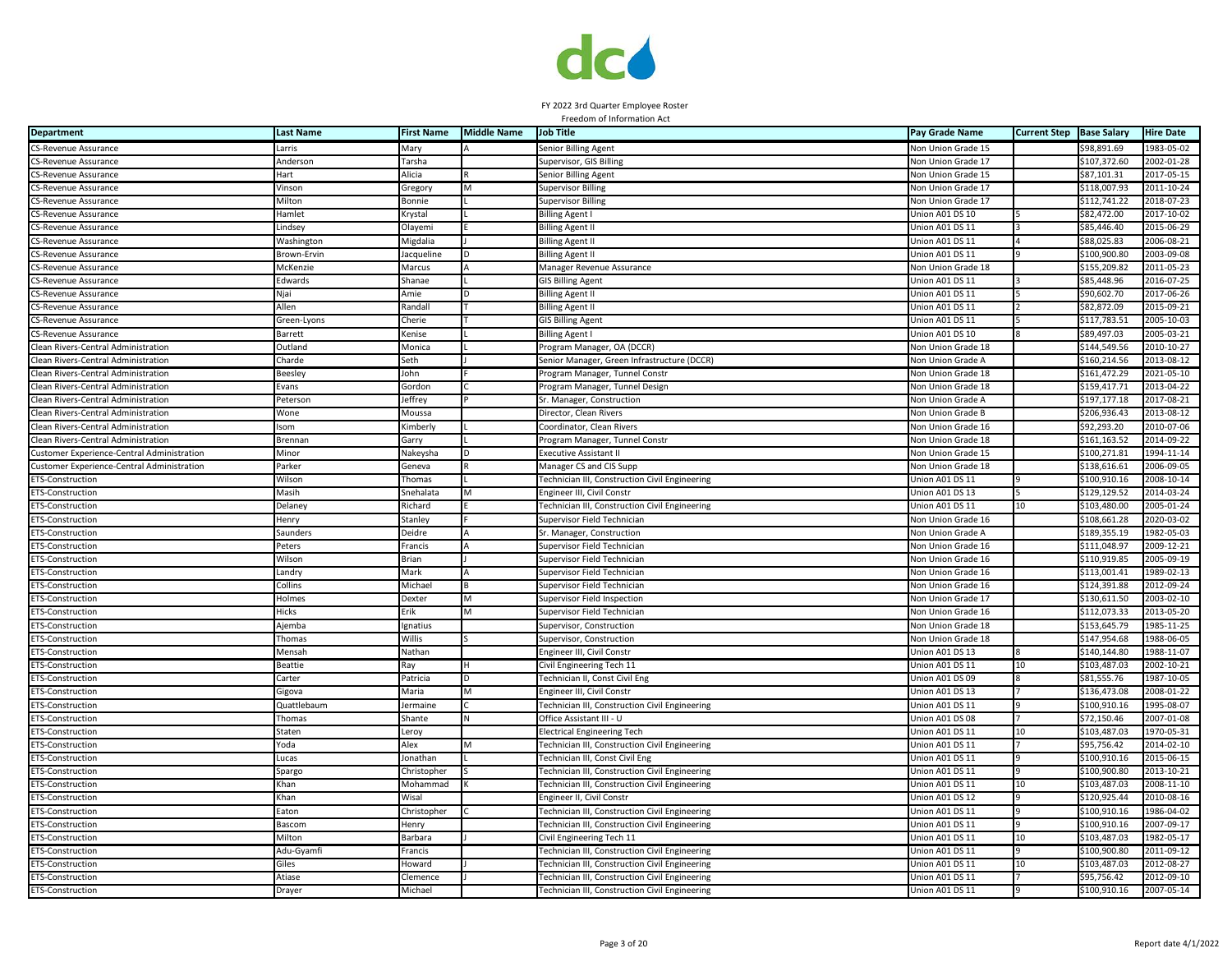

| <b>Department</b>                          | <b>Last Name</b> | <b>First Name</b> | <b>Middle Name</b> | <b>Job Title</b>                               | Pay Grade Name            | <b>Current Step</b> | <b>Base Salary</b> | <b>Hire Date</b> |
|--------------------------------------------|------------------|-------------------|--------------------|------------------------------------------------|---------------------------|---------------------|--------------------|------------------|
| CS-Revenue Assurance                       | Larris           | Mary              |                    | Senior Billing Agent                           | Non Union Grade 15        |                     | \$98,891.69        | 1983-05-02       |
| CS-Revenue Assurance                       | Anderson         | Tarsha            |                    | Supervisor, GIS Billing                        | Non Union Grade 17        |                     | \$107,372.60       | 2002-01-28       |
| <b>CS-Revenue Assurance</b>                | Hart             | Alicia            |                    | <b>Senior Billing Agent</b>                    | Non Union Grade 15        |                     | \$87,101.31        | 2017-05-15       |
| CS-Revenue Assurance                       | Vinson           | Gregory           |                    | <b>Supervisor Billing</b>                      | Non Union Grade 17        |                     | \$118,007.93       | 2011-10-24       |
| <b>CS-Revenue Assurance</b>                | Milton           | Bonnie            |                    | <b>Supervisor Billing</b>                      | Non Union Grade 17        |                     | \$112,741.22       | 2018-07-23       |
| <b>CS-Revenue Assurance</b>                | <b>Hamlet</b>    | Krystal           |                    | <b>Billing Agent I</b>                         | Union A01 DS 10           |                     | \$82,472.00        | 2017-10-02       |
| <b>CS-Revenue Assurance</b>                | Lindsey          | Olayemi           |                    | <b>Billing Agent II</b>                        | Jnion A01 DS 11           |                     | \$85,446.40        | 2015-06-29       |
| CS-Revenue Assurance                       | Washington       | Migdalia          |                    | <b>Billing Agent II</b>                        | Jnion A01 DS 11           |                     | \$88,025.83        | 2006-08-21       |
| CS-Revenue Assurance                       | Brown-Ervir      | Jacqueline        |                    | Billing Agent II                               | Inion A01 DS 11           |                     | \$100,900.80       | 2003-09-08       |
| CS-Revenue Assurance                       | McKenzie         | Marcus            |                    | Manager Revenue Assurance                      | <b>Von Union Grade 18</b> |                     | \$155,209.82       | 2011-05-23       |
| CS-Revenue Assurance                       | Edwards          | Shanae            |                    | <b>GIS Billing Agent</b>                       | Jnion A01 DS 11           |                     | \$85,448.96        | $2016 - 07 - 25$ |
| CS-Revenue Assurance                       | Njai             | Amie              |                    | <b>Billing Agent II</b>                        | Union A01 DS 11           |                     | \$90,602.70        | 2017-06-26       |
| CS-Revenue Assurance                       | Allen            | Randall           |                    | <b>Billing Agent II</b>                        | Jnion A01 DS 11           |                     | \$82,872.09        | 2015-09-21       |
| <b>CS-Revenue Assurance</b>                | Green-Lyons      | Cherie            |                    | <b>GIS Billing Agent</b>                       | Union A01 DS 11           |                     | \$117,783.51       | 2005-10-03       |
| <b>CS-Revenue Assurance</b>                | Barrett          | Kenise            |                    | <b>Billing Agent I</b>                         | Jnion A01 DS 10           |                     | \$89,497.03        | 2005-03-21       |
| Clean Rivers-Central Administration        | Outland          | Monica            |                    | Program Manager, OA (DCCR)                     | Non Union Grade 18        |                     | \$144.549.56       | 2010-10-27       |
| Clean Rivers-Central Administration        | Charde           | Seth              |                    | Senior Manager, Green Infrastructure (DCCR)    | <b>Non Union Grade A</b>  |                     | \$160,214.56       | 2013-08-12       |
| Clean Rivers-Central Administration        | <b>Beesley</b>   | John              |                    | Program Manager, Tunnel Consti                 | <b>Von Union Grade 18</b> |                     | \$161,472.29       | $2021 - 05 - 10$ |
| Clean Rivers-Central Administration        | Evans            | Gordon            |                    | Program Manager, Tunnel Design                 | Non Union Grade 18        |                     | \$159,417.71       | 2013-04-22       |
| Clean Rivers-Central Administration        | Peterson         | Jeffrey           |                    | Sr. Manager, Construction                      | Non Union Grade A         |                     | \$197,177.18       | 2017-08-21       |
| Clean Rivers-Central Administration        | Wone             | Moussa            |                    | Director, Clean Rivers                         | Non Union Grade B         |                     | \$206,936.43       | 2013-08-12       |
| Clean Rivers-Central Administration        | som              | Kimberly          |                    | Coordinator, Clean Rivers                      | Non Union Grade 16        |                     | \$92,293.20        | 2010-07-06       |
| Clean Rivers-Central Administration        | Brennan          | Garry             |                    | Program Manager, Tunnel Constr                 | <b>Non Union Grade 18</b> |                     | \$161,163.52       | 2014-09-22       |
| Customer Experience-Central Administration | Minor            | Nakeysha          |                    | <b>Executive Assistant II</b>                  | <b>Non Union Grade 15</b> |                     | \$100.271.81       | 1994-11-14       |
| Customer Experience-Central Administration | Parker           | Geneva            |                    | Manager CS and CIS Supp                        | Von Union Grade 18        |                     | \$138,616.61       | 2006-09-05       |
| ETS-Construction                           | Wilson           | Thomas            |                    | Technician III, Construction Civil Engineering | Jnion A01 DS 11           |                     | \$100,910.16       | 2008-10-14       |
| ETS-Construction                           | Masih            | Snehalata         |                    | Engineer III, Civil Constr                     | Jnion A01 DS 13           |                     | \$129,129.52       | 2014-03-24       |
| ETS-Construction                           | Delaney          | Richard           |                    | Technician III, Construction Civil Engineering | Union A01 DS 11           | 10                  | \$103,480.00       | 2005-01-24       |
| <b>ETS-Construction</b>                    | Henry            | Stanley           |                    | Supervisor Field Technician                    | Non Union Grade 16        |                     | \$108,661.28       | 2020-03-02       |
| <b>ETS-Construction</b>                    | Saunders         | Deidre            |                    | Sr. Manager, Construction                      | Non Union Grade A         |                     | \$189,355.19       | 1982-05-03       |
| <b>ETS-Construction</b>                    | Peters           | Francis           |                    | Supervisor Field Technician                    | <b>Von Union Grade 16</b> |                     | \$111,048.97       | 2009-12-21       |
| <b>ETS-Construction</b>                    | Wilson           | Brian             |                    | Supervisor Field Technician                    | Von Union Grade 16        |                     | \$110,919.85       | 2005-09-19       |
| <b>ETS-Construction</b>                    | Landry           | Mark              |                    | Supervisor Field Technician                    | Non Union Grade 16        |                     | \$113,001.41       | 1989-02-13       |
| <b>ETS-Construction</b>                    | Collins          | Michael           |                    | Supervisor Field Technician                    | Non Union Grade 16        |                     | \$124,391.88       | 2012-09-24       |
|                                            | Holmes           |                   |                    |                                                |                           |                     | \$130,611.50       | 2003-02-10       |
| ETS-Construction                           |                  | Dexter            |                    | Supervisor Field Inspection                    | <b>Von Union Grade 17</b> |                     |                    |                  |
| ETS-Construction                           | Hicks            | Erik              |                    | Supervisor Field Technician                    | Non Union Grade 16        |                     | \$112,073.33       | 2013-05-20       |
| <b>ETS-Construction</b>                    | Ajemba           | Ignatius          |                    | Supervisor, Construction                       | Non Union Grade 18        |                     | \$153,645.79       | 1985-11-25       |
| ETS-Construction                           | Thomas           | Willis            |                    | Supervisor, Construction                       | Non Union Grade 18        |                     | \$147,954.68       | 1988-06-05       |
| <b>ETS-Construction</b>                    | Mensah           | Nathan            |                    | Engineer III, Civil Constr                     | Union A01 DS 13           |                     | \$140,144.80       | 1988-11-07       |
| ETS-Construction                           | <b>Beattie</b>   | Ray               |                    | Civil Engineering Tech 11                      | Jnion A01 DS 11           |                     | \$103,487.03       | 2002-10-21       |
| <b>ETS-Construction</b>                    | Carter           | Patricia          |                    | Technician II, Const Civil Eng                 | Union A01 DS 09           |                     | \$81,555.76        | 1987-10-05       |
| <b>ETS-Construction</b>                    | Gigova           | Maria             |                    | Engineer III, Civil Constr                     | Jnion A01 DS 13           |                     | \$136,473.08       | 2008-01-22       |
| <b>ETS-Construction</b>                    | Quattlebaum      | Jermaine          |                    | Technician III, Construction Civil Engineering | Jnion A01 DS 11           |                     | \$100,910.16       | 1995-08-07       |
| ETS-Construction                           | Thomas           | Shante            |                    | Office Assistant III - U                       | Jnion A01 DS 08           |                     | \$72,150.46        | 2007-01-08       |
| <b>ETS-Construction</b>                    | Staten           | Leroy             |                    | <b>Electrical Engineering Tech</b>             | Jnion A01 DS 11           |                     | \$103,487.03       | $1970 - 05 - 31$ |
| <b>ETS-Construction</b>                    | Yoda             | Alex              | м                  | Technician III, Construction Civil Engineering | Union A01 DS 11           |                     | \$95,756.42        | 2014-02-10       |
| <b>ETS-Construction</b>                    | Lucas            | Jonathan          |                    | Technician III, Const Civil Eng                | Jnion A01 DS 11           |                     | \$100,910.16       | 2015-06-15       |
| <b>ETS-Construction</b>                    | Spargo           | Christopher       |                    | Technician III, Construction Civil Engineering | Union A01 DS 11           |                     | \$100,900.80       | 2013-10-21       |
| <b>ETS-Construction</b>                    | Khan             | Mohammad          |                    | Technician III, Construction Civil Engineering | Jnion A01 DS 11           | 10                  | \$103,487.03       | 2008-11-10       |
| ETS-Construction                           | Khan             | Wisal             |                    | Engineer II, Civil Constr                      | Jnion A01 DS 12           |                     | \$120,925.44       | 2010-08-16       |
| ETS-Construction                           | Eaton            | Christopher       |                    | Technician III, Construction Civil Engineering | Jnion A01 DS 11           |                     | \$100,910.16       | 1986-04-02       |
| ETS-Construction                           | Bascom           | Henry             |                    | Technician III, Construction Civil Engineering | Jnion A01 DS 11           |                     | \$100,910.16       | 2007-09-17       |
| <b>ETS-Construction</b>                    | Milton           | Barbara           |                    | Civil Engineering Tech 11                      | Union A01 DS 11           | 10                  | \$103,487.03       | 1982-05-17       |
| ETS-Construction                           | Adu-Gyamfi       | Francis           |                    | Technician III, Construction Civil Engineering | Jnion A01 DS 11           |                     | \$100,900.80       | 2011-09-12       |
| <b>ETS-Construction</b>                    | Giles            | Howard            |                    | Technician III, Construction Civil Engineering | Jnion A01 DS 11           | 10                  | \$103,487.03       | 2012-08-27       |
| <b>ETS-Construction</b>                    | Atiase           | lemence           |                    | Fechnician III, Construction Civil Engineering | Jnion A01 DS 11           |                     | \$95,756.42        | 2012-09-10       |
| <b>ETS-Construction</b>                    | Drayer           | Michael           |                    | Technician III, Construction Civil Engineering | Union A01 DS 11           |                     | \$100,910.16       | 2007-05-14       |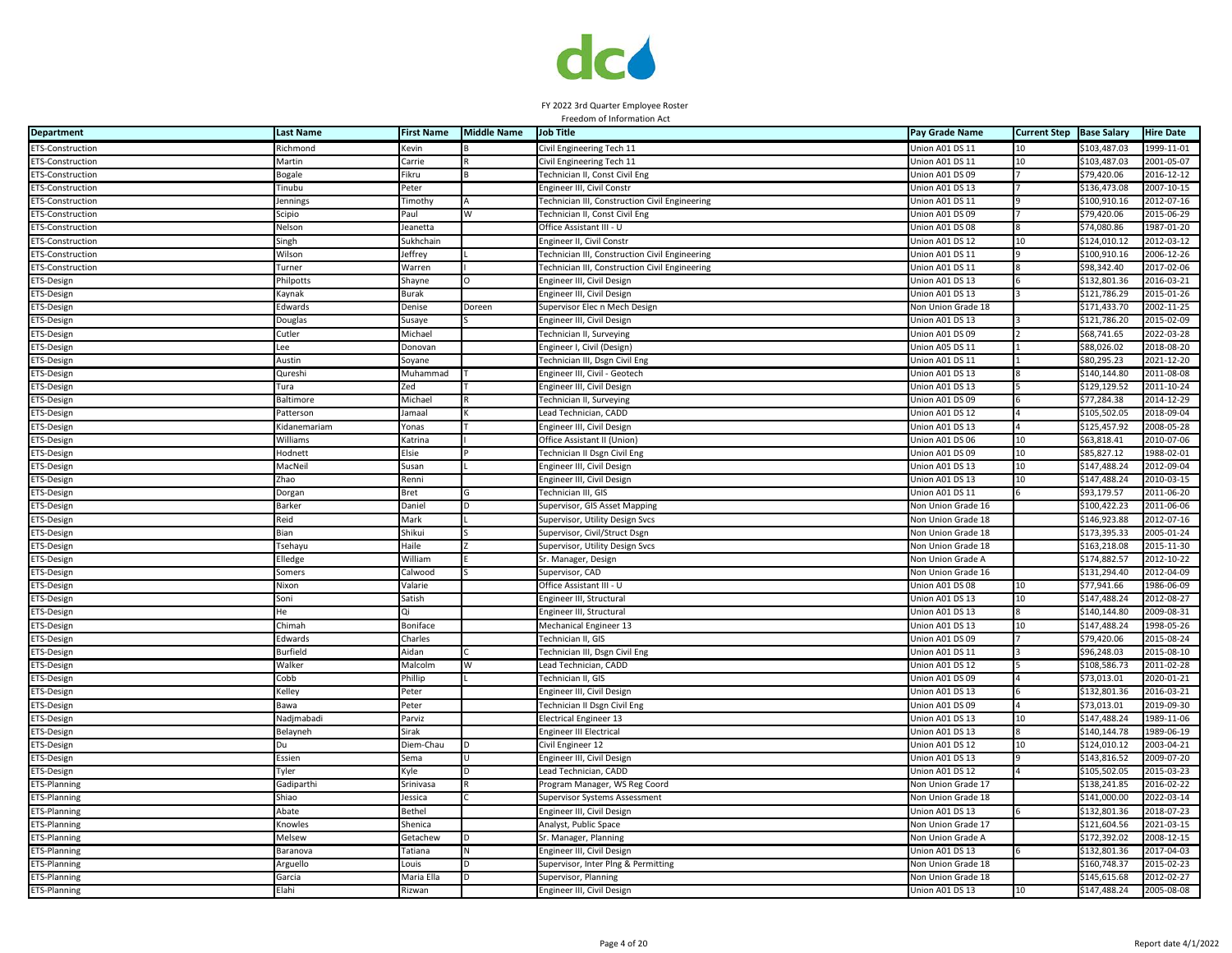

| <b>Department</b>       | <b>Last Name</b> | <b>First Name</b> | <b>Middle Name</b> | <b>Job Title</b>                               | Pay Grade Name            | <b>Current Step</b> | <b>Base Salary</b> | <b>Hire Date</b> |
|-------------------------|------------------|-------------------|--------------------|------------------------------------------------|---------------------------|---------------------|--------------------|------------------|
| <b>ETS-Construction</b> | Richmond         | Kevin             |                    | Civil Engineering Tech 11                      | Union A01 DS 11           |                     | \$103,487.03       | 1999-11-01       |
| ETS-Construction        | Martin           | Carrie            |                    | Civil Engineering Tech 11                      | Union A01 DS 11           | 10                  | \$103,487.03       | 2001-05-07       |
| <b>ETS-Construction</b> | Bogale           | Fikru             |                    | Technician II, Const Civil Eng                 | Jnion A01 DS 09           |                     | \$79,420.06        | 2016-12-12       |
| <b>ETS-Construction</b> | Tinubu           | Peter             |                    | Engineer III, Civil Constr                     | Jnion A01 DS 13           |                     | \$136,473.08       | 2007-10-15       |
| ETS-Construction        | Jennings         | Timothy           |                    | Fechnician III, Construction Civil Engineering | Jnion A01 DS 11           |                     | \$100,910.16       | 2012-07-16       |
| ETS-Construction        | Scipio           | Paul              |                    | Technician II, Const Civil Eng                 | Jnion A01 DS 09           |                     | \$79,420.06        | 2015-06-29       |
| <b>ETS-Construction</b> | Nelson           | Jeanetta          |                    | Office Assistant III - U                       | Union A01 DS 08           |                     | \$74,080.86        | 1987-01-20       |
| <b>ETS-Construction</b> | Singh            | Sukhchain         |                    | Engineer II, Civil Constr                      | Union A01 DS 12           | 10                  | \$124,010.12       | 2012-03-12       |
| <b>ETS-Construction</b> | Wilson           | Jeffrey           |                    | Technician III, Construction Civil Engineering | Union A01 DS 11           |                     | \$100,910.16       | 2006-12-26       |
| ETS-Construction        | Turner           | Warren            |                    | Technician III, Construction Civil Engineering | Jnion A01 DS 11           |                     | \$98.342.40        | 2017-02-06       |
| ETS-Design              | Philpotts        | Shayne            | O                  | Engineer III, Civil Design                     | Union A01 DS 13           |                     | \$132,801.36       | 2016-03-21       |
| ETS-Design              | Kaynak           | Burak             |                    | Engineer III, Civil Design                     | Jnion A01 DS 13           |                     | \$121,786.29       | 2015-01-26       |
| ETS-Design              | Edwards          | Denise            | Doreen             | Supervisor Elec n Mech Design                  | Von Union Grade 18        |                     | \$171,433.70       | 2002-11-25       |
| ETS-Design              | Douglas          | Susaye            |                    | Engineer III, Civil Design                     | Union A01 DS 13           |                     | \$121,786.20       | 2015-02-09       |
| ETS-Design              | Cutler           | Michael           |                    | Technician II, Surveying                       | Union A01 DS 09           |                     | \$68,741.65        | 2022-03-28       |
| ETS-Design              | Lee              | Donovan           |                    | Engineer I, Civil (Design)                     | Union A05 DS 11           |                     | \$88,026.02        | 2018-08-20       |
| ETS-Design              | Austin           | Soyane            |                    | Technician III, Dsgn Civil Eng                 | Jnion A01 DS 11           |                     | \$80,295.23        | 2021-12-20       |
| ETS-Design              | Qureshi          | Muhammad          |                    | Engineer III, Civil - Geotech                  | Jnion A01 DS 13           |                     | \$140.144.80       | 2011-08-08       |
| ETS-Design              | Tura             | Zed               |                    | Engineer III, Civil Design                     | Jnion A01 DS 13           |                     | \$129,129.52       | 2011-10-24       |
| ETS-Design              | <b>Baltimore</b> | Michael           |                    | Technician II, Surveying                       | Jnion A01 DS 09           |                     | \$77,284.38        | 2014-12-29       |
| ETS-Design              | Patterson        | Jamaal            |                    | Lead Technician, CADD                          | Jnion A01 DS 12           |                     | \$105,502.05       | 2018-09-04       |
| ETS-Design              | Kidanemariam     | Yonas             |                    | Engineer III, Civil Design                     | Jnion A01 DS 13           |                     | \$125,457.92       | 2008-05-28       |
| ETS-Design              | Williams         | Katrina           |                    | Office Assistant II (Union)                    | Union A01 DS 06           | 10                  | \$63,818.41        | 2010-07-06       |
| ETS-Design              | Hodnett          | Elsie             |                    | Technician II Dsgn Civil Eng                   | Jnion A01 DS 09           | 10                  | \$85,827.12        | 1988-02-01       |
| ETS-Design              | MacNei           | Susan             |                    | Engineer III, Civil Design                     | Union A01 DS 13           | 10                  | \$147,488.24       | 2012-09-04       |
| ETS-Design              | Zhao             | Renni             |                    | Engineer III, Civil Design                     | Union A01 DS 13           | 10                  | \$147,488.24       | 2010-03-15       |
| ETS-Design              | Dorgan           | Bret              |                    | Technician III, GIS                            | Jnion A01 DS 11           |                     | \$93,179.57        | 2011-06-20       |
| ETS-Design              | Barker           | Daniel            |                    | Supervisor, GIS Asset Mapping                  | Von Union Grade 16        |                     | \$100,422.23       | 2011-06-06       |
| ETS-Design              | Reid             | Mark              |                    | Supervisor, Utility Design Svcs                | Non Union Grade 18        |                     | \$146,923.88       | 2012-07-16       |
| ETS-Design              | Bian             | Shikui            |                    | Supervisor, Civil/Struct Dsgn                  | Non Union Grade 18        |                     | \$173,395.33       | 2005-01-24       |
| ETS-Design              | Tsehayu          | Haile             |                    | Supervisor, Utility Design Svcs                | Non Union Grade 18        |                     | \$163,218.08       | 2015-11-30       |
| ETS-Design              | Elledge          | William           |                    | Sr. Manager, Design                            | Non Union Grade A         |                     | \$174,882.57       | 2012-10-22       |
| ETS-Design              | Somers           | Calwood           |                    | Supervisor, CAD                                | Non Union Grade 16        |                     | \$131,294.40       | 2012-04-09       |
| ETS-Design              | Nixon            | Valarie           |                    | Office Assistant III - U                       | Union A01 DS 08           | 10                  | \$77,941.66        | 1986-06-09       |
| ETS-Design              | Soni             | Satish            |                    | Engineer III, Structural                       | Jnion A01 DS 13           | 10                  | \$147,488.24       | 2012-08-27       |
| ETS-Design              | He               |                   |                    | Engineer III, Structural                       | Jnion A01 DS 13           |                     | \$140,144.80       | 2009-08-31       |
| ETS-Design              | Chimah           | Boniface          |                    | Mechanical Engineer 13                         | Jnion A01 DS 13           | 10                  | \$147,488.24       | 1998-05-26       |
| ETS-Design              | Edwards          | Charles           |                    | Technician II, GIS                             | Jnion A01 DS 09           |                     | \$79,420.06        | 2015-08-24       |
| ETS-Design              | <b>Burfield</b>  | Aidan             |                    | Technician III, Dsgn Civil Eng                 | Union A01 DS 11           |                     | \$96,248.03        | 2015-08-10       |
| ETS-Design              | Walker           | Malcolm           | W                  | Lead Technician, CADD                          | Jnion A01 DS 12           |                     | \$108,586.73       | 2011-02-28       |
| ETS-Design              | Cobb             | Phillip           |                    | Technician II, GIS                             | Union A01 DS 09           |                     | \$73,013.01        | 2020-01-21       |
| ETS-Design              | Kelley           | Peter             |                    | Engineer III, Civil Design                     | Jnion A01 DS 13           |                     | \$132.801.36       | 2016-03-21       |
| ETS-Design              | Bawa             | Peter             |                    | Technician II Dsgn Civil Eng                   | Jnion A01 DS 09           |                     | \$73,013.01        | 2019-09-30       |
| ETS-Design              | Nadjmabadi       | Parviz            |                    | <b>Electrical Engineer 13</b>                  | Jnion A01 DS 13           | 10                  | \$147,488.24       | 1989-11-06       |
| ETS-Design              | Belayneh         | Sirak             |                    | Engineer III Electrical                        | Jnion A01 DS 13           |                     | \$140,144.78       | 1989-06-19       |
| ETS-Design              | Du               | Diem-Chau         |                    | Civil Engineer 12                              | Union A01 DS 12           | 10                  | \$124,010.12       | 2003-04-21       |
| ETS-Design              | Essien           | Sema              |                    | Engineer III, Civil Design                     | Union A01 DS 13           |                     | \$143,816.52       | 2009-07-20       |
| ETS-Design              | Tyler            | Kyle              |                    | Lead Technician, CADD                          | Union A01 DS 12           |                     | \$105,502.05       | 2015-03-23       |
| ETS-Planning            | Gadiparthi       | Srinivasa         |                    | Program Manager, WS Reg Coord                  | <b>Non Union Grade 17</b> |                     | \$138,241.85       | 2016-02-22       |
| ETS-Planning            | Shiao            | Jessica           |                    | Supervisor Systems Assessment                  | <b>Von Union Grade 18</b> |                     | \$141,000.00       | 2022-03-14       |
| ETS-Planning            | Abate            | Bethel            |                    | Engineer III, Civil Design                     | Jnion A01 DS 13           |                     | \$132,801.36       | 2018-07-23       |
| ETS-Planning            | Knowles          | Shenica           |                    | Analyst, Public Space                          | Von Union Grade 17        |                     | \$121,604.56       | 2021-03-15       |
| <b>ETS-Planning</b>     | Melsew           | Getachew          |                    | Sr. Manager, Planning                          | Non Union Grade A         |                     | \$172,392.02       | 2008-12-15       |
| ETS-Planning            | Baranova         | Tatiana           |                    | Engineer III, Civil Design                     | Jnion A01 DS 13           |                     | \$132,801.36       | 2017-04-03       |
| ETS-Planning            | Arguello         | Louis             |                    | Supervisor, Inter Plng & Permitting            | Non Union Grade 18        |                     | \$160,748.37       | 2015-02-23       |
| <b>ETS-Planning</b>     | Garcia           | Maria Ella        |                    | Supervisor, Planning                           | Non Union Grade 18        |                     | \$145,615.68       | 2012-02-27       |
| ETS-Planning            | Elahi            | Rizwan            |                    | Engineer III, Civil Design                     | Union A01 DS 13           | 10                  | \$147,488.24       | 2005-08-08       |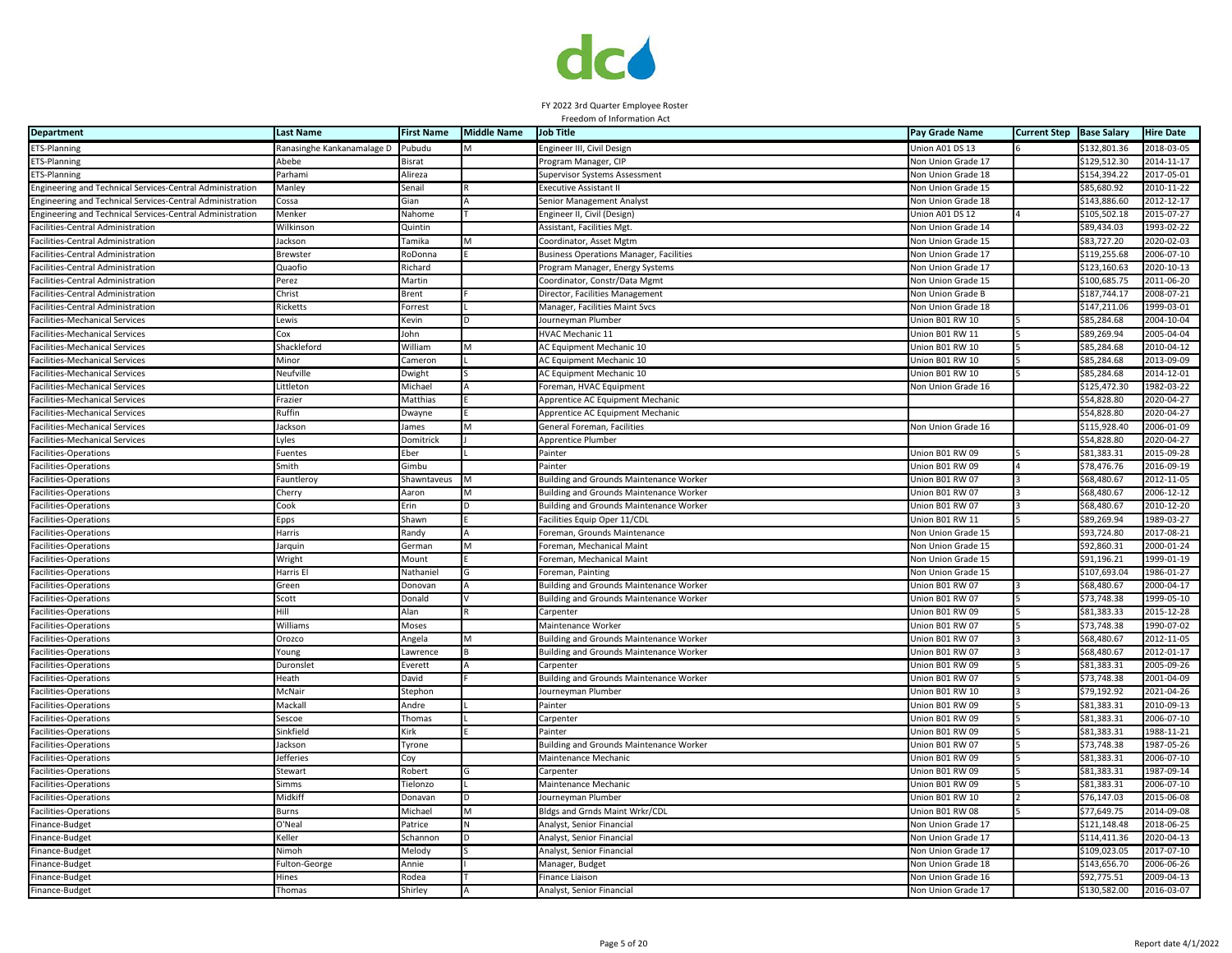

| <b>Department</b>                                         | <b>Last Name</b>           | <b>First Name</b> | <b>Middle Name</b> | <b>Job Title</b>                               | Pay Grade Name            | <b>Current Step</b> | <b>Base Salary</b> | <b>Hire Date</b> |
|-----------------------------------------------------------|----------------------------|-------------------|--------------------|------------------------------------------------|---------------------------|---------------------|--------------------|------------------|
| ETS-Planning                                              | Ranasinghe Kankanamalage D | Pubudu            |                    | Engineer III, Civil Design                     | Union A01 DS 13           |                     | \$132,801.36       | 2018-03-05       |
| ETS-Planning                                              | Abebe                      | <b>Bisrat</b>     |                    | Program Manager, CIP                           | Von Union Grade 17        |                     | \$129,512.30       | 2014-11-17       |
| ETS-Planning                                              | Parhami                    | Alireza           |                    | Supervisor Systems Assessment                  | <b>Von Union Grade 18</b> |                     | \$154,394.22       | $2017 - 05 - 01$ |
| Engineering and Technical Services-Central Administration | Manley                     | Senail            |                    | <b>Executive Assistant II</b>                  | Non Union Grade 15        |                     | \$85,680.92        | 2010-11-22       |
| Engineering and Technical Services-Central Administration | Cossa                      | Gian              |                    | Senior Management Analyst                      | Non Union Grade 18        |                     | \$143,886.60       | 2012-12-17       |
| Engineering and Technical Services-Central Administration | Menker                     | Nahome            |                    | Engineer II, Civil (Design)                    | Jnion A01 DS 12           |                     | \$105,502.18       | 2015-07-27       |
| Facilities-Central Administration                         | Wilkinson                  | Quintin           |                    | Assistant, Facilities Mgt.                     | Non Union Grade 14        |                     | \$89,434.03        | 1993-02-22       |
| Facilities-Central Administration                         | Jackson                    | Tamika            |                    | Coordinator, Asset Mgtm                        | Non Union Grade 15        |                     | \$83,727.20        | 2020-02-03       |
| Facilities-Central Administration                         | Brewstei                   | RoDonna           |                    | <b>Business Operations Manager, Facilities</b> | Non Union Grade 17        |                     | \$119,255.68       | 2006-07-10       |
| Facilities-Central Administration                         | Quaofio                    | Richard           |                    | Program Manager, Energy Systems                | <b>Von Union Grade 17</b> |                     | \$123.160.63       | 2020-10-13       |
| Facilities-Central Administration                         | Perez                      | Martin            |                    | Coordinator, Constr/Data Mgmt                  | Non Union Grade 15        |                     | \$100,685.75       | 2011-06-20       |
| Facilities-Central Administration                         | Christ                     | Brent             |                    | Director, Facilities Management                | <b>Von Union Grade B</b>  |                     | \$187,744.17       | 2008-07-21       |
| Facilities-Central Administration                         | Ricketts                   | Forrest           |                    | Manager, Facilities Maint Svcs                 | <b>Von Union Grade 18</b> |                     | \$147,211.06       | 1999-03-01       |
| <b>Facilities-Mechanical Services</b>                     | .ewis                      | Kevin             |                    | Journeyman Plumber                             | Union B01 RW 10           |                     | \$85,284.68        | 2004-10-04       |
| Facilities-Mechanical Services                            | Cox                        | John              |                    | HVAC Mechanic 11                               | Union B01 RW 11           |                     | \$89,269.94        | 2005-04-04       |
| <b>Facilities-Mechanical Services</b>                     | Shackleford                | William           | M                  | AC Equipment Mechanic 10                       | Union B01 RW 10           |                     | \$85,284.68        | 2010-04-12       |
| <b>Facilities-Mechanical Services</b>                     | Minor                      | Cameron           |                    | AC Equipment Mechanic 10                       | Jnion B01 RW 10           |                     | \$85,284.68        | 2013-09-09       |
| Facilities-Mechanical Services                            | Neufville                  | Dwight            |                    | AC Equipment Mechanic 10                       | Jnion B01 RW 10           |                     | \$85,284.68        | 2014-12-01       |
| acilities-Mechanical Services                             | .ittleton                  | Michael           |                    | Foreman, HVAC Equipment                        | Non Union Grade 16        |                     | \$125,472.30       | $1982 - 03 - 22$ |
| acilities-Mechanical Services                             | Frazier                    | Matthias          |                    | Apprentice AC Equipment Mechanic               |                           |                     | \$54,828.80        | 2020-04-27       |
| <b>Facilities-Mechanical Services</b>                     | luffin                     | Dwayne            |                    | Apprentice AC Equipment Mechanic               |                           |                     | \$54,828.80        | 2020-04-27       |
| <b>Facilities-Mechanical Services</b>                     | ackson                     | James             |                    | General Foreman, Facilities                    | Non Union Grade 16        |                     | \$115,928.40       | 2006-01-09       |
| <b>Facilities-Mechanical Services</b>                     | Lyles                      | Domitrick         |                    | Apprentice Plumber                             |                           |                     | \$54,828.80        | 2020-04-27       |
| Facilities-Operations                                     | uentes                     | Eber              |                    | Painter                                        | Union B01 RW 09           |                     | \$81,383.31        | 2015-09-28       |
| Facilities-Operations                                     | Smith                      | Gimbu             |                    | Painter                                        | Union B01 RW 09           |                     | \$78,476.76        | 2016-09-19       |
| Facilities-Operations                                     | auntleroy                  | Shawntaveus       |                    | Building and Grounds Maintenance Worker        | Jnion B01 RW 07           |                     | \$68,480.67        | 2012-11-05       |
| Facilities-Operations                                     | Cherry                     | Aaron             | M                  | Building and Grounds Maintenance Worker        | Jnion B01 RW 07           |                     | \$68,480.67        | 2006-12-12       |
| Facilities-Operations                                     | Cook                       | Erin              |                    | <b>Building and Grounds Maintenance Worker</b> | Jnion B01 RW 07           |                     | \$68,480.67        | 2010-12-20       |
| Facilities-Operations                                     | Epps                       | Shawn             |                    | Facilities Equip Oper 11/CDI                   | Jnion B01 RW 11           |                     | \$89,269.94        | 1989-03-27       |
| Facilities-Operations                                     | Harris                     | Randy             |                    | Foreman, Grounds Maintenance                   | Non Union Grade 15        |                     | \$93,724.80        | 2017-08-21       |
| Facilities-Operations                                     | arquin                     | German            |                    | Foreman, Mechanical Maint                      | Non Union Grade 15        |                     | \$92,860.31        | 2000-01-24       |
| Facilities-Operations                                     | Wright                     | Mount             |                    | Foreman, Mechanical Maint                      | Non Union Grade 15        |                     | \$91,196.21        | 1999-01-19       |
| Facilities-Operations                                     | Harris El                  | Nathaniel         |                    | Foreman, Painting                              | Non Union Grade 15        |                     | \$107,693.04       | 1986-01-27       |
| Facilities-Operations                                     | Green                      | Donovan           |                    | Building and Grounds Maintenance Worker        | Union B01 RW 07           |                     | \$68,480.67        | 2000-04-17       |
| Facilities-Operations                                     | Scott                      | Donald            |                    | Building and Grounds Maintenance Worker        | Jnion B01 RW 07           |                     | \$73,748.38        | 1999-05-10       |
| Facilities-Operations                                     | Hill                       | Alan              |                    | Carpenter                                      | Jnion B01 RW 09           |                     | \$81,383.33        | 2015-12-28       |
| Facilities-Operations                                     | Williams                   | Moses             |                    | Maintenance Worker                             | Jnion B01 RW 07           |                     | \$73,748.38        | 1990-07-02       |
| Facilities-Operations                                     | Orozco                     | Angela            |                    | <b>Building and Grounds Maintenance Worker</b> | Jnion B01 RW 07           |                     | \$68,480.67        | 2012-11-05       |
| Facilities-Operations                                     | Young                      | Lawrence          |                    | <b>Building and Grounds Maintenance Worker</b> | Union B01 RW 07           |                     | \$68,480.67        | 2012-01-17       |
| Facilities-Operations                                     | Duronsle <sup>,</sup>      | Everett           |                    | Carpenter                                      | Union B01 RW 09           |                     | \$81,383.31        | 2005-09-26       |
| Facilities-Operations                                     | Heath                      | David             |                    | Building and Grounds Maintenance Worker        | Union B01 RW 07           |                     | \$73,748.38        | 2001-04-09       |
| Facilities-Operations                                     | McNair                     | Stephon           |                    | Journeyman Plumber                             | Jnion B01 RW 10           |                     | \$79,192.92        | 2021-04-26       |
| Facilities-Operations                                     | Mackall                    | Andre             |                    | Painter                                        | Jnion B01 RW 09           |                     | \$81,383.31        | 2010-09-13       |
| Facilities-Operations                                     | Sescoe                     | Thomas            |                    | Carpenter                                      | Jnion B01 RW 09           |                     | \$81,383.31        | 2006-07-10       |
| Facilities-Operations                                     | Sinkfield                  | Kirk              |                    | Painter                                        | Jnion B01 RW 09           |                     | \$81,383.31        | 1988-11-21       |
| Facilities-Operations                                     | ackson                     | Tyrone            |                    | Building and Grounds Maintenance Worker        | Union B01 RW 07           |                     | \$73,748.38        | 1987-05-26       |
| Facilities-Operations                                     | efferies                   | Coy               |                    | Maintenance Mechanic                           | Union B01 RW 09           |                     | \$81,383.31        | 2006-07-10       |
| Facilities-Operations                                     | Stewart                    | Robert            | G                  | Carpenter                                      | Union B01 RW 09           |                     | \$81,383.31        | 1987-09-14       |
| Facilities-Operations                                     | Simms                      | Tielonzo          |                    | Maintenance Mechanic                           | Jnion B01 RW 09           |                     | \$81,383.31        | 2006-07-10       |
| Facilities-Operations                                     | Midkiff                    | Donavan           | <sub>D</sub>       | Journeyman Plumber                             | Jnion B01 RW 10           |                     | \$76,147.03        | 2015-06-08       |
| Facilities-Operations                                     | <b>Burns</b>               | Michael           | M                  | Bldgs and Grnds Maint Wrkr/CDL                 | Jnion B01 RW 08           |                     | \$77,649.75        | 2014-09-08       |
| Finance-Budget                                            | O'Neal                     | Patrice           |                    | Analyst, Senior Financia                       | <b>Von Union Grade 17</b> |                     | \$121,148.48       | 2018-06-25       |
| Finance-Budget                                            | <b>Celler</b>              | Schannon          |                    | Analyst, Senior Financial                      | Non Union Grade 17        |                     | \$114,411.36       | 2020-04-13       |
| Finance-Budget                                            | Nimoh                      | Melody            |                    | Analyst, Senior Financial                      | Non Union Grade 17        |                     | \$109,023.05       | 2017-07-10       |
| Finance-Budget                                            | Fulton-George              | Annie             |                    | Manager, Budget                                | Non Union Grade 18        |                     | \$143,656.70       | 2006-06-26       |
| Finance-Budget                                            | <b>Hines</b>               | Rodea             |                    | Finance Liaison                                | Non Union Grade 16        |                     | \$92,775.51        | 2009-04-13       |
| Finance-Budget                                            | Thomas                     | Shirley           |                    | Analyst, Senior Financial                      | Non Union Grade 17        |                     | \$130,582.00       | 2016-03-07       |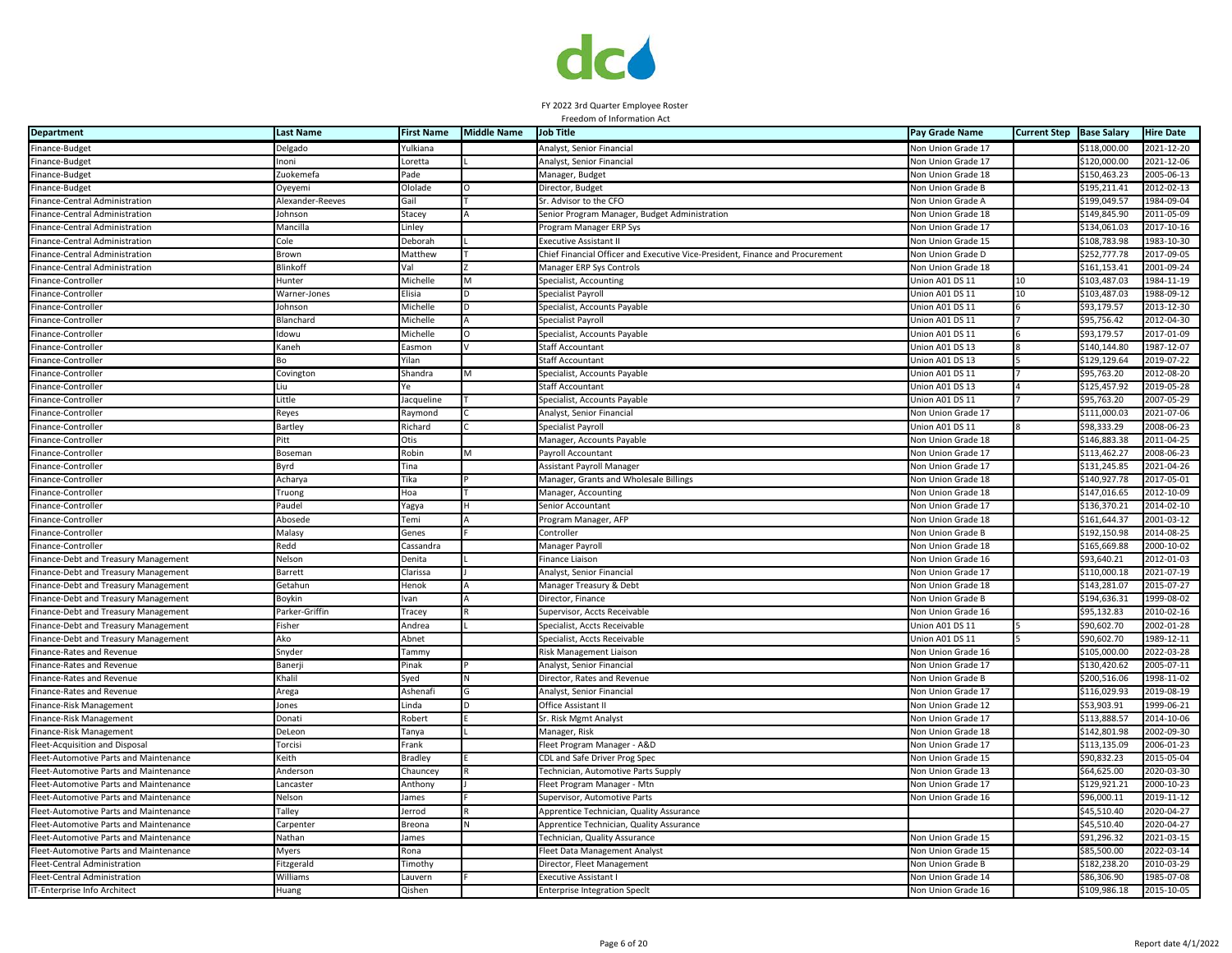

| <b>Department</b>                      | <b>Last Name</b> | <b>First Name</b> | <b>Middle Name</b> | <b>Job Title</b>                                                              | Pay Grade Name            | <b>Current Step</b> | <b>Base Salary</b> | <b>Hire Date</b> |
|----------------------------------------|------------------|-------------------|--------------------|-------------------------------------------------------------------------------|---------------------------|---------------------|--------------------|------------------|
| Finance-Budget                         | Delgado          | Yulkiana          |                    | Analyst, Senior Financial                                                     | Non Union Grade 17        |                     | \$118,000.00       | 2021-12-20       |
| Finance-Budget                         | Inoni            | Loretta           |                    | Analyst, Senior Financial                                                     | Non Union Grade 17        |                     | \$120,000.00       | 2021-12-06       |
| inance-Budget                          | Zuokemefa        | Pade              |                    | Manager, Budget                                                               | <b>Jon Union Grade 18</b> |                     | \$150,463.23       | 2005-06-13       |
| Finance-Budget                         | Oyeyemi          | Ololade           |                    | Director, Budget                                                              | Non Union Grade B         |                     | \$195,211.41       | 2012-02-13       |
| Finance-Central Administration         | Alexander-Reeves | Gail              |                    | Sr. Advisor to the CFO                                                        | Non Union Grade A         |                     | \$199,049.57       | 1984-09-04       |
| inance-Central Administration          | ohnson           | Stacey            |                    | Senior Program Manager, Budget Administration                                 | <b>Von Union Grade 18</b> |                     | \$149,845.90       | 2011-05-09       |
| Finance-Central Administration         | Mancilla         | Linley            |                    | Program Manager ERP Sys                                                       | Non Union Grade 17        |                     | \$134,061.03       | 2017-10-16       |
| Finance-Central Administration         | Cole             | Deborah           |                    | Executive Assistant I                                                         | Non Union Grade 15        |                     | \$108,783.98       | $1983 - 10 - 30$ |
| Finance-Central Administration         | Brown            | Matthew           |                    | Chief Financial Officer and Executive Vice-President, Finance and Procurement | Non Union Grade D         |                     | \$252,777.78       | 2017-09-05       |
| inance-Central Administration          | <b>Blinkoff</b>  | Val               |                    | Manager ERP Sys Controls                                                      | Non Union Grade 18        |                     | \$161.153.41       | 2001-09-24       |
| Finance-Controller                     | Hunter           | Michelle          | M                  | Specialist, Accounting                                                        | Union A01 DS 11           | 10                  | \$103,487.03       | 1984-11-19       |
| inance-Controller                      | Warner-Jones     | Elisia            |                    | Specialist Payroll                                                            | Jnion A01 DS 11           | 10                  | \$103,487.03       | 1988-09-12       |
| inance-Controller                      | ohnson           | Michelle          |                    | Specialist, Accounts Payable                                                  | Jnion A01 DS 11           |                     | \$93,179.57        | 2013-12-30       |
| Finance-Controller                     | Blanchard        | Michelle          |                    | Specialist Payroll                                                            | Jnion A01 DS 11           |                     | \$95,756.42        | 2012-04-30       |
| Finance-Controller                     | Idowu            | Michelle          |                    | Specialist, Accounts Payable                                                  | Jnion A01 DS 11           |                     | \$93,179.57        | 2017-01-09       |
| Finance-Controller                     | Kaneh            | Easmon            |                    | Staff Accountant                                                              | Union A01 DS 13           |                     | \$140,144.80       | 1987-12-07       |
| Finance-Controller                     |                  | Yilan             |                    | <b>Staff Accountant</b>                                                       | Union A01 DS 13           |                     | \$129,129.64       | 2019-07-22       |
| Finance-Controller                     | Covington        | Shandra           | M                  | Specialist, Accounts Payable                                                  | Union A01 DS 11           |                     | \$95,763.20        | 2012-08-20       |
| inance-Controller                      | iи               |                   |                    | Staff Accountant                                                              | Union A01 DS 13           |                     | \$125,457.92       | 2019-05-28       |
| Finance-Controller                     | Little           | Jacqueline        |                    | Specialist, Accounts Payable                                                  | Union A01 DS 11           |                     | \$95,763.20        | 2007-05-29       |
| Finance-Controller                     | Reyes            | Raymond           |                    | Analyst, Senior Financial                                                     | <b>Non Union Grade 17</b> |                     | \$111.000.03       | 2021-07-06       |
| Finance-Controller                     | Bartley          | Richard           |                    | Specialist Payroll                                                            | Union A01 DS 11           |                     | \$98,333.29        | 2008-06-23       |
| Finance-Controller                     | Pitt             | Otis              |                    | Manager, Accounts Payable                                                     | <b>Von Union Grade 18</b> |                     | \$146,883.38       | 2011-04-25       |
| Finance-Controller                     | Bosemar          | Robin             |                    | Payroll Accountant                                                            | <b>Non Union Grade 17</b> |                     | \$113,462.27       | 2008-06-23       |
| Finance-Controller                     | Byrd             | Tina              |                    | <b>Assistant Payroll Manager</b>                                              | Non Union Grade 17        |                     | \$131,245.85       | 2021-04-26       |
| Finance-Controller                     | Acharya          | Tika              |                    | Manager, Grants and Wholesale Billings                                        | Non Union Grade 18        |                     | \$140,927.78       | 2017-05-01       |
| Finance-Controller                     | Truong           | Hoa               |                    | Manager, Accounting                                                           | Non Union Grade 18        |                     | \$147,016.65       | 2012-10-09       |
| inance-Controller                      | Paudel           | Yagya             |                    | Senior Accountant                                                             | <b>Non Union Grade 17</b> |                     | \$136,370.21       | 2014-02-10       |
| inance-Controller                      | Abosede          | Temi              |                    | Program Manager, AFP                                                          | <b>Von Union Grade 18</b> |                     | \$161,644.37       | 2001-03-12       |
| Finance-Controller                     | Malasy           | Genes             |                    | Controller                                                                    | Non Union Grade B         |                     | \$192,150.98       | 2014-08-25       |
| Finance-Controller                     | Redd             | Cassandra         |                    | Manager Payroll                                                               | <b>Von Union Grade 18</b> |                     | \$165,669.88       | 2000-10-02       |
| Finance-Debt and Treasury Management   | Nelson           | Denita            |                    | Finance Liaison                                                               | Non Union Grade 16        |                     | \$93,640.21        | 2012-01-03       |
| Finance-Debt and Treasury Management   | Barrett          | Clarissa          |                    | Analyst, Senior Financial                                                     | Non Union Grade 17        |                     | \$110,000.18       | 2021-07-19       |
| Finance-Debt and Treasury Management   | Getahur          | Henok             |                    | Manager Treasury & Debt                                                       | Non Union Grade 18        |                     | \$143,281.07       | 2015-07-27       |
| inance-Debt and Treasury Management    | Boykin           | Ivan              |                    | Director, Finance                                                             | Non Union Grade B         |                     | \$194,636.31       | 1999-08-02       |
| inance-Debt and Treasury Management    | Parker-Griffin   | Tracey            |                    | Supervisor, Accts Receivable                                                  | Non Union Grade 16        |                     | \$95,132.83        | 2010-02-16       |
| inance-Debt and Treasury Management    | Fisher           | Andrea            |                    | Specialist, Accts Receivable                                                  | Jnion A01 DS 11           |                     | \$90,602.70        | 2002-01-28       |
| Finance-Debt and Treasury Management   | Ako              | Abnet             |                    | Specialist, Accts Receivable                                                  | Jnion A01 DS 11           |                     | \$90,602.70        | 1989-12-11       |
| inance-Rates and Revenue               | Snyder           | Tammy             |                    | Risk Management Liaison                                                       | <b>Von Union Grade 16</b> |                     | \$105,000.00       | 2022-03-28       |
| Finance-Rates and Revenue              | Banerj           | Pinak             |                    | Analyst, Senior Financia                                                      | Non Union Grade 17        |                     | \$130,420.62       | 2005-07-11       |
| Finance-Rates and Revenue              | Khalil           | Syed              |                    | Director, Rates and Revenue                                                   | Non Union Grade B         |                     | \$200,516.06       | 1998-11-02       |
| Finance-Rates and Revenue              | Arega            | Ashenafi          |                    | Analyst, Senior Financial                                                     | Non Union Grade 17        |                     | \$116,029.93       | 2019-08-19       |
| Finance-Risk Management                | ones             | Linda             | <sub>D</sub>       | Office Assistant II                                                           | Non Union Grade 12        |                     | \$53,903.91        | 1999-06-21       |
| inance-Risk Management                 | <b>Donati</b>    | Robert            |                    | Sr. Risk Mgmt Analyst                                                         | Non Union Grade 17        |                     | \$113,888.57       | 2014-10-06       |
| inance-Risk Management                 | DeLeon           | Tanya             |                    | Manager, Risk                                                                 | Non Union Grade 18        |                     | \$142,801.98       | 2002-09-30       |
| Fleet-Acquisition and Disposal         | <b>Torcisi</b>   | Frank             |                    | Fleet Program Manager - A&D                                                   | Non Union Grade 17        |                     | \$113,135.09       | 2006-01-23       |
| leet-Automotive Parts and Maintenance  | Keith            | <b>Bradley</b>    |                    | CDL and Safe Driver Prog Spec                                                 | <b>Von Union Grade 15</b> |                     | \$90,832.23        | 2015-05-04       |
| leet-Automotive Parts and Maintenance  | Andersor         | Chauncey          |                    | Technician, Automotive Parts Supply                                           | Von Union Grade 13        |                     | \$64,625.00        | 2020-03-30       |
| Fleet-Automotive Parts and Maintenance | .ancaste         | Anthony           |                    | Fleet Program Manager - Mtr                                                   | Non Union Grade 17        |                     | \$129,921.21       | 2000-10-23       |
| Fleet-Automotive Parts and Maintenance | Nelson           | James             |                    | Supervisor, Automotive Parts                                                  | Non Union Grade 16        |                     | \$96,000.11        | 2019-11-12       |
| Fleet-Automotive Parts and Maintenance | Talley           | Jerrod            |                    | Apprentice Technician, Quality Assurance                                      |                           |                     | \$45,510.40        | 2020-04-27       |
| Fleet-Automotive Parts and Maintenance | Carpenter        | Breona            | N                  | Apprentice Technician, Quality Assurance                                      |                           |                     | \$45,510.40        | 2020-04-27       |
| leet-Automotive Parts and Maintenance  | Nathan           | James             |                    | Technician, Quality Assurance                                                 | Non Union Grade 15        |                     | \$91,296.32        | 2021-03-15       |
| leet-Automotive Parts and Maintenance  | Myers            | Rona              |                    | Fleet Data Management Analyst                                                 | <b>Von Union Grade 15</b> |                     | \$85,500.00        | 2022-03-14       |
| leet-Central Administration            | itzgerald        | Timothy           |                    | Director, Fleet Management                                                    | <b>Von Union Grade B</b>  |                     | \$182,238.20       | 2010-03-29       |
| Fleet-Central Administration           | Williams         | Lauvern           |                    | Executive Assistant                                                           | Von Union Grade 14        |                     | \$86,306.90        | 985-07-08        |
| IT-Enterprise Info Architect           | Huang            | Qishen            |                    | <b>Enterprise Integration Specit</b>                                          | Non Union Grade 16        |                     | \$109,986.18       | 2015-10-05       |
|                                        |                  |                   |                    |                                                                               |                           |                     |                    |                  |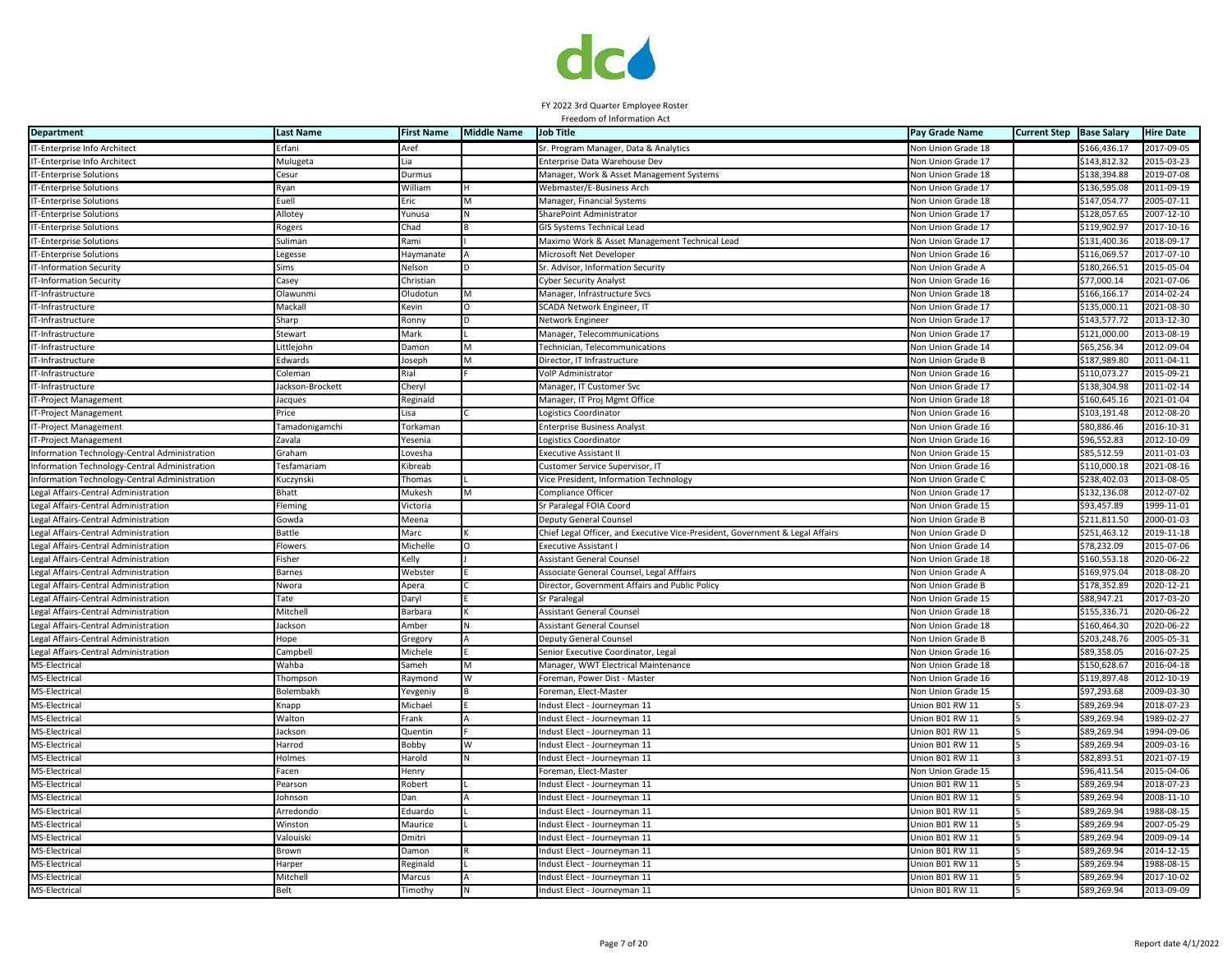

| <b>Department</b>                             | <b>Last Name</b> | <b>First Name</b> | <b>Middle Name</b> | <b>Job Title</b>                                                              | Pay Grade Name            | <b>Current Step</b> | <b>Base Salary</b> | <b>Hire Date</b> |
|-----------------------------------------------|------------------|-------------------|--------------------|-------------------------------------------------------------------------------|---------------------------|---------------------|--------------------|------------------|
| IT-Enterprise Info Architect                  | Erfani           | Aref              |                    | Sr. Program Manager, Data & Analytics                                         | Non Union Grade 18        |                     | \$166,436.17       | 2017-09-05       |
| IT-Enterprise Info Architect                  | Mulugeta         | l ia              |                    | Enterprise Data Warehouse Dev                                                 | Von Union Grade 17        |                     | \$143,812.32       | 2015-03-23       |
| <b>T-Enterprise Solutions</b>                 | Cesur            | Durmus            |                    | Manager, Work & Asset Management Systems                                      | <b>Von Union Grade 18</b> |                     | \$138,394.88       | 2019-07-08       |
| IT-Enterprise Solutions                       | Ryan             | William           |                    | Webmaster/E-Business Arch                                                     | Non Union Grade 17        |                     | \$136,595.08       | 2011-09-19       |
| IT-Enterprise Solutions                       | Euell            | Eric              |                    | Manager, Financial Systems                                                    | <b>Von Union Grade 18</b> |                     | \$147,054.77       | 2005-07-11       |
| IT-Enterprise Solutions                       | Allotey          | Yunusa            |                    | SharePoint Administrator                                                      | Non Union Grade 17        |                     | \$128,057.65       | $2007 - 12 - 10$ |
| IT-Enterprise Solutions                       | Rogers           | Chad              |                    | GIS Systems Technical Lead                                                    | Non Union Grade 17        |                     | \$119,902.97       | 2017-10-16       |
| IT-Enterprise Solutions                       | Suliman          | Rami              |                    | Maximo Work & Asset Management Technical Lead                                 | Non Union Grade 17        |                     | \$131,400.36       | 2018-09-17       |
| IT-Enterprise Solutions                       | Legesse          | Haymanate         |                    | Microsoft Net Developer                                                       | <b>Non Union Grade 16</b> |                     | \$116,069.57       | 2017-07-10       |
| T-Information Security                        | Sims             | Velson            |                    | Sr. Advisor, Information Security                                             | <b>Jon Union Grade A</b>  |                     | \$180,266.51       | 2015-05-04       |
| IT-Information Security                       | Casey            | Christian         |                    | <b>Cyber Security Analyst</b>                                                 | Non Union Grade 16        |                     | \$77,000.14        | 2021-07-06       |
| IT-Infrastructure                             | Olawunmi         | Oludotun          |                    | Manager, Infrastructure Svcs                                                  | <b>Von Union Grade 18</b> |                     | \$166,166.17       | 2014-02-24       |
| IT-Infrastructure                             | Mackall          | Kevin             |                    | SCADA Network Engineer, IT                                                    | <b>Non Union Grade 17</b> |                     | \$135,000.11       | 2021-08-30       |
| IT-Infrastructure                             | Sharp            | Ronny             |                    | Network Engineer                                                              | Non Union Grade 17        |                     | \$143,577.72       | 2013-12-30       |
| IT-Infrastructure                             | Stewart          | Mark              |                    | Manager, Telecommunications                                                   | Non Union Grade 17        |                     | \$121,000.00       | 2013-08-19       |
| IT-Infrastructure                             | Littlejohn       | Damon             | м                  | Technician, Telecommunications                                                | Non Union Grade 14        |                     | \$65,256.34        | 2012-09-04       |
| IT-Infrastructure                             | Edwards          | loseph            |                    | Director, IT Infrastructure                                                   | <b>Non Union Grade B</b>  |                     | \$187,989.80       | 2011-04-11       |
| IT-Infrastructure                             | Coleman          | Rial              |                    | VolP Administrator                                                            | <b>Von Union Grade 16</b> |                     | \$110.073.27       | 2015-09-21       |
| T-Infrastructure                              | lackson-Brockett | Cheryl            |                    | Manager, IT Customer Svc                                                      | <b>Von Union Grade 17</b> |                     | \$138,304.98       | 2011-02-14       |
| IT-Project Management                         | acques           | Reginald          |                    | Manager, IT Proj Mgmt Office                                                  | <b>Von Union Grade 18</b> |                     | \$160,645.16       | 2021-01-04       |
| IT-Project Management                         | Price            | isa               |                    | Logistics Coordinator                                                         | <b>Von Union Grade 16</b> |                     | \$103,191.48       | 2012-08-20       |
| IT-Project Management                         | Tamadonigamchi   | Torkamar          |                    | <b>Enterprise Business Analyst</b>                                            | Non Union Grade 16        |                     | \$80,886.46        | 2016-10-31       |
| IT-Project Management                         | Zavala           | Yesenia           |                    | Logistics Coordinator                                                         | Non Union Grade 16        |                     | \$96,552.83        | 2012-10-09       |
| Information Technology-Central Administration | <b>Graham</b>    | ovesha            |                    | <b>Executive Assistant II</b>                                                 | Non Union Grade 15        |                     | \$85,512.59        | 2011-01-03       |
| Information Technology-Central Administration | Tesfamariam      | Kibreab           |                    | Customer Service Supervisor, IT                                               | Non Union Grade 16        |                     | \$110,000.18       | 2021-08-16       |
| Information Technology-Central Administration | Kuczynski        | Thomas            |                    | Vice President, Information Technology                                        | <b>Non Union Grade C</b>  |                     | \$238,402.03       | 2013-08-05       |
| Legal Affairs-Central Administration          | Bhatt            | Mukesh            | M                  | Compliance Officer                                                            | Non Union Grade 17        |                     | \$132,136.08       | 2012-07-02       |
| Legal Affairs-Central Administratior          | Fleming          | Victoria          |                    | Sr Paralegal FOIA Coord                                                       | <b>Von Union Grade 15</b> |                     | \$93,457.89        | 999-11-01        |
| Legal Affairs-Central Administratior          | Gowda            | Meena             |                    | <b>Deputy General Counse</b>                                                  | Non Union Grade B         |                     | \$211,811.50       | 2000-01-03       |
| Legal Affairs-Central Administration          | Battle           | Marc              |                    | Chief Legal Officer, and Executive Vice-President, Government & Legal Affairs | Non Union Grade D         |                     | \$251,463.12       | 2019-11-18       |
| Legal Affairs-Central Administration          | <b>Flowers</b>   | Michelle          |                    | <b>Executive Assistant I</b>                                                  | Non Union Grade 14        |                     | \$78,232.09        | 2015-07-06       |
| Legal Affairs-Central Administration          | Fisher           | Kelly             |                    | <b>Assistant General Counsel</b>                                              | Non Union Grade 18        |                     | \$160,553.18       | 2020-06-22       |
| Legal Affairs-Central Administration          | <b>Barnes</b>    | Webster           |                    | Associate General Counsel, Legal Afffairs                                     | <b>Von Union Grade A</b>  |                     | \$169,975.04       | 2018-08-20       |
| Legal Affairs-Central Administration          | Nwora            | Apera             |                    | Director, Government Affairs and Public Policy                                | <b>Von Union Grade B</b>  |                     | \$178,352.89       | 2020-12-21       |
| Legal Affairs-Central Administration          | Tate             | Daryl             |                    | Sr Paralegal                                                                  | <b>Von Union Grade 15</b> |                     | \$88,947.21        | 2017-03-20       |
| Legal Affairs-Central Administration          | Mitchell         | Barbara           |                    | <b>Assistant General Counsel</b>                                              | <b>Von Union Grade 18</b> |                     | \$155,336.71       | 2020-06-22       |
| Legal Affairs-Central Administration          | lackson          | Amber             |                    | Assistant General Counsel                                                     | Von Union Grade 18        |                     | \$160,464.30       | 2020-06-22       |
| Legal Affairs-Central Administration          | Hope             | Gregory           |                    | Deputy General Counse                                                         | Non Union Grade B         |                     | \$203,248.76       | 2005-05-31       |
| Legal Affairs-Central Administration          | Campbel          | Michele           |                    | Senior Executive Coordinator, Legal                                           | Non Union Grade 16        |                     | \$89,358.05        | 2016-07-25       |
| MS-Electrical                                 | Wahba            | Sameh             |                    | Manager, WWT Electrical Maintenance                                           | Non Union Grade 18        |                     | \$150,628.67       | 2016-04-18       |
| MS-Electrical                                 | Thompson         | Raymond           | W                  | Foreman, Power Dist - Master                                                  | Non Union Grade 16        |                     | \$119,897.48       | 2012-10-19       |
| MS-Electrical                                 | Bolembakh        | Yevgeniy          |                    | Foreman, Elect-Master                                                         | <b>Non Union Grade 15</b> |                     | \$97,293.68        | 2009-03-30       |
| MS-Electrica                                  | Knapp            | Michael           |                    | Indust Elect - Journeyman 11                                                  | Jnion B01 RW 11           |                     | \$89,269.94        | 2018-07-23       |
| MS-Electrical                                 | Walton           | Frank             |                    | Indust Elect - Journeyman 11                                                  | Jnion B01 RW 11           |                     | \$89,269.94        | 1989-02-27       |
| MS-Electrica                                  | lackson          | Quentir           |                    | ndust Elect - Journeyman 11                                                   | Inion B01 RW 11           |                     | \$89,269.94        | 1994-09-06       |
| MS-Electrical                                 | Harrod           | Bobby             | W                  | Indust Elect - Journeyman 11                                                  | Union B01 RW 11           |                     | \$89,269.94        | 2009-03-16       |
| MS-Electrica                                  | Holmes           | Harold            |                    | Indust Elect - Journeyman 11                                                  | Union B01 RW 11           |                     | \$82,893.51        | 2021-07-19       |
| MS-Electrical                                 | Facen            | Henry             |                    | Foreman, Elect-Master                                                         | Non Union Grade 15        |                     | \$96,411.54        | 2015-04-06       |
| MS-Electrical                                 | Pearson          | obert             |                    | Indust Elect - Journeyman 11                                                  | Jnion B01 RW 11           |                     | \$89,269.94        | 2018-07-23       |
| MS-Electrical                                 | Johnson          | Dan               |                    | Indust Elect - Journeyman 11                                                  | Jnion B01 RW 11           |                     | \$89,269.94        | 2008-11-10       |
| MS-Electrical                                 | Arredondo        | Eduardo           |                    | Indust Elect - Journeyman 11                                                  | Jnion B01 RW 11           |                     | \$89,269.94        | 1988-08-15       |
| MS-Electrical                                 | Winston          | Maurice           |                    | Indust Elect - Journeyman 11                                                  | Jnion B01 RW 11           |                     | \$89,269.94        | 2007-05-29       |
| MS-Electrical                                 | Valouiski        | Dmitri            |                    | Indust Elect - Journeyman 11                                                  | Jnion B01 RW 11           |                     | \$89,269.94        | 2009-09-14       |
| MS-Electrical                                 | Brown            | <b>Jamon</b>      |                    | Indust Elect - Journeyman 11                                                  | Jnion B01 RW 11           |                     | \$89,269.94        | 2014-12-15       |
| MS-Electrical                                 | Harper           | Reginald          |                    | Indust Elect - Journeyman 11                                                  | Jnion B01 RW 11           |                     | \$89,269.94        | 1988-08-15       |
| MS-Electrical                                 | Mitchel          | Marcus            |                    | Indust Elect - Journeyman 11                                                  | Jnion B01 RW 11           |                     | \$89,269.94        | 2017-10-02       |
| MS-Electrica                                  | <b>Belt</b>      | Timothy           |                    | Indust Elect - Journeyman 11                                                  | Union B01 RW 11           |                     | \$89,269.94        | 2013-09-09       |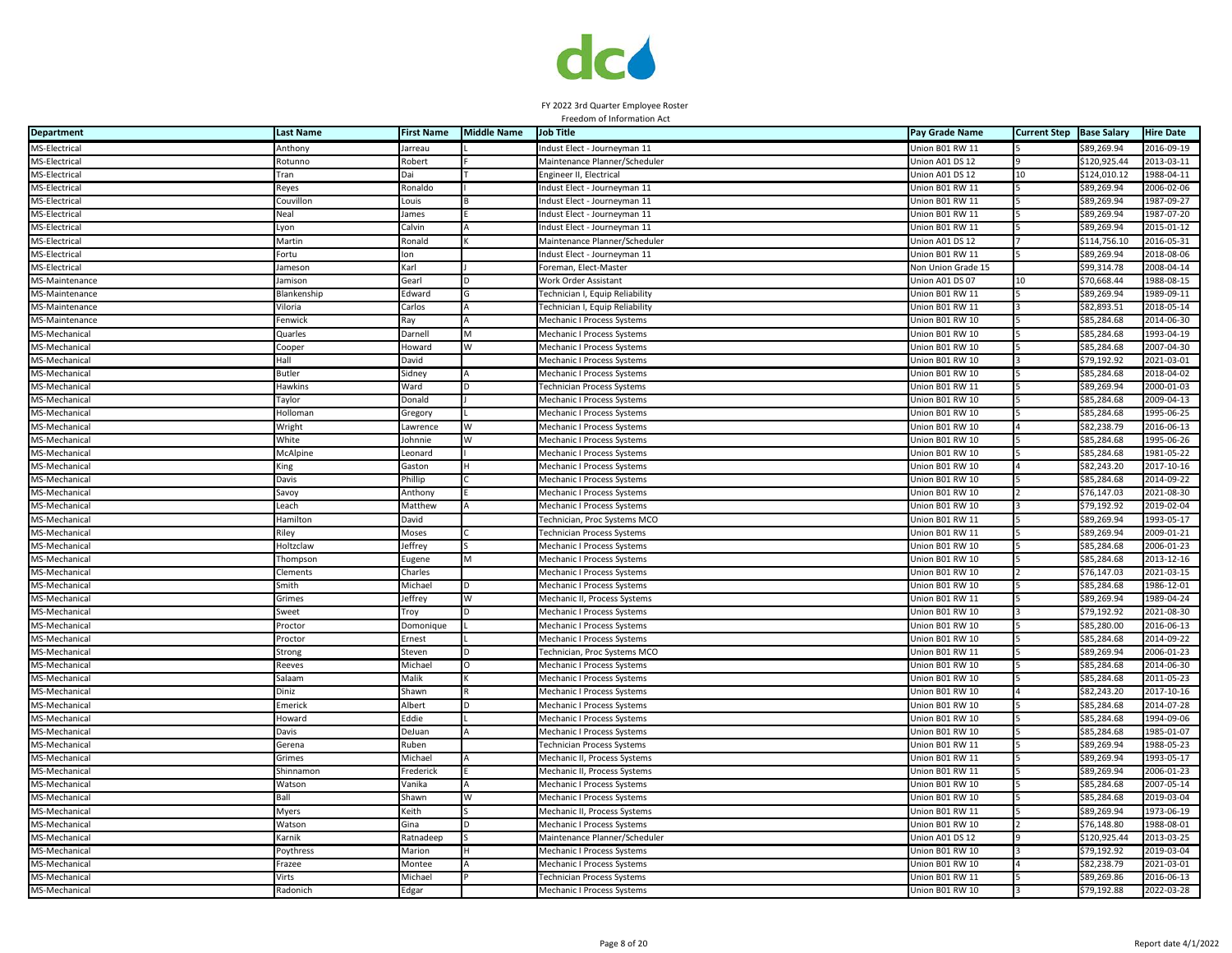

| <b>Department</b>              | <b>Last Name</b>     | <b>First Name</b> | <b>Middle Name</b> | <b>Job Title</b>                                                       | Pay Grade Name                     | <b>Current Step</b> | <b>Base Salary</b>         | <b>Hire Date</b>               |
|--------------------------------|----------------------|-------------------|--------------------|------------------------------------------------------------------------|------------------------------------|---------------------|----------------------------|--------------------------------|
| MS-Electrical                  | Anthony              | Jarreau           |                    | ndust Elect - Journeyman 11                                            | Union B01 RW 11                    |                     | \$89,269.94                | 2016-09-19                     |
| MS-Electrical                  | Rotunno              | Robert            |                    | Maintenance Planner/Scheduler                                          | Union A01 DS 12                    |                     | \$120,925.44               | 2013-03-11                     |
| MS-Electrical                  | Tran                 | Dai               |                    | Engineer II, Electrical                                                | Union A01 DS 12                    | 10                  | \$124,010.12               | 1988-04-11                     |
| MS-Electrical                  | Reyes                | Ronaldo           |                    | Indust Elect - Journeyman 11                                           | Union B01 RW 11                    |                     | \$89,269.94                | 2006-02-06                     |
| MS-Electrical                  | Couvillon            | Louis             |                    | ndust Elect - Journeyman 11                                            | Jnion B01 RW 11                    |                     | \$89,269.94                | 1987-09-27                     |
| MS-Electrical                  | Neal                 | James             |                    | Indust Elect - Journeyman 11                                           | Union B01 RW 11                    |                     | \$89,269.94                | 1987-07-20                     |
| MS-Electrical                  | Lyon                 | Calvin            |                    | Indust Elect - Journeyman 11                                           | Union B01 RW 11                    |                     | \$89,269.94                | 2015-01-12                     |
| MS-Electrical                  | Martin               | Ronald            |                    | Maintenance Planner/Scheduler                                          | Union A01 DS 12                    |                     | \$114,756.10               | 2016-05-31                     |
| MS-Electrical                  | Fortu                | lon               |                    | Indust Elect - Journeyman 11                                           | Union B01 RW 11                    |                     | \$89,269.94                | 2018-08-06                     |
| MS-Electrical                  | ameson               | Karl              |                    | Foreman, Elect-Master                                                  | <b>Von Union Grade 15</b>          |                     | \$99,314.78                | 2008-04-14                     |
| MS-Maintenance                 | Jamison              | Gearl             |                    | Work Order Assistant                                                   | Union A01 DS 07                    | 10                  | \$70,668.44                | 1988-08-15                     |
| MS-Maintenance                 | Blankenship          | Edward            |                    | Technician I, Equip Reliability                                        | Jnion B01 RW 11                    |                     | \$89,269.94                | 1989-09-11                     |
| MS-Maintenance                 | Viloria              | Carlos            |                    | <b>Technician I, Equip Reliability</b>                                 | Jnion B01 RW 11                    |                     | \$82,893.51                | 2018-05-14                     |
| MS-Maintenance                 | Fenwick              | Ray               |                    | Mechanic I Process Systems                                             | Union B01 RW 10                    |                     | \$85,284.68                | 2014-06-30                     |
| MS-Mechanical                  | Quarles              | Darnell           | M                  | Mechanic I Process Systems                                             | Union B01 RW 10                    |                     | \$85,284.68                | 1993-04-19                     |
| MS-Mechanical                  | Cooper               | Howard            | W                  | <b>Mechanic I Process Systems</b>                                      | Union B01 RW 10                    |                     | \$85,284.68                | 2007-04-30                     |
| MS-Mechanical                  | Hall                 | David             |                    | Mechanic I Process Systems                                             | Union B01 RW 10                    |                     | \$79,192.92                | 2021-03-01                     |
| MS-Mechanical                  | <b>Butler</b>        | Sidney            |                    | Mechanic I Process Systems                                             | Union B01 RW 10                    |                     | \$85,284.68                | 2018-04-02                     |
| MS-Mechanical                  | Hawkins              | Ward              |                    | Technician Process Systems                                             | Union B01 RW 11                    |                     | \$89,269.94                | 2000-01-03                     |
| MS-Mechanical                  | Taylor               | Donald            |                    | Mechanic I Process Systems                                             | Jnion B01 RW 10                    |                     | \$85,284.68                | 2009-04-13                     |
| MS-Mechanical                  | Holloman             | Gregory           |                    | Mechanic I Process Systems                                             | Jnion B01 RW 10                    |                     | \$85,284.68                | 1995-06-25                     |
| MS-Mechanical                  | Wright               | Lawrence          | W                  | Mechanic I Process Systems                                             | Jnion B01 RW 10                    |                     | \$82,238.79                | 2016-06-13                     |
| MS-Mechanical                  | White                | Johnnie           | W                  |                                                                        | Union B01 RW 10                    |                     | \$85,284.68                | 1995-06-26                     |
| MS-Mechanical                  | McAlpine             | Leonard           |                    | Mechanic I Process Systems<br><b>Mechanic I Process Systems</b>        | Union B01 RW 10                    |                     | \$85,284.68                | 1981-05-22                     |
| MS-Mechanical                  | King                 | Gaston            |                    | Mechanic I Process Systems                                             | Union B01 RW 10                    |                     | \$82,243.20                | 2017-10-16                     |
| MS-Mechanical                  | Davis                | Phillip           |                    | Mechanic I Process Systems                                             | Union B01 RW 10                    |                     | \$85,284.68                | 2014-09-22                     |
| MS-Mechanical                  | Savoy                | Anthony           |                    | Mechanic I Process Systems                                             | Union B01 RW 10                    |                     | \$76,147.03                | 2021-08-30                     |
| MS-Mechanical                  | each.                | Matthew           |                    | Mechanic I Process Systems                                             | Jnion B01 RW 10                    |                     | \$79,192.92                | 2019-02-04                     |
| MS-Mechanical                  | Hamilton             | David             |                    | Technician, Proc Systems MCO                                           | Jnion B01 RW 11                    |                     | \$89,269.94                | 1993-05-17                     |
| MS-Mechanical                  | Riley                | Moses             |                    | Technician Process Systems                                             | Jnion B01 RW 11                    |                     | \$89,269.94                | 2009-01-21                     |
| MS-Mechanical                  | Holtzclaw            | Jeffrey           |                    |                                                                        | Union B01 RW 10                    |                     | \$85,284.68                | 2006-01-23                     |
| MS-Mechanical                  |                      |                   |                    | Mechanic I Process Systems                                             |                                    |                     | \$85,284.68                | 2013-12-16                     |
| MS-Mechanical                  | Thompson<br>Clements | Eugene<br>Charles | M                  | <b>Mechanic I Process Systems</b><br><b>Mechanic I Process Systems</b> | Union B01 RW 10<br>Union B01 RW 10 |                     | \$76,147.03                | 2021-03-15                     |
| MS-Mechanical                  | Smith                | Michael           | D                  |                                                                        | Union B01 RW 10                    |                     | \$85,284.68                | 1986-12-01                     |
| MS-Mechanical                  | Grimes               | Jeffrey           | W                  | <b>Mechanic I Process Systems</b><br>Mechanic II, Process Systems      | Jnion B01 RW 11                    |                     | \$89,269.94                | 1989-04-24                     |
| MS-Mechanical                  |                      |                   |                    |                                                                        | Jnion B01 RW 10                    |                     | \$79,192.92                | 2021-08-30                     |
| MS-Mechanical                  | Sweet<br>Proctor     | Troy<br>Domonique |                    | Mechanic I Process Systems<br>Mechanic I Process Systems               | Jnion B01 RW 10                    |                     | \$85,280.00                | 2016-06-13                     |
| MS-Mechanical                  | Proctor              | Ernest            |                    |                                                                        | Jnion B01 RW 10                    |                     | \$85,284.68                | 2014-09-22                     |
| MS-Mechanical                  |                      |                   |                    | Mechanic I Process Systems                                             | Union B01 RW 11                    |                     | \$89,269.94                | 2006-01-23                     |
| MS-Mechanical                  | Strong<br>Reeves     | Steven<br>Michael |                    | Technician, Proc Systems MCO<br>Mechanic I Process Systems             | Union B01 RW 10                    |                     | \$85,284.68                | 2014-06-30                     |
| MS-Mechanical                  | Salaam               | Malik             |                    | <b>Mechanic I Process Systems</b>                                      | Union B01 RW 10                    |                     | \$85,284.68                | 2011-05-23                     |
| MS-Mechanical                  | Diniz                | Shawn             |                    | Mechanic I Process Systems                                             | Union B01 RW 10                    |                     | \$82,243.20                | 2017-10-16                     |
| MS-Mechanical                  | Emerick              | Albert            | <sub>D</sub>       | Mechanic I Process Systems                                             | Union B01 RW 10                    |                     | \$85.284.68                | 2014-07-28                     |
| MS-Mechanical                  | Howard               | Eddie             |                    | Mechanic I Process Systems                                             | Union B01 RW 10                    |                     | \$85,284.68                | 1994-09-06                     |
| MS-Mechanical                  | Davis                | DeJuan            |                    | Mechanic I Process Systems                                             | Jnion B01 RW 10                    |                     | \$85,284.68                | 1985-01-07                     |
| MS-Mechanical                  |                      |                   |                    |                                                                        | Union B01 RW 11                    |                     | \$89,269.94                | 1988-05-23                     |
| MS-Mechanical                  | Gerena               | Ruben<br>Michael  |                    | Technician Process Systems                                             | Union B01 RW 11                    |                     | \$89,269.94                | 1993-05-17                     |
| MS-Mechanical                  | Grimes<br>Shinnamon  | Frederick         |                    | Mechanic II, Process Systems                                           | Union B01 RW 11                    |                     | \$89,269.94                | 2006-01-23                     |
| MS-Mechanical                  |                      | Vanika            |                    | Mechanic II, Process Systems                                           | Union B01 RW 10                    |                     | \$85,284.68                | 2007-05-14                     |
| MS-Mechanical                  | Watson<br>Ball       | Shawn             | W                  | <b>Mechanic I Process Systems</b><br><b>Mechanic I Process Systems</b> | Union B01 RW 10                    |                     | \$85,284.68                | 2019-03-04                     |
| MS-Mechanical                  | Myers                | Keith             |                    | Mechanic II, Process Systems                                           | Union B01 RW 11                    |                     | \$89,269.94                | 1973-06-19                     |
| MS-Mechanical                  | Watson               | Gina              |                    |                                                                        |                                    |                     | \$76,148.80                | 1988-08-01                     |
| MS-Mechanical                  | Karnik               |                   |                    | Mechanic I Process Systems                                             | Union B01 RW 10<br>Jnion A01 DS 12 |                     |                            | 2013-03-25                     |
|                                |                      | Ratnadeep         |                    | Maintenance Planner/Scheduler                                          |                                    |                     | \$120,925.44               |                                |
| MS-Mechanical                  | Poythress            | Marion            |                    | Mechanic I Process Systems                                             | Jnion B01 RW 10<br>Jnion B01 RW 10 |                     | \$79,192.92<br>\$82,238.79 | $2019 - 03 - 04$<br>2021-03-01 |
| MS-Mechanical                  | Frazee<br>Virts      | Montee<br>Michael |                    | Mechanic I Process Systems                                             |                                    |                     | \$89,269.86                | 2016-06-13                     |
| MS-Mechanical<br>MS-Mechanical | Radonich             |                   |                    | Technician Process Systems                                             | Union B01 RW 11<br>Union B01 RW 10 |                     |                            | 2022-03-28                     |
|                                |                      | Edgar             |                    | <b>Mechanic I Process Systems</b>                                      |                                    |                     | \$79,192.88                |                                |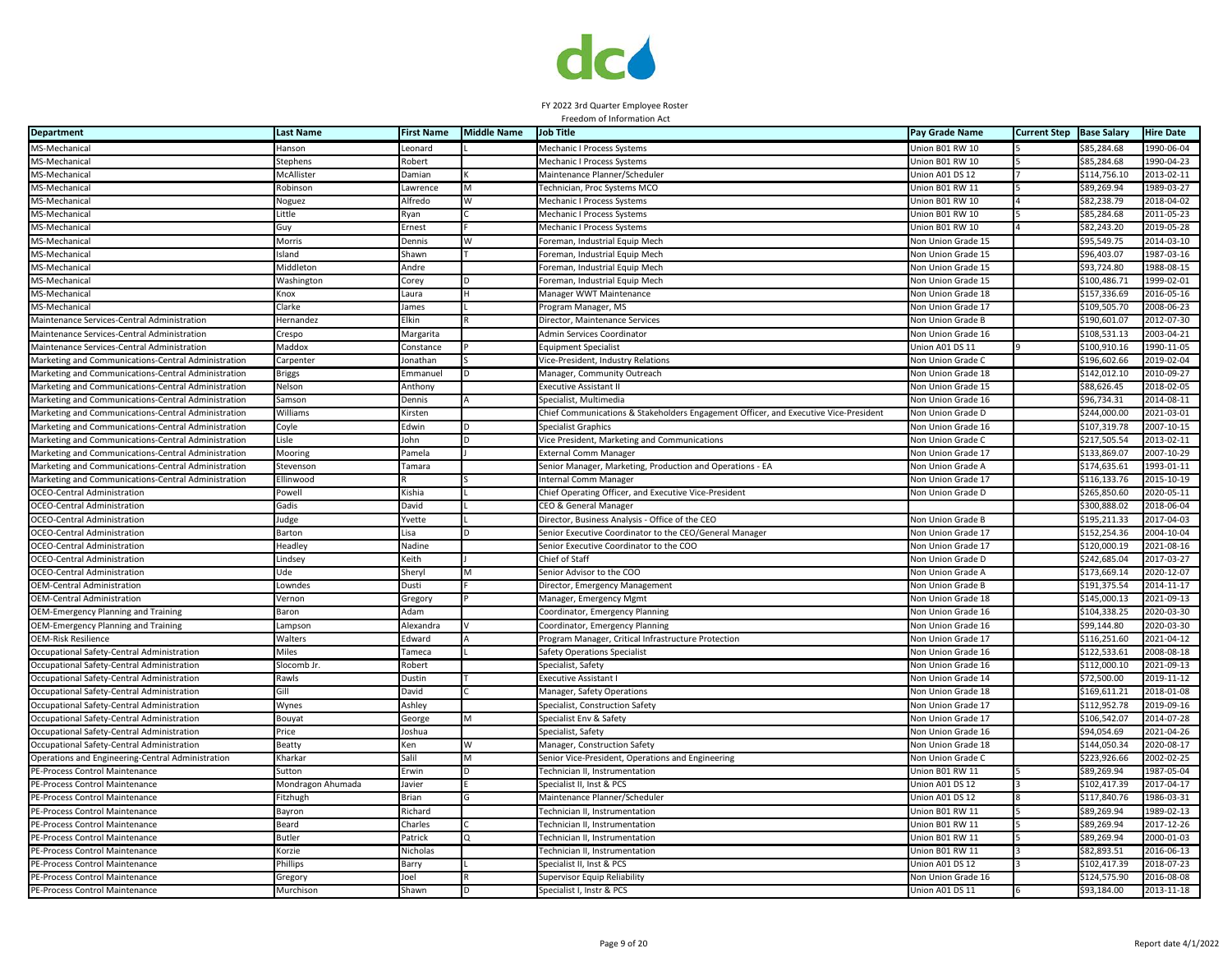

| <b>Department</b>                                   | <b>Last Name</b>  | <b>First Name</b> | <b>Middle Name</b> | <b>Job Title</b>                                                                     | Pay Grade Name     | <b>Current Step</b> | <b>Base Salary</b> | <b>Hire Date</b> |
|-----------------------------------------------------|-------------------|-------------------|--------------------|--------------------------------------------------------------------------------------|--------------------|---------------------|--------------------|------------------|
| MS-Mechanical                                       | Hanson            | Leonard           |                    | Mechanic I Process Systems                                                           | Union B01 RW 10    |                     | \$85,284.68        | 1990-06-04       |
| MS-Mechanical                                       | Stephens          | Robert            |                    | Mechanic I Process Systems                                                           | Union B01 RW 10    |                     | \$85,284.68        | 1990-04-23       |
| MS-Mechanical                                       | McAllister        | Damian            |                    | Maintenance Planner/Scheduler                                                        | Union A01 DS 12    |                     | \$114,756.10       | 2013-02-11       |
| MS-Mechanical                                       | Robinson          | Lawrence          | M                  | Technician, Proc Systems MCO                                                         | Union B01 RW 11    |                     | \$89,269.94        | 1989-03-27       |
| MS-Mechanical                                       | Noguez            | Alfredo           |                    | Mechanic I Process Systems                                                           | Union B01 RW 10    |                     | \$82,238.79        | 2018-04-02       |
| MS-Mechanical                                       | Little            | Ryan              |                    | Mechanic I Process Systems                                                           | Union B01 RW 10    |                     | \$85,284.68        | 2011-05-23       |
| MS-Mechanical                                       | Guy               | Ernest            |                    | Mechanic I Process Systems                                                           | Union B01 RW 10    |                     | \$82,243.20        | 2019-05-28       |
| MS-Mechanical                                       | Morris            | Dennis            |                    | Foreman, Industrial Equip Mech                                                       | Non Union Grade 15 |                     | \$95,549.75        | 2014-03-10       |
| MS-Mechanical                                       | Island            | Shawn             |                    | Foreman, Industrial Equip Mech                                                       | Non Union Grade 15 |                     | \$96,403.07        | 1987-03-16       |
| MS-Mechanical                                       | Middleton         | Andre             |                    | Foreman, Industrial Equip Mech                                                       | Non Union Grade 15 |                     | \$93,724.80        | 1988-08-15       |
| MS-Mechanical                                       | Washington        | Corey             |                    | Foreman, Industrial Equip Mech                                                       | Non Union Grade 15 |                     | \$100,486.71       | 1999-02-01       |
| MS-Mechanical                                       | Knox              | Laura             |                    | Manager WWT Maintenance                                                              | Non Union Grade 18 |                     | \$157,336.69       | 2016-05-16       |
| MS-Mechanical                                       | Clarke            | lames             |                    | Program Manager, MS                                                                  | Non Union Grade 17 |                     | \$109,505.70       | 2008-06-23       |
| Maintenance Services-Central Administration         | Hernandez         | Elkin             |                    | Director, Maintenance Services                                                       | Non Union Grade B  |                     | \$190,601.07       | 2012-07-30       |
| Maintenance Services-Central Administration         | Crespo            | Margarita         |                    | Admin Services Coordinator                                                           | Non Union Grade 16 |                     | \$108,531.13       | 2003-04-21       |
| Maintenance Services-Central Administration         | Maddox            | Constance         |                    | <b>Equipment Specialist</b>                                                          | Union A01 DS 11    |                     | \$100,910.16       | 1990-11-05       |
| Marketing and Communications-Central Administration | Carpenter         | Jonathan          |                    | Vice-President, Industry Relations                                                   | Non Union Grade C  |                     | \$196,602.66       | 2019-02-04       |
| Marketing and Communications-Central Administration | <b>Briggs</b>     | Emmanuel          |                    | Manager, Community Outreach                                                          | Non Union Grade 18 |                     | \$142,012.10       | 2010-09-27       |
| Marketing and Communications-Central Administration | Nelson            | Anthony           |                    | Executive Assistant II                                                               | Non Union Grade 15 |                     | \$88,626.45        | 2018-02-05       |
| Marketing and Communications-Central Administration | Samson            | Dennis            |                    | Specialist, Multimedia                                                               | Non Union Grade 16 |                     | \$96,734.31        | 2014-08-11       |
| Marketing and Communications-Central Administration | Williams          | Kirsten           |                    | Chief Communications & Stakeholders Engagement Officer, and Executive Vice-President | Non Union Grade D  |                     | \$244,000.00       | 2021-03-01       |
| Marketing and Communications-Central Administration | Coyle             | Edwin             |                    | <b>Specialist Graphics</b>                                                           | Non Union Grade 16 |                     | \$107,319.78       | 2007-10-15       |
| Marketing and Communications-Central Administration | Lisle             | John              |                    | Vice President, Marketing and Communications                                         | Non Union Grade C  |                     | \$217,505.54       | 2013-02-11       |
| Marketing and Communications-Central Administration | Mooring           | amela?            |                    | <b>External Comm Manager</b>                                                         | Non Union Grade 17 |                     | \$133,869.07       | 2007-10-29       |
| Marketing and Communications-Central Administration | Stevensor         | Tamara            |                    | Senior Manager, Marketing, Production and Operations - EA                            | Non Union Grade A  |                     | \$174,635.61       | 1993-01-11       |
| Marketing and Communications-Central Administration | Ellinwood         |                   |                    | Internal Comm Manager                                                                | Non Union Grade 17 |                     | \$116,133.76       | 2015-10-19       |
| <b>OCEO-Central Administration</b>                  | Powell            | Kishia            |                    | Chief Operating Officer, and Executive Vice-President                                | Non Union Grade D  |                     | \$265,850.60       | 2020-05-11       |
| <b>OCEO-Central Administration</b>                  | Gadis             | David             |                    | CEO & General Manager                                                                |                    |                     | \$300,888.02       | 2018-06-04       |
| <b>DCEO-Central Administration</b>                  | Judge             | Yvette            |                    | Director, Business Analysis - Office of the CEO                                      | Non Union Grade B  |                     | \$195,211.33       | 2017-04-03       |
| <b>DCEO-Central Administration</b>                  | Barton            | Lisa              |                    | Senior Executive Coordinator to the CEO/General Manager                              | Non Union Grade 17 |                     | \$152,254.36       | 2004-10-04       |
| OCEO-Central Administration                         | <b>Headley</b>    | Nadine            |                    | Senior Executive Coordinator to the COO                                              | Non Union Grade 17 |                     | \$120,000.19       | 2021-08-16       |
| <b>OCEO-Central Administration</b>                  | Lindsey           | Keith             |                    | Chief of Staff                                                                       | Non Union Grade D  |                     | \$242,685.04       | 2017-03-27       |
| <b>OCEO-Central Administration</b>                  | Ude               | Sheryl            |                    | Senior Advisor to the COO                                                            | Non Union Grade A  |                     | \$173,669.14       | 2020-12-07       |
| <b>OEM-Central Administration</b>                   | Lowndes           | Dusti             |                    | Director, Emergency Management                                                       | Non Union Grade B  |                     | \$191,375.54       | 2014-11-17       |
| OEM-Central Administration                          | Vernon            | Gregory           |                    | Manager, Emergency Mgmt                                                              | Non Union Grade 18 |                     | \$145,000.13       | 2021-09-13       |
| OEM-Emergency Planning and Training                 | Baron             | Adam              |                    | Coordinator, Emergency Planning                                                      | Non Union Grade 16 |                     | \$104,338.25       | 2020-03-30       |
| OEM-Emergency Planning and Training                 | Lampson           | Alexandra         |                    | Coordinator, Emergency Planning                                                      | Non Union Grade 16 |                     | \$99,144.80        | 2020-03-30       |
| <b>OEM-Risk Resilience</b>                          | Walters           | Edward            |                    | Program Manager, Critical Infrastructure Protection                                  | Non Union Grade 17 |                     | \$116,251.60       | 2021-04-12       |
| Occupational Safety-Central Administration          | Miles             | Tameca            |                    | Safety Operations Specialist                                                         | Non Union Grade 16 |                     | \$122,533.61       | 2008-08-18       |
| Occupational Safety-Central Administration          | Slocomb Jr        | Robert            |                    | Specialist, Safety                                                                   | Non Union Grade 16 |                     | \$112,000.10       | 2021-09-13       |
| Occupational Safety-Central Administration          | Rawls             | Dustin            |                    | Executive Assistant                                                                  | Non Union Grade 14 |                     | \$72,500.00        | 2019-11-12       |
| Occupational Safety-Central Administration          | Gil               | David             |                    | Manager, Safety Operations                                                           | Non Union Grade 18 |                     | \$169,611.21       | 2018-01-08       |
| Occupational Safety-Central Administration          | Wynes             | Ashley            |                    | Specialist, Construction Safety                                                      | Non Union Grade 17 |                     | \$112,952.78       | 2019-09-16       |
| Occupational Safety-Central Administration          | Bouyat            | George            | M                  | Specialist Env & Safety                                                              | Non Union Grade 17 |                     | \$106,542.07       | 2014-07-28       |
| Occupational Safety-Central Administration          | Price             | Joshua            |                    | Specialist, Safety                                                                   | Non Union Grade 16 |                     | \$94,054.69        | 2021-04-26       |
| Occupational Safety-Central Administration          | Beatty            | Ken               |                    | Manager, Construction Safety                                                         | Non Union Grade 18 |                     | \$144,050.34       | 2020-08-17       |
| Operations and Engineering-Central Administration   | Kharkar           | Salil             |                    | Senior Vice-President, Operations and Engineering                                    | Non Union Grade C  |                     | \$223,926.66       | 2002-02-25       |
| PE-Process Control Maintenance                      | Sutton            | Erwin             |                    | Technician II, Instrumentation                                                       | Union B01 RW 11    |                     | \$89,269.94        | 1987-05-04       |
| PE-Process Control Maintenance                      | Mondragon Ahumada | Javier            |                    | Specialist II, Inst & PCS                                                            | Union A01 DS 12    |                     | \$102,417.39       | 2017-04-17       |
| PE-Process Control Maintenance                      | Fitzhugh          | Brian             |                    | Maintenance Planner/Scheduler                                                        | Union A01 DS 12    |                     | \$117,840.76       | 1986-03-31       |
| PE-Process Control Maintenance                      | Bayron            | Richard           |                    | Fechnician II, Instrumentation                                                       | Union B01 RW 11    |                     | \$89,269.94        | 1989-02-13       |
| PE-Process Control Maintenance                      | Beard             | Charles           |                    | Technician II, Instrumentation                                                       | Union B01 RW 11    |                     | \$89.269.94        | 2017-12-26       |
| PE-Process Control Maintenance                      | Butler            | Patrick           |                    | Fechnician II, Instrumentation                                                       | Union B01 RW 11    |                     | \$89,269.94        | 2000-01-03       |
| PE-Process Control Maintenance                      | Korzie            | Nicholas          |                    | Fechnician II, Instrumentation                                                       | Union B01 RW 11    |                     | \$82,893.51        | 2016-06-13       |
| PE-Process Control Maintenance                      | Phillips          | Barry             |                    | Specialist II, Inst & PCS                                                            | Union A01 DS 12    |                     | \$102,417.39       | 2018-07-23       |
| PE-Process Control Maintenance                      | Gregory           | Joel              |                    | Supervisor Equip Reliability                                                         | Non Union Grade 16 |                     | \$124,575.90       | 2016-08-08       |
| PE-Process Control Maintenance                      | Murchisor         | Shawn             |                    | Specialist I, Instr & PCS                                                            | Union A01 DS 11    |                     | \$93,184.00        | 2013-11-18       |
|                                                     |                   |                   |                    |                                                                                      |                    |                     |                    |                  |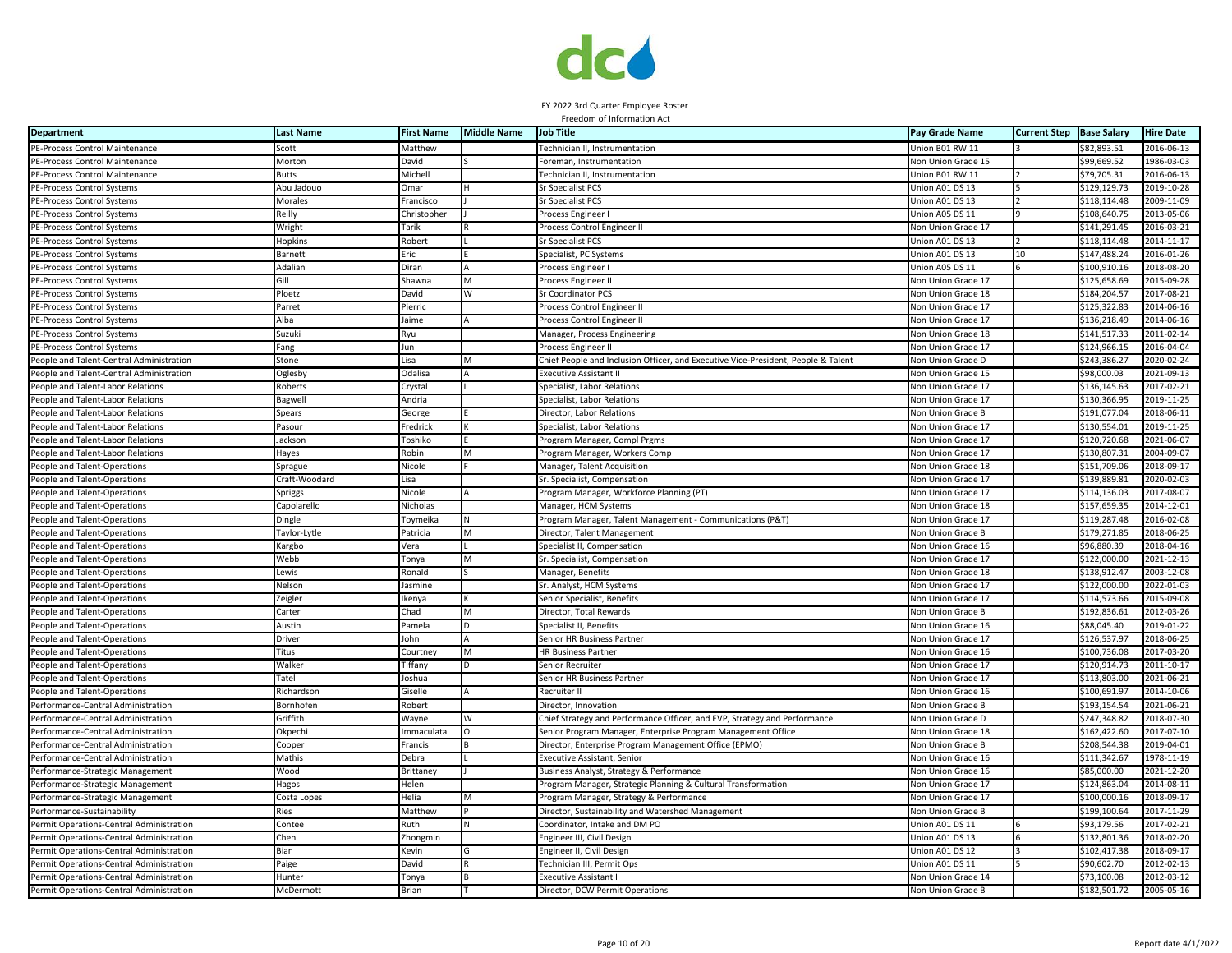

| <b>Department</b>                        | <b>Last Name</b> | <b>First Name</b> | <b>Middle Name</b> | <b>Job Title</b>                                                                  | Pay Grade Name            | <b>Current Step</b> | <b>Base Salary</b> | <b>Hire Date</b> |
|------------------------------------------|------------------|-------------------|--------------------|-----------------------------------------------------------------------------------|---------------------------|---------------------|--------------------|------------------|
| PE-Process Control Maintenance           | Scott            | Matthew           |                    | Technician II, Instrumentation                                                    | Union B01 RW 11           |                     | \$82,893.51        | 2016-06-13       |
| PE-Process Control Maintenance           | Morton           | David             |                    | Foreman, Instrumentation                                                          | Von Union Grade 15        |                     | \$99,669.52        | 1986-03-03       |
| PE-Process Control Maintenance           | Butts            | Michell           |                    | Technician II, Instrumentation                                                    | Jnion B01 RW 11           |                     | \$79,705.31        | 2016-06-13       |
| PE-Process Control Systems               | Abu Jadouo       | Omar              |                    | Sr Specialist PCS                                                                 | Jnion A01 DS 13           |                     | \$129.129.73       | 2019-10-28       |
| PE-Process Control Systems               | Morales          | Francisco         |                    | Sr Specialist PCS                                                                 | Jnion A01 DS 13           |                     | \$118,114.48       | 2009-11-09       |
| PE-Process Control Systems               | Reilly           | Christopher       |                    | Process Engineer                                                                  | Jnion A05 DS 11           |                     | \$108,640.75       | 2013-05-06       |
| PE-Process Control Systems               | Wright           | Tarik             |                    | Process Control Engineer II                                                       | Non Union Grade 17        |                     | \$141,291.45       | 2016-03-21       |
| PE-Process Control Systems               | Hopkins          | Robert            |                    | <b>Sr Specialist PCS</b>                                                          | Union A01 DS 13           |                     | \$118,114.48       | 2014-11-17       |
| PE-Process Control Systems               | Barnett          | Eric              |                    | Specialist, PC Systems                                                            | Union A01 DS 13           | 10                  | \$147,488.24       | 2016-01-26       |
| PE-Process Control Systems               | Adalian          | Diran             |                    | Process Engineer I                                                                | Jnion A05 DS 11           |                     | \$100.910.16       | 2018-08-20       |
| PE-Process Control Systems               | Gill             | Shawna            | M                  | Process Engineer II                                                               | Non Union Grade 17        |                     | \$125,658.69       | 2015-09-28       |
| PE-Process Control Systems               | Ploetz           | David             | W                  | Sr Coordinator PCS                                                                | <b>Von Union Grade 18</b> |                     | \$184,204.57       | 2017-08-21       |
| PE-Process Control Systems               | Parret           | Pierric           |                    | Process Control Engineer II                                                       | <b>Non Union Grade 17</b> |                     | \$125,322.83       | 2014-06-16       |
| PE-Process Control Systems               | Alba             | Jaime             |                    | Process Control Engineer II                                                       | Non Union Grade 17        |                     | \$136,218.49       | 2014-06-16       |
| PE-Process Control Systems               | Suzuki           | Ryu               |                    | Manager, Process Engineering                                                      | Non Union Grade 18        |                     | \$141,517.33       | 2011-02-14       |
| PE-Process Control Systems               | ang              | Jun               |                    | Process Engineer II                                                               | Non Union Grade 17        |                     | \$124,966.15       | 2016-04-04       |
| People and Talent-Central Administration | Stone            | Lisa              |                    | Chief People and Inclusion Officer, and Executive Vice-President, People & Talent | <b>Non Union Grade D</b>  |                     | \$243,386.27       | 2020-02-24       |
| eople and Talent-Central Administration  | Oglesby          | Odalisa           |                    | <b>Executive Assistant II</b>                                                     | <b>Von Union Grade 15</b> |                     | \$98,000.03        | 2021-09-13       |
| People and Talent-Labor Relations        | Roberts          | Crystal           |                    | Specialist, Labor Relations                                                       | Non Union Grade 17        |                     | \$136,145.63       | 2017-02-21       |
| eople and Talent-Labor Relations         | Bagwell          | Andria            |                    | Specialist, Labor Relations                                                       | <b>Von Union Grade 17</b> |                     | \$130,366.95       | 2019-11-25       |
| People and Talent-Labor Relations        | Spears           | George            |                    | Director, Labor Relations                                                         | Non Union Grade B         |                     | \$191,077.04       | 2018-06-11       |
| People and Talent-Labor Relations        | Pasour           | Fredrick          |                    | Specialist, Labor Relations                                                       | Non Union Grade 17        |                     | \$130,554.01       | 2019-11-25       |
| People and Talent-Labor Relations        | ackson           | Toshiko           |                    | Program Manager, Compl Prgms                                                      | Non Union Grade 17        |                     | \$120,720.68       | 2021-06-07       |
| eople and Talent-Labor Relations         | layes            | <b>Robin</b>      |                    | Program Manager, Workers Comp                                                     | <b>Von Union Grade 17</b> |                     | \$130,807.31       | 2004-09-07       |
| eople and Talent-Operations <sup></sup>  | Sprague          | Nicole            |                    | Manager, Talent Acquisition                                                       | Non Union Grade 18        |                     | \$151,709.06       | 2018-09-17       |
| People and Talent-Operations             | Craft-Woodard    | Lisa              |                    | Sr. Specialist, Compensation                                                      | <b>Non Union Grade 17</b> |                     | \$139,889.81       | 2020-02-03       |
| People and Talent-Operations             | Spriggs          | Nicole            |                    | Program Manager, Workforce Planning (PT)                                          | Non Union Grade 17        |                     | \$114,136.03       | 2017-08-07       |
| People and Talent-Operations             | Capolarello      | Nicholas          |                    | Manager, HCM Systems                                                              | Von Union Grade 18        |                     | \$157,659.35       | 2014-12-01       |
| People and Talent-Operations             | Dingle           | Toymeika          |                    | Program Manager, Talent Management - Communications (P&T)                         | <b>Von Union Grade 17</b> |                     | \$119,287.48       | 2016-02-08       |
| People and Talent-Operations             | Taylor-Lytle     | Patricia          |                    | Director, Talent Management                                                       | Non Union Grade B         |                     | \$179,271.85       | 2018-06-25       |
| People and Talent-Operations             | Kargbo           | Vera              |                    | Specialist II, Compensation                                                       | Non Union Grade 16        |                     | \$96,880.39        | 2018-04-16       |
| People and Talent-Operations             | Webb             | Tonya             | M                  | Sr. Specialist, Compensation                                                      | Non Union Grade 17        |                     | \$122,000.00       | 2021-12-13       |
| eople and Talent-Operations              | ewis             | Ronald            |                    | Manager, Benefits                                                                 | Non Union Grade 18        |                     | \$138,912.47       | 2003-12-08       |
| People and Talent-Operations             | Nelson           | Jasmine           |                    | Sr. Analyst, HCM Systems                                                          | Non Union Grade 17        |                     | \$122,000.00       | 2022-01-03       |
| People and Talent-Operations             | Zeigler          | Ikenya            |                    | Senior Specialist, Benefits                                                       | Non Union Grade 17        |                     | \$114,573.66       | $2015 - 09 - 08$ |
| eople and Talent-Operations <sup></sup>  | Carter           | Chad              |                    | Director, Total Rewards                                                           | <b>Von Union Grade B</b>  |                     | \$192,836.61       | 2012-03-26       |
| People and Talent-Operations             | Austin           | Pamela            |                    | Specialist II, Benefits                                                           | Von Union Grade 16        |                     | \$88,045.40        | 2019-01-22       |
| People and Talent-Operations             | Driver           | lohn              |                    | Senior HR Business Partner                                                        | Non Union Grade 17        |                     | \$126,537.97       | 2018-06-25       |
| People and Talent-Operations             | Titus            | Courtney          | M                  | <b>HR Business Partner</b>                                                        | Non Union Grade 16        |                     | \$100,736.08       | 2017-03-20       |
| eople and Talent-Operations              | Walker           | Tiffany           |                    | Senior Recruiter                                                                  | Non Union Grade 17        |                     | \$120,914.73       | 2011-10-17       |
| People and Talent-Operations             | Tatel            | Joshua            |                    | Senior HR Business Partner                                                        | Non Union Grade 17        |                     | \$113,803.00       | 2021-06-21       |
| People and Talent-Operations             | Richardson       | Giselle           |                    | Recruiter II                                                                      | <b>Non Union Grade 16</b> |                     | \$100.691.97       | 2014-10-06       |
| Performance-Central Administration       | Bornhofen        | Robert            |                    | Director, Innovation                                                              | <b>Von Union Grade B</b>  |                     | \$193,154.54       | 2021-06-21       |
| Performance-Central Administration       | Griffith         | Wayne             |                    | Chief Strategy and Performance Officer, and EVP, Strategy and Performance         | Von Union Grade D         |                     | \$247,348.82       | 2018-07-30       |
| Performance-Central Administration       | Okpechi          | Immaculata        |                    | Senior Program Manager, Enterprise Program Management Office                      | <b>Von Union Grade 18</b> |                     | \$162,422.60       | 2017-07-10       |
| Performance-Central Administration       | Cooper           | Francis           |                    | Director, Enterprise Program Management Office (EPMO)                             | Non Union Grade B         |                     | \$208,544.38       | 2019-04-01       |
| erformance-Central Administration        | Mathis           | Debra             |                    | Executive Assistant, Senior                                                       | Non Union Grade 16        |                     | \$111,342.67       | 1978-11-19       |
| Performance-Strategic Management         | Wood             | Brittaney         |                    | Business Analyst, Strategy & Performance                                          | Non Union Grade 16        |                     | \$85,000.00        | 2021-12-20       |
| Performance-Strategic Management         | lagos            | Helen             |                    | Program Manager, Strategic Planning & Cultural Transformation                     | <b>Non Union Grade 17</b> |                     | \$124,863.04       | 2014-08-11       |
| Performance-Strategic Management         | Costa Lopes      | Helia             | M                  | Program Manager, Strategy & Performance                                           | <b>Von Union Grade 17</b> |                     | \$100,000.16       | 2018-09-17       |
| Performance-Sustainability               | Ries             | Matthew           |                    | Director, Sustainability and Watershed Management                                 | Non Union Grade B         |                     | \$199,100.64       | 2017-11-29       |
| Permit Operations-Central Administration | Contee           | Ruth              |                    | Coordinator, Intake and DM PO                                                     | Jnion A01 DS 11           |                     | \$93,179.56        | 2017-02-21       |
| Permit Operations-Central Administration | Chen             | Zhongmin          |                    | Engineer III, Civil Design                                                        | Union A01 DS 13           |                     | \$132,801.36       | 2018-02-20       |
| Permit Operations-Central Administration | 3ian             | Kevin             |                    | Engineer II, Civil Design                                                         | Jnion A01 DS 12           |                     | \$102,417.38       | 2018-09-17       |
| Permit Operations-Central Administration | Paige            | David             |                    | Technician III, Permit Ops                                                        | Union A01 DS 11           |                     | \$90,602.70        | 2012-02-13       |
| Permit Operations-Central Administration | <b>Hunter</b>    | Tonya             |                    | Executive Assistant I                                                             | Non Union Grade 14        |                     | \$73,100.08        | 2012-03-12       |
| Permit Operations-Central Administration | McDermott        | Brian             |                    | Director, DCW Permit Operations                                                   | Non Union Grade B         |                     | \$182,501.72       | 2005-05-16       |
|                                          |                  |                   |                    |                                                                                   |                           |                     |                    |                  |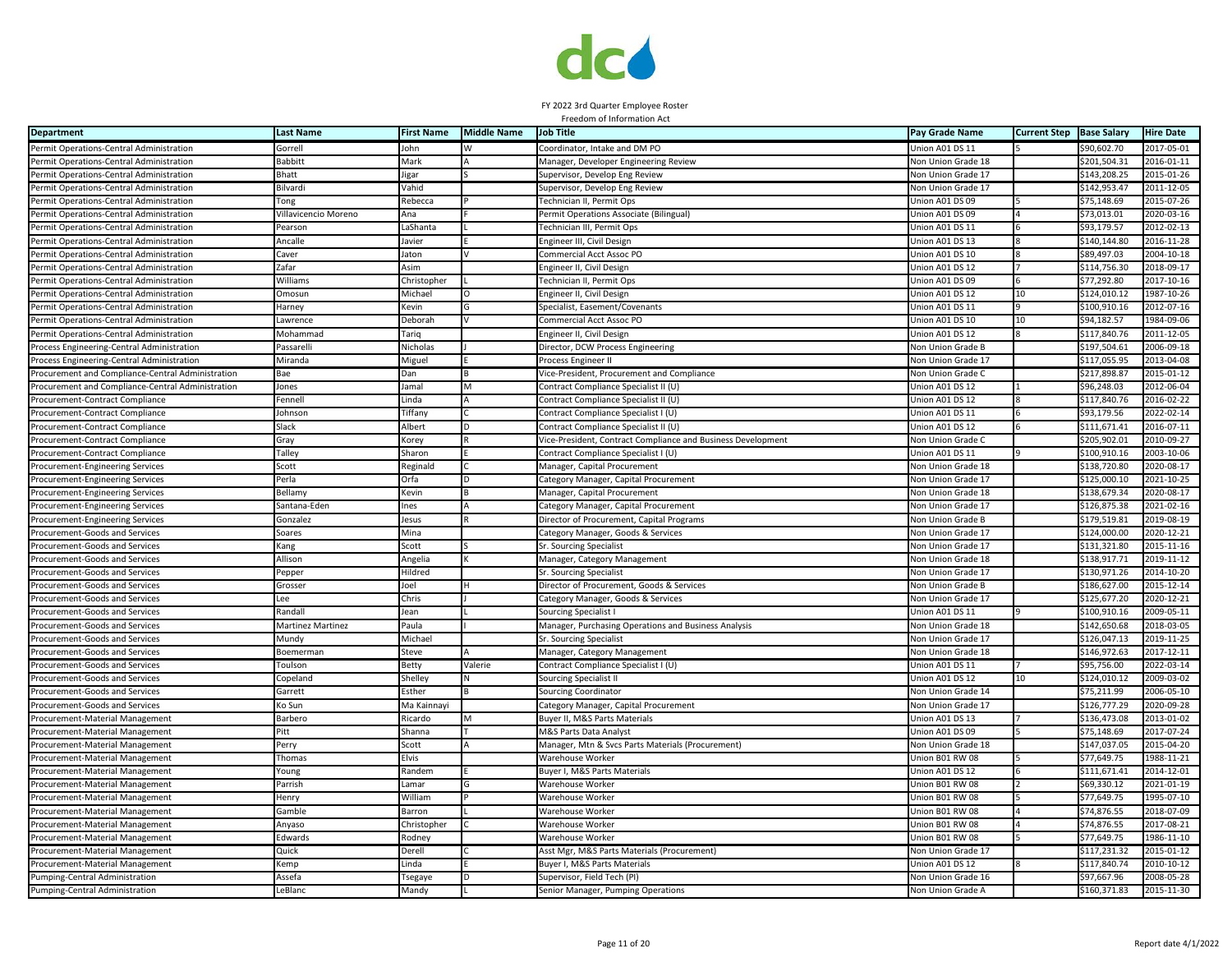

| <b>Department</b>                                 | <b>Last Name</b>                                                                                                                                             | <b>First Name</b> | <b>Middle Name</b> | <b>Job Title</b>                                             | Pay Grade Name     | <b>Current Step</b> | <b>Base Salary</b> | <b>Hire Date</b> |
|---------------------------------------------------|--------------------------------------------------------------------------------------------------------------------------------------------------------------|-------------------|--------------------|--------------------------------------------------------------|--------------------|---------------------|--------------------|------------------|
| Permit Operations-Central Administration          | Gorrell                                                                                                                                                      | John              |                    | Coordinator, Intake and DM PO                                | Jnion A01 DS 11    |                     | \$90,602.70        | 2017-05-01       |
| Permit Operations-Central Administration          | <b>Babbitt</b>                                                                                                                                               | Mark              |                    | Manager, Developer Engineering Review                        | Non Union Grade 18 |                     | \$201,504.31       | 2016-01-11       |
| Permit Operations-Central Administration          | Bhatt                                                                                                                                                        | ligar             |                    | Supervisor, Develop Eng Review                               | Non Union Grade 17 |                     | \$143,208.25       | 2015-01-26       |
| Permit Operations-Central Administratior          | Bilvardi                                                                                                                                                     | Vahid             |                    | Supervisor, Develop Eng Review                               | Non Union Grade 17 |                     | \$142,953.47       | 2011-12-05       |
| Permit Operations-Central Administration          | Tong                                                                                                                                                         | Rebecca           |                    | Technician II, Permit Ops                                    | Union A01 DS 09    |                     | \$75,148.69        | 2015-07-26       |
| Permit Operations-Central Administration          | Villavicencio Moreno                                                                                                                                         | Ana               |                    | Permit Operations Associate (Bilingual)                      | Union A01 DS 09    |                     | \$73,013.01        | 2020-03-16       |
| Permit Operations-Central Administration          | Pearson                                                                                                                                                      | LaShanta          |                    | Technician III, Permit Ops                                   | Union A01 DS 11    |                     | \$93,179.57        | 2012-02-13       |
| Permit Operations-Central Administration          | Ancalle                                                                                                                                                      | Javier            |                    | Engineer III, Civil Design                                   | Union A01 DS 13    |                     | \$140,144.80       | 2016-11-28       |
| Permit Operations-Central Administration          | Caver                                                                                                                                                        | Jaton             |                    | Commercial Acct Assoc PO                                     | Jnion A01 DS 10    |                     | \$89,497.03        | 2004-10-18       |
| Permit Operations-Central Administration          | Zafar                                                                                                                                                        | Asim              |                    | Engineer II, Civil Desigr                                    | Union A01 DS 12    |                     | \$114,756.30       | 2018-09-17       |
| Permit Operations-Central Administration          | Williams                                                                                                                                                     | Christopher       |                    | Technician II, Permit Ops                                    | Union A01 DS 09    |                     | \$77,292.80        | 2017-10-16       |
| Permit Operations-Central Administration          | Omosun                                                                                                                                                       | Michael           |                    | Engineer II, Civil Design                                    | Union A01 DS 12    | 10                  | \$124,010.12       | 1987-10-26       |
| Permit Operations-Central Administration          | Harney                                                                                                                                                       | Kevin             |                    | Specialist, Easement/Covenants                               | Union A01 DS 11    |                     | \$100,910.16       | 2012-07-16       |
| Permit Operations-Central Administration          | awrence                                                                                                                                                      | Deborah           | V                  | Commercial Acct Assoc PO                                     | Union A01 DS 10    | 10                  | \$94,182.57        | 1984-09-06       |
| Permit Operations-Central Administration          | Mohammad                                                                                                                                                     | Tariq             |                    | Engineer II, Civil Desigr                                    | Union A01 DS 12    |                     | \$117,840.76       | 2011-12-05       |
| Process Engineering-Central Administration        | Passarelli                                                                                                                                                   | Nicholas          |                    | Director, DCW Process Engineering                            | Non Union Grade B  |                     | \$197,504.61       | 2006-09-18       |
| Process Engineering-Central Administration        | Miranda                                                                                                                                                      | Miguel            |                    | Process Engineer II                                          | Non Union Grade 17 |                     | \$117,055.95       | 2013-04-08       |
| Procurement and Compliance-Central Administration | Bae                                                                                                                                                          | Dan               |                    | Vice-President, Procurement and Compliance                   | Non Union Grade C  |                     | \$217,898.87       | 2015-01-12       |
| Procurement and Compliance-Central Administration | lones                                                                                                                                                        | Jamal             |                    | Contract Compliance Specialist II (U)                        | Union A01 DS 12    |                     | \$96,248.03        | 2012-06-04       |
| Procurement-Contract Compliance                   | Fennell                                                                                                                                                      | inda              |                    | Contract Compliance Specialist II (U)                        | Jnion A01 DS 12    |                     | \$117,840.76       | 2016-02-22       |
| Procurement-Contract Compliance                   | Iohnson                                                                                                                                                      | Tiffany           |                    | Contract Compliance Specialist I (U)                         | Union A01 DS 11    |                     | \$93,179.56        | 2022-02-14       |
| Procurement-Contract Compliance                   | Slack                                                                                                                                                        | Albert            |                    | Contract Compliance Specialist II (U)                        | Union A01 DS 12    |                     | \$111,671.41       | 2016-07-11       |
| Procurement-Contract Compliance                   | Gray                                                                                                                                                         | Korey             |                    | Vice-President, Contract Compliance and Business Development | Non Union Grade C  |                     | \$205,902.01       | 2010-09-27       |
| rocurement-Contract Compliance                    | <b>Talley</b>                                                                                                                                                | Sharon            |                    | Contract Compliance Specialist I (U)                         | Union A01 DS 11    |                     | \$100,910.16       | 2003-10-06       |
| Procurement-Engineering Services                  | Scott                                                                                                                                                        | Reginald          |                    | Manager, Capital Procurement                                 | Non Union Grade 18 |                     | \$138,720.80       | 2020-08-17       |
| Procurement-Engineering Services                  | Perla                                                                                                                                                        | Orfa              |                    | Category Manager, Capital Procurement                        | Non Union Grade 17 |                     | \$125,000.10       | 2021-10-25       |
| Procurement-Engineering Services                  | Bellamy                                                                                                                                                      | Kevin             |                    | Manager, Capital Procurement                                 | Non Union Grade 18 |                     | \$138,679.34       | 2020-08-17       |
| Procurement-Engineering Services                  | Santana-Eden                                                                                                                                                 | Ines              |                    | Category Manager, Capital Procurement                        | Non Union Grade 17 |                     | \$126,875.38       | 2021-02-16       |
| Procurement-Engineering Services                  | Gonzalez                                                                                                                                                     | lesus             |                    | Director of Procurement, Capital Programs                    | Non Union Grade B  |                     | \$179,519.81       | 2019-08-19       |
| Procurement-Goods and Services                    | Soares                                                                                                                                                       | Mina              |                    | Category Manager, Goods & Services                           | Non Union Grade 17 |                     | \$124,000.00       | 2020-12-21       |
| Procurement-Goods and Services                    | ang)                                                                                                                                                         | Scott             |                    | Sr. Sourcing Specialist                                      | Non Union Grade 17 |                     | \$131,321.80       | 2015-11-16       |
| Procurement-Goods and Services                    | Allison                                                                                                                                                      | Angelia           |                    | Manager, Category Management                                 | Non Union Grade 18 |                     | \$138,917.71       | 2019-11-12       |
| Procurement-Goods and Services                    | Pepper                                                                                                                                                       | Hildred           |                    | Sr. Sourcing Specialist                                      | Non Union Grade 17 |                     | \$130,971.26       | 2014-10-20       |
| Procurement-Goods and Services                    | Grosser                                                                                                                                                      | Joel              |                    | Director of Procurement, Goods & Services                    | Non Union Grade B  |                     | \$186,627.00       | 2015-12-14       |
| Procurement-Goods and Services                    | .ee                                                                                                                                                          | Chris             |                    | Category Manager, Goods & Services                           | Non Union Grade 17 |                     | \$125,677.20       | 2020-12-21       |
| Procurement-Goods and Services                    | Randall                                                                                                                                                      | Jean              |                    | Sourcing Specialist                                          | Union A01 DS 11    |                     | \$100,910.16       | 2009-05-11       |
| Procurement-Goods and Services                    | <b>Martinez Martinez</b>                                                                                                                                     | Paula             |                    | Manager, Purchasing Operations and Business Analysis         | Non Union Grade 18 |                     | \$142,650.68       | 2018-03-05       |
| Procurement-Goods and Services                    | Mundy                                                                                                                                                        | Michael           |                    | Sr. Sourcing Specialist                                      | Non Union Grade 17 |                     | \$126,047.13       | 2019-11-25       |
| Procurement-Goods and Services                    | Boemerman                                                                                                                                                    | Steve             |                    | Manager, Category Management                                 | Non Union Grade 18 |                     | \$146,972.63       | 2017-12-11       |
| Procurement-Goods and Services                    | Toulson                                                                                                                                                      | Betty             | Valerie            | Contract Compliance Specialist I (U)                         | Union A01 DS 11    |                     | \$95,756.00        | 2022-03-14       |
| Procurement-Goods and Services                    | Copeland                                                                                                                                                     | Shelley           |                    | <b>Sourcing Specialist II</b>                                | Union A01 DS 12    | 10                  | \$124,010.12       | 2009-03-02       |
| Procurement-Goods and Services                    | Garrett                                                                                                                                                      | Esther            |                    | Sourcing Coordinator                                         | Non Union Grade 14 |                     | \$75,211.99        | 2006-05-10       |
| Procurement-Goods and Services                    | Ko Sun                                                                                                                                                       | Ma Kainnayi       |                    | Category Manager, Capital Procurement                        | Non Union Grade 17 |                     | \$126,777.29       | 2020-09-28       |
| Procurement-Material Management                   | Barbero                                                                                                                                                      | Ricardo           |                    | Buyer II, M&S Parts Materials                                | Union A01 DS 13    |                     | \$136,473.08       | 2013-01-02       |
| Procurement-Material Management                   | Pitt                                                                                                                                                         | Shanna            |                    | M&S Parts Data Analyst                                       | Union A01 DS 09    |                     | \$75,148.69        | 2017-07-24       |
| Procurement-Material Management                   | Perry                                                                                                                                                        | Scott             | A                  | Manager, Mtn & Svcs Parts Materials (Procurement)            | Non Union Grade 18 |                     | \$147,037.05       | 2015-04-20       |
| Procurement-Material Management                   | Thomas                                                                                                                                                       | Elvis             |                    | Warehouse Worker                                             | Union B01 RW 08    |                     | \$77,649.75        | 1988-11-21       |
| Procurement-Material Management                   | Young                                                                                                                                                        | Randem            |                    | Buyer I, M&S Parts Materials                                 | Union A01 DS 12    |                     | \$111,671.41       | 2014-12-01       |
| Procurement-Material Management                   | Parrish                                                                                                                                                      | Lamar             |                    | Warehouse Worker                                             | Union B01 RW 08    |                     | \$69,330.12        | 2021-01-19       |
| Procurement-Material Management                   | <b>Henry</b>                                                                                                                                                 | William           |                    | Warehouse Worker                                             | Union B01 RW 08    |                     | \$77,649.75        | 1995-07-10       |
| Procurement-Material Management                   | Gamble                                                                                                                                                       | Barron            |                    | Warehouse Worker                                             | Union B01 RW 08    |                     | \$74,876.55        | 2018-07-09       |
| Procurement-Material Management                   | Anyaso                                                                                                                                                       | Christopher       |                    | Warehouse Worker                                             | Jnion B01 RW 08    |                     | \$74,876.55        | 2017-08-21       |
| Procurement-Material Management                   | Edwards                                                                                                                                                      | Rodney            |                    | Warehouse Worker                                             | Union B01 RW 08    |                     | \$77,649.75        | 1986-11-10       |
| Procurement-Material Management                   | Quick                                                                                                                                                        | Derell            |                    | Asst Mgr, M&S Parts Materials (Procurement)                  | Non Union Grade 17 |                     | \$117,231.32       | 2015-01-12       |
| Procurement-Material Management                   | <emp< td=""><td>Linda</td><td></td><td>Buyer I, M&amp;S Parts Materials</td><td>Union A01 DS 12</td><td></td><td>\$117,840.74</td><td>2010-10-12</td></emp<> | Linda             |                    | Buyer I, M&S Parts Materials                                 | Union A01 DS 12    |                     | \$117,840.74       | 2010-10-12       |
| Pumping-Central Administration                    | Assefa                                                                                                                                                       | Tsegaye           |                    | Supervisor, Field Tech (PI)                                  | Non Union Grade 16 |                     | \$97,667.96        | 2008-05-28       |
| Pumping-Central Administration                    | LeBlanc                                                                                                                                                      | Mandy             |                    | Senior Manager, Pumping Operations                           | Non Union Grade A  |                     | \$160,371.83       | 2015-11-30       |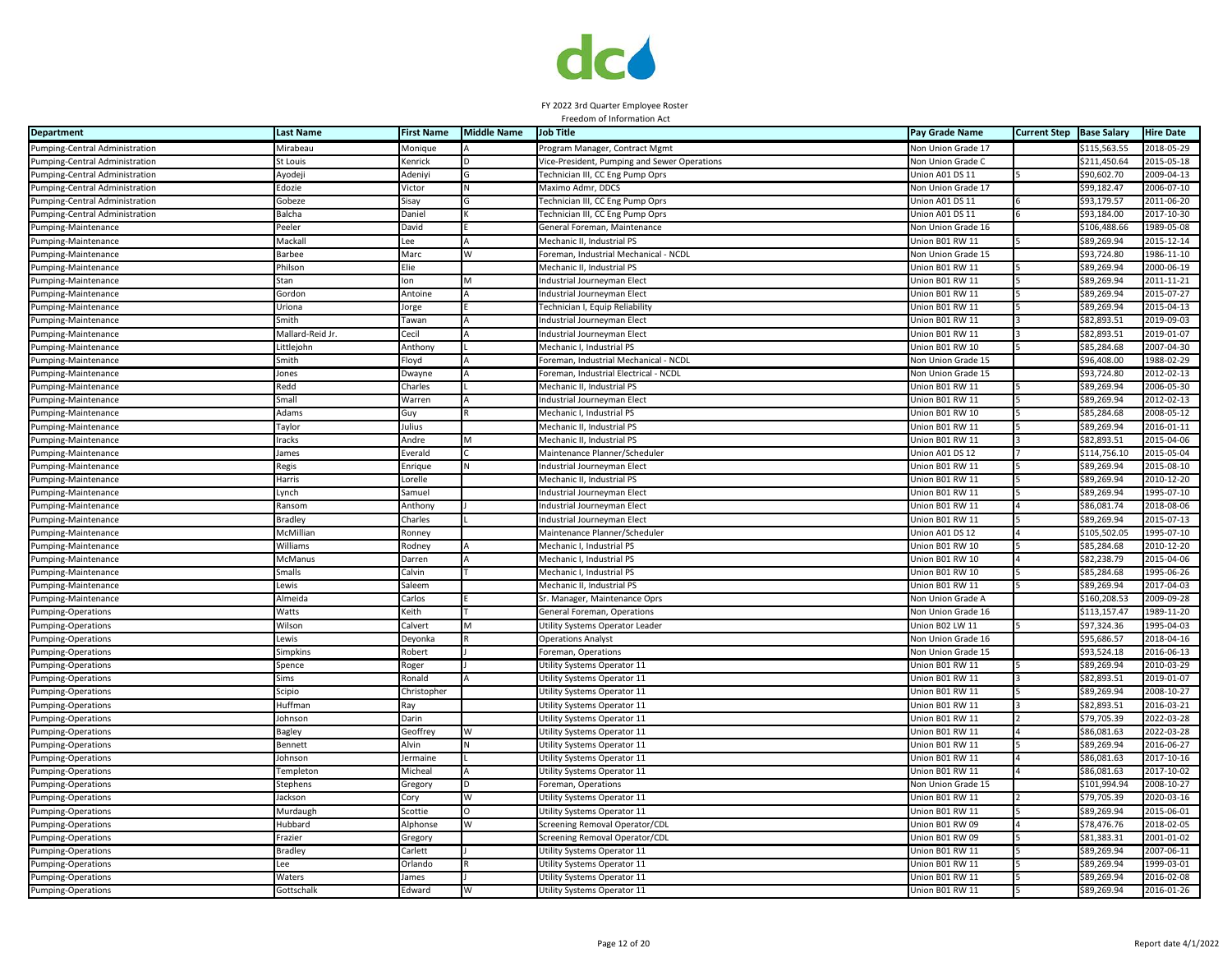

| <b>Department</b>              | <b>Last Name</b> | <b>First Name</b> | <b>Middle Name</b> | <b>Job Title</b>                             | Pay Grade Name            | <b>Current Step</b> | <b>Base Salary</b> | <b>Hire Date</b> |
|--------------------------------|------------------|-------------------|--------------------|----------------------------------------------|---------------------------|---------------------|--------------------|------------------|
| Pumping-Central Administration | Mirabeau         | Monique           |                    | Program Manager, Contract Mgmt               | Non Union Grade 17        |                     | \$115,563.55       | 2018-05-29       |
| Pumping-Central Administration | St Louis         | Kenrick           | n.                 | Vice-President, Pumping and Sewer Operations | Non Union Grade C         |                     | \$211,450.64       | 2015-05-18       |
| Pumping-Central Administration | Ayodeji          | Adeniyi           | G                  | Technician III, CC Eng Pump Oprs             | Jnion A01 DS 11           |                     | \$90,602.70        | 2009-04-13       |
| Pumping-Central Administration | Edozie           | Victor            | IN.                | Maximo Admr, DDCS                            | Non Union Grade 17        |                     | \$99,182.47        | 2006-07-10       |
| Pumping-Central Administration | Gobeze           | Sisay             |                    | Technician III, CC Eng Pump Oprs             | Jnion A01 DS 11           |                     | \$93,179.57        | 2011-06-20       |
| Pumping-Central Administration | Balcha           | Daniel            |                    | <b>Technician III, CC Eng Pump Oprs</b>      | Jnion A01 DS 11           |                     | \$93,184.00        | $2017 - 10 - 30$ |
| Pumping-Maintenance            | Peeler           | David             |                    | General Foreman, Maintenance                 | Non Union Grade 16        |                     | \$106,488.66       | 1989-05-08       |
| Pumping-Maintenance            | Mackall          | Lee               |                    | Mechanic II, Industrial PS                   | Union B01 RW 11           |                     | \$89,269.94        | 2015-12-14       |
| Pumping-Maintenance            | Barbee           | Marc              | W                  | Foreman, Industrial Mechanical - NCDL        | <b>Von Union Grade 15</b> |                     | \$93,724.80        | 1986-11-10       |
| Pumping-Maintenance            | Philson          | Elie              |                    | Mechanic II, Industrial PS                   | Jnion B01 RW 11           |                     | \$89,269.94        | 2000-06-19       |
| Pumping-Maintenance            | Stan             | Ion               | M                  | Industrial Journeyman Elect                  | Union B01 RW 11           |                     | \$89,269.94        | 2011-11-21       |
| Pumping-Maintenance            | Gordon           | Antoine           |                    | Industrial Journeyman Elect                  | Jnion B01 RW 11           |                     | \$89,269.94        | 2015-07-27       |
| Pumping-Maintenance            | Jriona           | lorge             |                    | Technician I, Equip Reliability              | Jnion B01 RW 11           |                     | \$89,269.94        | 2015-04-13       |
| Pumping-Maintenance            | imith            | Tawan             |                    | Industrial Journeyman Elect                  | Jnion B01 RW 11           |                     | \$82,893.51        | 2019-09-03       |
| Pumping-Maintenance            | Mallard-Reid Jr. | Cecil             |                    | Industrial Journeyman Elect                  | Jnion B01 RW 11           |                     | \$82,893.51        | 2019-01-07       |
| Pumping-Maintenance            | Littlejohn       | Anthony           |                    | Mechanic I, Industrial PS                    | Union B01 RW 10           |                     | \$85,284.68        | 2007-04-30       |
| Pumping-Maintenance            | Smith            | Floyd             |                    | Foreman, Industrial Mechanical - NCDL        | <b>Von Union Grade 15</b> |                     | \$96,408.00        | 1988-02-29       |
| Pumping-Maintenance            | Jones            | Dwayne            |                    | Foreman, Industrial Electrical - NCDL        | Von Union Grade 15        |                     | \$93,724.80        | 2012-02-13       |
| Pumping-Maintenance            | <b>Redd</b>      | Charles           |                    | Mechanic II, Industrial PS                   | Jnion B01 RW 11           |                     | \$89,269.94        | 2006-05-30       |
| Pumping-Maintenance            | Small            | Warren            |                    | Industrial Journeyman Elect                  | Jnion B01 RW 11           |                     | \$89,269.94        | 2012-02-13       |
| Pumping-Maintenance            | Adams            | Guy               |                    | Mechanic I, Industrial PS                    | Jnion B01 RW 10           |                     | \$85,284.68        | 2008-05-12       |
| Pumping-Maintenance            | Taylor           | Julius            |                    | Mechanic II, Industrial PS                   | Jnion B01 RW 11           |                     | \$89,269.94        | 2016-01-11       |
| Pumping-Maintenance            | Iracks           | Andre             | M                  | Mechanic II, Industrial PS                   | Jnion B01 RW 11           |                     | \$82,893.51        | 2015-04-06       |
| Pumping-Maintenance            | James            | Everald           |                    | Maintenance Planner/Scheduler                | Jnion A01 DS 12           |                     | \$114,756.10       | 2015-05-04       |
| Pumping-Maintenance            | <b>Regis</b>     | Enrique           | N                  | Industrial Journeyman Elect                  | Jnion B01 RW 11           |                     | \$89,269.94        | 2015-08-10       |
| Pumping-Maintenance            | Harris           | Lorelle           |                    | Mechanic II, Industrial PS                   | Jnion B01 RW 11           |                     | \$89,269.94        | 2010-12-20       |
| Pumping-Maintenance            | Lynch            | Samuel            |                    | Industrial Journeyman Elect                  | Jnion B01 RW 11           |                     | \$89,269.94        | 1995-07-10       |
| Pumping-Maintenance            | <b>Ransom</b>    | Anthony           |                    | Industrial Journeyman Elect                  | Jnion B01 RW 11           |                     | \$86,081.74        | 2018-08-06       |
| Pumping-Maintenance            | Bradley          | Charles           |                    | Industrial Journeyman Elect                  | Jnion B01 RW 11           |                     | \$89,269.94        | 2015-07-13       |
| Pumping-Maintenance            | McMillian        | Ronney            |                    | Maintenance Planner/Scheduler                | Jnion A01 DS 12           |                     | \$105,502.05       | 1995-07-10       |
| Pumping-Maintenance            | Nilliams         | Rodney            |                    | Mechanic I, Industrial PS                    | Jnion B01 RW 10           |                     | \$85,284.68        | 2010-12-20       |
| Pumping-Maintenance            | McManus          | Darren            |                    | Mechanic I, Industrial PS                    | Union B01 RW 10           |                     | \$82,238.79        | 2015-04-06       |
| Pumping-Maintenance            | Smalls           | Calvin            |                    | Mechanic I, Industrial PS                    | Union B01 RW 10           |                     | \$85,284.68        | 1995-06-26       |
| Pumping-Maintenance            | Lewis            | Saleem            |                    | Mechanic II, Industrial PS                   | Jnion B01 RW 11           |                     | \$89,269.94        | 2017-04-03       |
| Pumping-Maintenance            | Almeida          | Carlos            |                    | Sr. Manager, Maintenance Oprs                | <b>Von Union Grade A</b>  |                     | \$160,208.53       | 2009-09-28       |
| Pumping-Operations             | Watts            | Keith             |                    | General Foreman, Operations                  | Von Union Grade 16        |                     | \$113,157.47       | 1989-11-20       |
| <b>Pumping-Operations</b>      | Wilson           | Calvert           |                    | Utility Systems Operator Leader              | Jnion B02 LW 11           |                     | \$97,324.36        | 1995-04-03       |
| Pumping-Operations             | ewis             | Deyonka           |                    | Operations Analys                            | <b>Von Union Grade 16</b> |                     | \$95,686.57        | 2018-04-16       |
| <b>Pumping-Operations</b>      | Simpkins         | Robert            |                    | Foreman, Operations                          | Non Union Grade 15        |                     | \$93,524.18        | 2016-06-13       |
| Pumping-Operations             | Spence           | Roger             |                    | Utility Systems Operator 11                  | Union B01 RW 11           |                     | \$89,269.94        | 2010-03-29       |
| Pumping-Operations             | Sims             | Ronald            |                    | Utility Systems Operator 11                  | Union B01 RW 11           |                     | \$82,893.51        | 2019-01-07       |
| Pumping-Operations             | Scipio           | Christopher       |                    | Utility Systems Operator 11                  | Jnion B01 RW 11           |                     | \$89,269.94        | 2008-10-27       |
| Pumping-Operations             | Huffman          | Ray               |                    | Utility Systems Operator 11                  | Jnion B01 RW 11           |                     | \$82.893.51        | 2016-03-21       |
| Pumping-Operations             | Johnson          | Darin             |                    | Utility Systems Operator 11                  | Jnion B01 RW 11           |                     | \$79,705.39        | 2022-03-28       |
| Pumping-Operations             | Bagley           | Geoffrey          | W                  | Utility Systems Operator 11                  | Jnion B01 RW 11           |                     | \$86,081.63        | 2022-03-28       |
| <b>Pumping-Operations</b>      | 3ennett          | Alvin             |                    | Utility Systems Operator 11                  | Jnion B01 RW 11           |                     | \$89,269.94        | 2016-06-27       |
| Pumping-Operations             | ohnson           | lermaine          |                    | Utility Systems Operator 11                  | Jnion B01 RW 11           |                     | \$86,081.63        | 2017-10-16       |
| Pumping-Operations             | Templeton        | Micheal           | A                  | Utility Systems Operator 11                  | Jnion B01 RW 11           |                     | \$86,081.63        | 2017-10-02       |
| <b>Pumping-Operations</b>      | Stephens         | Gregory           |                    | Foreman, Operations                          | Non Union Grade 15        |                     | \$101,994.94       | 2008-10-27       |
| <b>Pumping-Operations</b>      | ackson           | Cory              | W                  | Utility Systems Operator 11                  | Union B01 RW 11           |                     | \$79,705.39        | 2020-03-16       |
| Pumping-Operations             | Murdaugh         | Scottie           | O                  | Utility Systems Operator 11                  | Jnion B01 RW 11           |                     | \$89,269.94        | 2015-06-01       |
| Pumping-Operations             | Hubbard          | Alphonse          | W                  | Screening Removal Operator/CDL               | Union B01 RW 09           |                     | \$78,476.76        | 2018-02-05       |
| <b>Pumping-Operations</b>      | Frazier          | Gregory           |                    | Screening Removal Operator/CDL               | Jnion B01 RW 09           |                     | \$81,383.31        | 2001-01-02       |
| <b>Pumping-Operations</b>      | <b>Bradley</b>   | Carlett           |                    | Utility Systems Operator 11                  | Jnion B01 RW 11           |                     | \$89,269.94        | $2007 - 06 - 11$ |
| Pumping-Operations             | .ee              | Orlando           |                    | Utility Systems Operator 11                  | Jnion B01 RW 11           |                     | \$89,269.94        | 999-03-01        |
| Pumping-Operations             | Naters           | James             |                    | Utility Systems Operator 11                  | Union B01 RW 11           |                     | \$89,269.94        | 2016-02-08       |
| <b>Pumping-Operations</b>      | Gottschalk       | Edward            | W                  | Utility Systems Operator 11                  | Union B01 RW 11           |                     | \$89,269.94        | 2016-01-26       |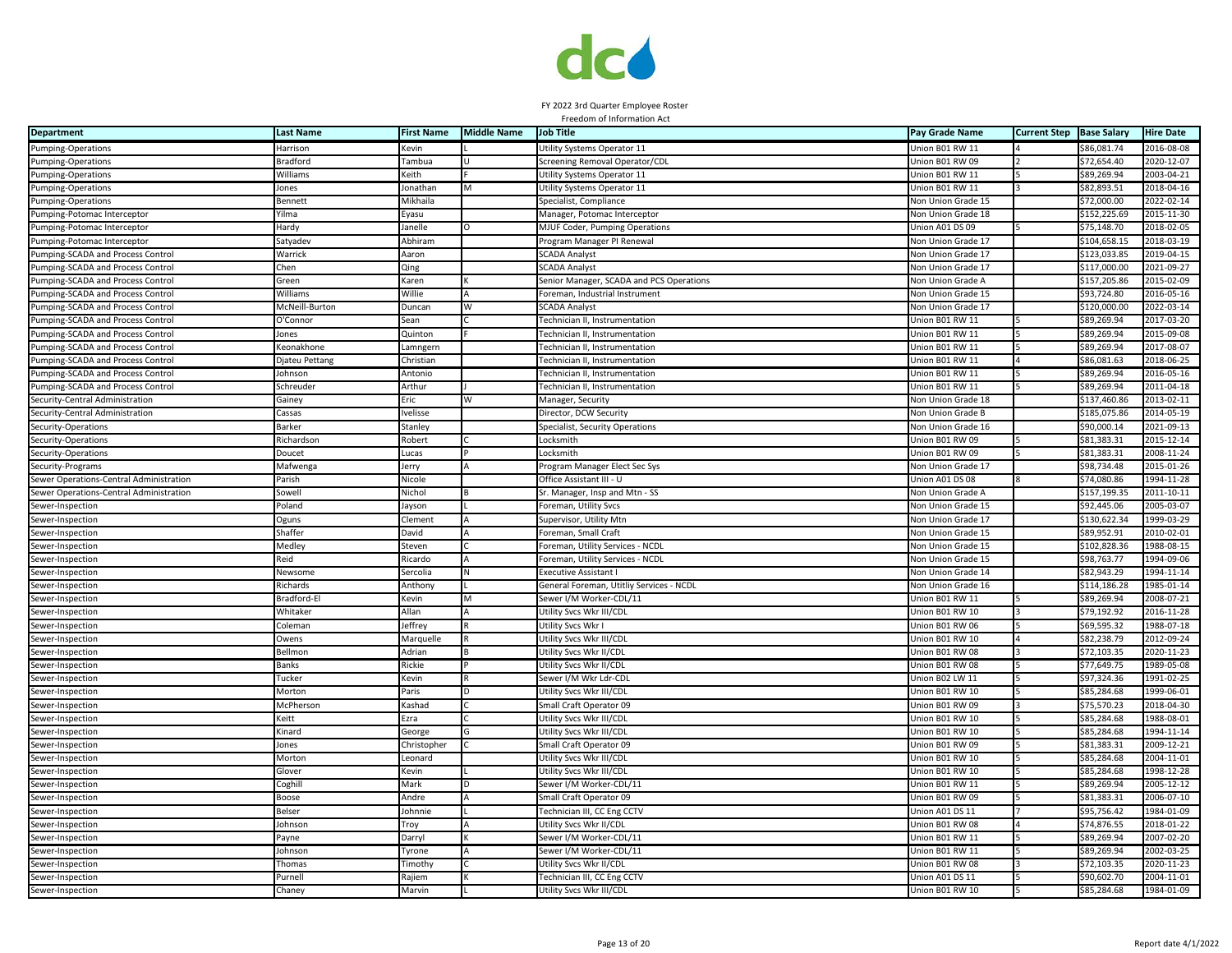

| <b>Department</b>                       | <b>Last Name</b> | <b>First Name</b> | <b>Middle Name</b> | <b>Job Title</b>                         | Pay Grade Name     | <b>Current Step</b> | <b>Base Salary</b> | <b>Hire Date</b> |
|-----------------------------------------|------------------|-------------------|--------------------|------------------------------------------|--------------------|---------------------|--------------------|------------------|
| Pumping-Operations                      | Harrison         | Kevin             |                    | Utility Systems Operator 11              | Union B01 RW 11    |                     | \$86,081.74        | 2016-08-08       |
| Pumping-Operations                      | <b>Bradford</b>  | Tambua            | $\mathbf{H}$       | Screening Removal Operator/CDL           | Union B01 RW 09    |                     | \$72,654.40        | 2020-12-07       |
| Pumping-Operations                      | Williams         | Keith             |                    | Utility Systems Operator 11              | Union B01 RW 11    |                     | \$89,269.94        | 2003-04-21       |
| <b>Pumping-Operations</b>               | Jones            | Jonathan          | M                  | Utility Systems Operator 11              | Union B01 RW 11    |                     | \$82,893.51        | 2018-04-16       |
| Pumping-Operations                      | Bennett          | Mikhaila          |                    | Specialist, Compliance                   | Non Union Grade 15 |                     | \$72,000.00        | 2022-02-14       |
| Pumping-Potomac Interceptor             | Yilma            | Eyasu             |                    | Manager, Potomac Interceptor             | Non Union Grade 18 |                     | \$152,225.69       | 2015-11-30       |
| Pumping-Potomac Interceptor             | Hardy            | Janelle           | O                  | MJUF Coder, Pumping Operations           | Union A01 DS 09    |                     | \$75,148.70        | 2018-02-05       |
| Pumping-Potomac Interceptor             | Satyadev         | Abhiram           |                    | Program Manager PI Renewal               | Non Union Grade 17 |                     | \$104,658.15       | 2018-03-19       |
| Pumping-SCADA and Process Control       | Warrick          | Aaron             |                    | <b>SCADA Analyst</b>                     | Non Union Grade 17 |                     | \$123,033.85       | 2019-04-15       |
| Pumping-SCADA and Process Control       | Chen             | Qing              |                    | <b>SCADA Analyst</b>                     | Non Union Grade 17 |                     | \$117,000.00       | 2021-09-27       |
| Pumping-SCADA and Process Control       | Green            | Karen             |                    | Senior Manager, SCADA and PCS Operations | Non Union Grade A  |                     | \$157,205.86       | 2015-02-09       |
| Pumping-SCADA and Process Control       | Williams         | Willie            |                    | Foreman, Industrial Instrument           | Non Union Grade 15 |                     | \$93,724.80        | 2016-05-16       |
| Pumping-SCADA and Process Control       | McNeill-Burton   | Duncan            |                    | <b>SCADA Analyst</b>                     | Non Union Grade 17 |                     | \$120,000.00       | 2022-03-14       |
| Pumping-SCADA and Process Control       | O'Connor         | Sean              |                    | Technician II, Instrumentation           | Union B01 RW 11    |                     | \$89,269.94        | 2017-03-20       |
| Pumping-SCADA and Process Control       | Jones            | Quinton           |                    | Technician II, Instrumentation           | Union B01 RW 11    |                     | \$89,269.94        | 2015-09-08       |
| Pumping-SCADA and Process Control       | Keonakhone       | Lamngern          |                    | Technician II, Instrumentation           | Union B01 RW 11    |                     | \$89,269.94        | 2017-08-07       |
| Pumping-SCADA and Process Control       | Djateu Pettang   | Christian         |                    | Fechnician II, Instrumentation           | Union B01 RW 11    |                     | \$86,081.63        | 2018-06-25       |
| Pumping-SCADA and Process Control       | Johnson          | Antonio           |                    | Technician II, Instrumentation           | Union B01 RW 11    |                     | \$89,269.94        | 2016-05-16       |
| Pumping-SCADA and Process Control       | Schreuder        | Arthur            |                    | Technician II, Instrumentation           | Union B01 RW 11    |                     | \$89,269.94        | 2011-04-18       |
| Security-Central Administration         | Gainey           | Eric              | W                  | Manager, Security                        | Non Union Grade 18 |                     | \$137,460.86       | 2013-02-11       |
| Security-Central Administration         | Cassas           | Ivelisse          |                    | Director, DCW Security                   | Non Union Grade B  |                     | \$185,075.86       | 2014-05-19       |
| Security-Operations                     | Barker           | Stanley           |                    | Specialist, Security Operations          | Non Union Grade 16 |                     | \$90,000.14        | 2021-09-13       |
| Security-Operations                     | Richardson       | Robert            |                    | Locksmith                                | Union B01 RW 09    |                     | \$81,383.31        | 2015-12-14       |
| Security-Operations                     | Doucet           | Lucas             |                    | Locksmith                                | Union B01 RW 09    |                     | \$81,383.31        | 2008-11-24       |
| Security-Programs                       | Mafwenga         | Jerry             |                    | Program Manager Elect Sec Sys            | Non Union Grade 17 |                     | \$98,734.48        | 2015-01-26       |
| Sewer Operations-Central Administration | Parish           | Nicole            |                    | Office Assistant III - U                 | Union A01 DS 08    |                     | \$74,080.86        | 1994-11-28       |
| Sewer Operations-Central Administration | Sowell           | Nichol            |                    | Sr. Manager, Insp and Mtn - SS           | Non Union Grade A  |                     | \$157,199.35       | 2011-10-11       |
| Sewer-Inspection                        | Poland           | Jayson            |                    | Foreman, Utility Svcs                    | Non Union Grade 15 |                     | \$92,445.06        | 2005-03-07       |
| Sewer-Inspection                        | Oguns            | Clement           |                    | Supervisor, Utility Mtn                  | Non Union Grade 17 |                     | \$130,622.34       | 1999-03-29       |
| Sewer-Inspection                        | Shaffer          | David             |                    | Foreman, Small Craft                     | Non Union Grade 15 |                     | \$89,952.91        | 2010-02-01       |
| Sewer-Inspection                        | Medley           | Steven            |                    | Foreman, Utility Services - NCDL         | Non Union Grade 15 |                     | \$102,828.36       | 1988-08-15       |
| Sewer-Inspection                        | Reid             | Ricardo           |                    | Foreman, Utility Services - NCDL         | Non Union Grade 15 |                     | \$98,763.77        | 1994-09-06       |
| Sewer-Inspection                        | Newsome          | Sercolia          |                    | <b>Executive Assistant</b>               | Non Union Grade 14 |                     | \$82,943.29        | 1994-11-14       |
| Sewer-Inspection                        | Richards         | Anthony           |                    | General Foreman, Utitliy Services - NCDL | Non Union Grade 16 |                     | \$114,186.28       | 1985-01-14       |
| Sewer-Inspection                        | Bradford-El      | Kevin             | M                  | Sewer I/M Worker-CDL/11                  | Union B01 RW 11    |                     | \$89,269.94        | 2008-07-21       |
| Sewer-Inspection                        | Whitaker         | Allan             |                    | Utility Svcs Wkr III/CDL                 | Union B01 RW 10    |                     | \$79,192.92        | 2016-11-28       |
| Sewer-Inspection                        | Coleman          | Jeffrey           |                    | Utility Svcs Wkr I                       | Union B01 RW 06    |                     | \$69,595.32        | 1988-07-18       |
| Sewer-Inspection                        | Owens            | Marquelle         |                    | Utility Svcs Wkr III/CDL                 | Union B01 RW 10    |                     | \$82,238.79        | 2012-09-24       |
| Sewer-Inspection                        | Bellmon          | Adrian            |                    | Utility Svcs Wkr II/CDL                  | Union B01 RW 08    |                     | \$72,103.35        | 2020-11-23       |
| Sewer-Inspection                        | <b>Banks</b>     | Rickie            |                    | Utility Svcs Wkr II/CDL                  | Union B01 RW 08    |                     | \$77,649.75        | 1989-05-08       |
| Sewer-Inspection                        | Tucker           | Kevin             |                    | Sewer I/M Wkr Ldr-CDL                    | Union B02 LW 11    |                     | \$97,324.36        | 1991-02-25       |
| Sewer-Inspection                        | Morton           | Paris             |                    | Utility Svcs Wkr III/CDL                 | Union B01 RW 10    |                     | \$85,284.68        | 1999-06-01       |
| Sewer-Inspection                        | McPherson        | Kashad            |                    | Small Craft Operator 09                  | Union B01 RW 09    |                     | \$75,570.23        | 2018-04-30       |
| Sewer-Inspection                        | Keitt            | Ezra              |                    | Utility Svcs Wkr III/CDL                 | Union B01 RW 10    |                     | \$85,284.68        | 1988-08-01       |
| Sewer-Inspection                        | Kinard           | George            |                    | Utility Svcs Wkr III/CDL                 | Union B01 RW 10    |                     | \$85,284.68        | $1994 - 11 - 14$ |
| Sewer-Inspection                        | Jones            | Christopher       |                    | Small Craft Operator 09                  | Union B01 RW 09    |                     | \$81,383.31        | 2009-12-21       |
| Sewer-Inspection                        | Morton           | Leonard           |                    | Utility Svcs Wkr III/CDL                 | Union B01 RW 10    |                     | \$85,284.68        | 2004-11-01       |
| Sewer-Inspection                        | Glover           | Kevin             |                    | Utility Svcs Wkr III/CDL                 | Union B01 RW 10    |                     | \$85,284.68        | 1998-12-28       |
| Sewer-Inspection                        | Coghill          | Mark              |                    | Sewer I/M Worker-CDL/11                  | Union B01 RW 11    |                     | \$89,269.94        | 2005-12-12       |
| Sewer-Inspection                        | Boose            | Andre             |                    | Small Craft Operator 09                  | Union B01 RW 09    |                     | \$81,383.31        | 2006-07-10       |
| Sewer-Inspection                        | Belser           | Johnnie           |                    | <b>Technician III, CC Eng CCTV</b>       | Union A01 DS 11    |                     | \$95,756.42        | 1984-01-09       |
| Sewer-Inspection                        | Johnson          | Troy              |                    | Utility Svcs Wkr II/CDL                  | Union B01 RW 08    |                     | \$74,876.55        | 2018-01-22       |
| Sewer-Inspection                        | ayne             | Darryl            |                    | Sewer I/M Worker-CDL/11                  | Union B01 RW 11    |                     | \$89,269.94        | 2007-02-20       |
| Sewer-Inspection                        | Johnson          | Tyrone            |                    | Sewer I/M Worker-CDL/11                  | Union B01 RW 11    |                     | \$89,269.94        | 2002-03-25       |
| Sewer-Inspection                        | Thomas           | Fimothy           |                    | Utility Svcs Wkr II/CDL                  | Union B01 RW 08    |                     | \$72,103.35        | 2020-11-23       |
| Sewer-Inspection                        | Purnell          | Rajiem            |                    | <b>Technician III, CC Eng CCTV</b>       | Union A01 DS 11    |                     | \$90,602.70        | 2004-11-01       |
| Sewer-Inspection                        | Chaney           | Marvin            |                    | Utility Svcs Wkr III/CDL                 | Union B01 RW 10    |                     | \$85,284.68        | 1984-01-09       |
|                                         |                  |                   |                    |                                          |                    |                     |                    |                  |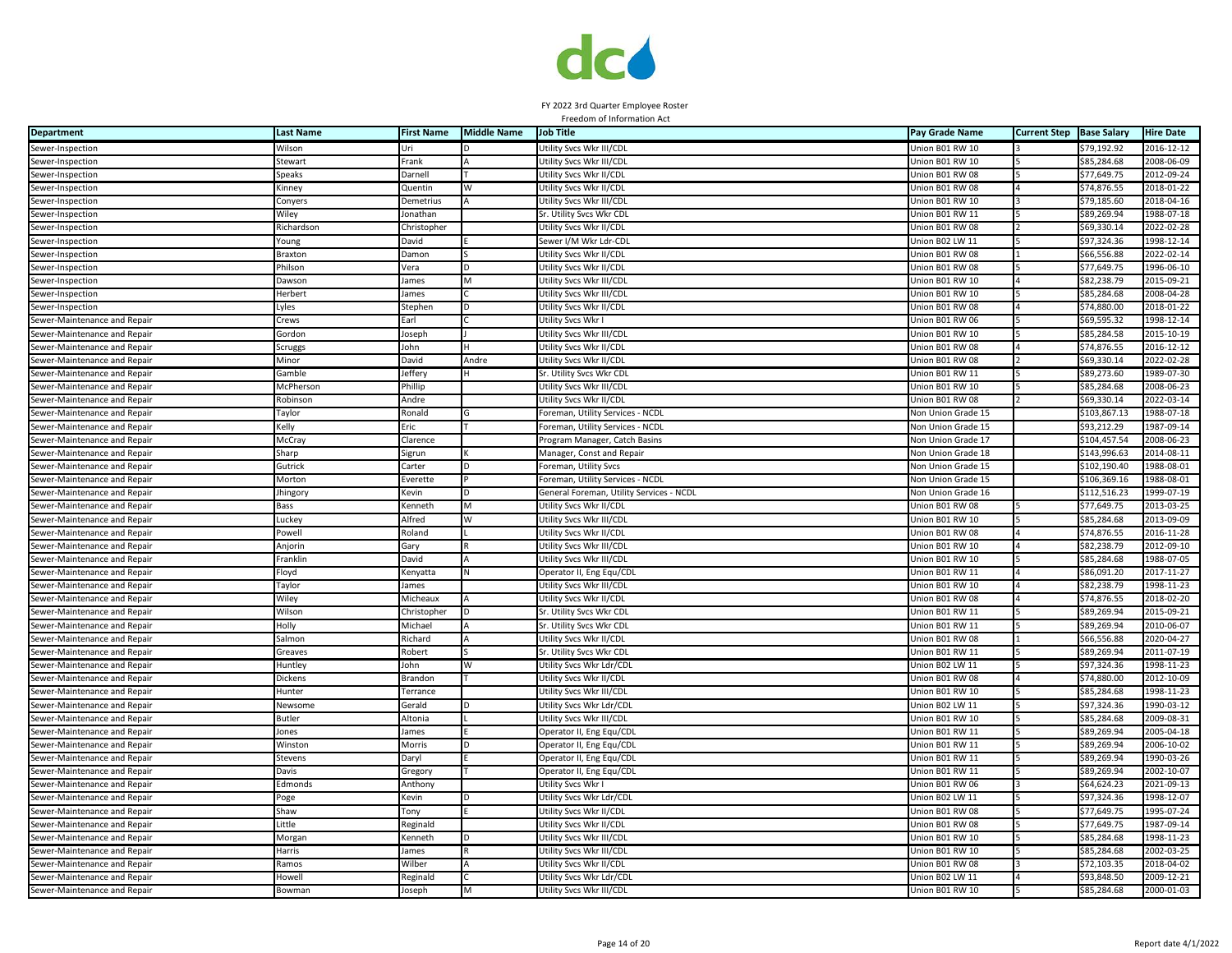

| <b>Department</b>            | <b>Last Name</b> | <b>First Name</b>                                                                                                                           | <b>Middle Name</b> | <b>Job Title</b>                         | Pay Grade Name         | <b>Current Step Base Salary</b> |              | <b>Hire Date</b> |
|------------------------------|------------------|---------------------------------------------------------------------------------------------------------------------------------------------|--------------------|------------------------------------------|------------------------|---------------------------------|--------------|------------------|
| Sewer-Inspection             | Wilson           | Uri                                                                                                                                         |                    | Utility Svcs Wkr III/CDL                 | Union B01 RW 10        |                                 | \$79,192.92  | 2016-12-12       |
| Sewer-Inspection             | Stewart          | Frank                                                                                                                                       |                    | Utility Svcs Wkr III/CDL                 | Union B01 RW 10        |                                 | \$85,284.68  | 2008-06-09       |
| Sewer-Inspection             | Speaks           | Darnell                                                                                                                                     |                    | Utility Svcs Wkr II/CDL                  | Union B01 RW 08        |                                 | \$77,649.75  | 2012-09-24       |
| Sewer-Inspection             | Kinney           | Quentin                                                                                                                                     |                    | Utility Svcs Wkr II/CDI                  | Union B01 RW 08        |                                 | \$74,876.55  | 2018-01-22       |
| Sewer-Inspection             | Conyers          | Demetrius                                                                                                                                   |                    | Utility Svcs Wkr III/CDL                 | Union B01 RW 10        |                                 | \$79,185.60  | 2018-04-16       |
| Sewer-Inspection             | Wiley            | Ionathan                                                                                                                                    |                    | Sr. Utility Svcs Wkr CDL                 | Union B01 RW 11        |                                 | \$89,269.94  | 1988-07-18       |
| Sewer-Inspection             | Richardson       | Christopher                                                                                                                                 |                    | Utility Svcs Wkr II/CDL                  | Union B01 RW 08        |                                 | \$69,330.14  | 2022-02-28       |
| Sewer-Inspection             | Young            | David                                                                                                                                       |                    | Sewer I/M Wkr Ldr-CDL                    | Union B02 LW 11        |                                 | \$97,324.36  | 1998-12-14       |
| Sewer-Inspection             | <b>Braxton</b>   | Damon                                                                                                                                       |                    | Utility Svcs Wkr II/CDL                  | Union B01 RW 08        |                                 | \$66,556.88  | 2022-02-14       |
| Sewer-Inspection             | Philson          | Vera                                                                                                                                        |                    | Utility Svcs Wkr II/CDL                  | Jnion B01 RW 08        |                                 | \$77,649.75  | 1996-06-10       |
| Sewer-Inspection             | Dawson           | James                                                                                                                                       | M                  | Utility Svcs Wkr III/CDL                 | Union B01 RW 10        |                                 | \$82,238.79  | 2015-09-21       |
| Sewer-Inspection             | Herbert          | James                                                                                                                                       |                    | Utility Svcs Wkr III/CDL                 | Jnion B01 RW 10        |                                 | \$85,284.68  | 2008-04-28       |
| Sewer-Inspection             | yles             | Stephen                                                                                                                                     |                    | Utility Svcs Wkr II/CDL                  | Jnion B01 RW 08        |                                 | \$74,880.00  | 2018-01-22       |
| Sewer-Maintenance and Repair | Crews            | Earl                                                                                                                                        |                    | Utility Svcs Wkr I                       | Union B01 RW 06        |                                 | \$69,595.32  | 1998-12-14       |
| Sewer-Maintenance and Repair | Gordon           | Joseph                                                                                                                                      |                    | Utility Svcs Wkr III/CDL                 | Union B01 RW 10        |                                 | \$85,284.58  | 2015-10-19       |
| Sewer-Maintenance and Repair | <b>Scruggs</b>   | John                                                                                                                                        |                    | Utility Svcs Wkr II/CDL                  | Union B01 RW 08        |                                 | \$74,876.55  | 2016-12-12       |
| Sewer-Maintenance and Repair | Minor            | David                                                                                                                                       | Andre              | Utility Svcs Wkr II/CDL                  | Union B01 RW 08        |                                 | \$69,330.14  | 2022-02-28       |
| Sewer-Maintenance and Repair | Gamble           | Jeffery                                                                                                                                     |                    | Sr. Utility Svcs Wkr CDL                 | Union B01 RW 11        |                                 | \$89,273.60  | 1989-07-30       |
| Sewer-Maintenance and Repair | McPherson        | hillip                                                                                                                                      |                    | Utility Svcs Wkr III/CDL                 | Union B01 RW 10        |                                 | \$85,284.68  | 2008-06-23       |
| Sewer-Maintenance and Repair | Robinson         | Andre                                                                                                                                       |                    | Utility Svcs Wkr II/CDL                  | Union B01 RW 08        |                                 | \$69,330.14  | 2022-03-14       |
| Sewer-Maintenance and Repair | Taylor           | Ronald                                                                                                                                      |                    | Foreman, Utility Services - NCDL         | Non Union Grade 15     |                                 | \$103,867.13 | 1988-07-18       |
| Sewer-Maintenance and Repair | Kelly            | Eric                                                                                                                                        |                    | Foreman, Utility Services - NCDL         | Non Union Grade 15     |                                 | \$93,212.29  | 1987-09-14       |
| Sewer-Maintenance and Repair | McCray           | Clarence                                                                                                                                    |                    | Program Manager, Catch Basins            | Non Union Grade 17     |                                 | \$104,457.54 | 2008-06-23       |
| Sewer-Maintenance and Repair | Sharp            | Sigrun                                                                                                                                      |                    | Manager, Const and Repair                | Non Union Grade 18     |                                 | \$143,996.63 | 2014-08-11       |
| Sewer-Maintenance and Repair | Gutrick          | Carter                                                                                                                                      |                    | Foreman, Utility Svcs                    | Non Union Grade 15     |                                 | \$102,190.40 | 1988-08-01       |
| Sewer-Maintenance and Repair | Morton           | Everette                                                                                                                                    |                    | Foreman, Utility Services - NCDL         | Non Union Grade 15     |                                 | \$106,369.16 | 1988-08-01       |
| Sewer-Maintenance and Repair | Jhingory         | Kevin                                                                                                                                       |                    | General Foreman, Utility Services - NCDL | Non Union Grade 16     |                                 | \$112,516.23 | 1999-07-19       |
| Sewer-Maintenance and Repair | Bass             | Kenneth                                                                                                                                     |                    | Utility Svcs Wkr II/CDL                  | Union B01 RW 08        |                                 | \$77,649.75  | 2013-03-25       |
| Sewer-Maintenance and Repair | Luckey           | Alfred                                                                                                                                      | W                  | Utility Svcs Wkr III/CDL                 | Jnion B01 RW 10        |                                 | \$85,284.68  | 2013-09-09       |
| Sewer-Maintenance and Repair | Powell           | Roland                                                                                                                                      |                    | Utility Svcs Wkr II/CDL                  | Jnion B01 RW 08        |                                 | \$74,876.55  | 2016-11-28       |
| Sewer-Maintenance and Repair | Anjorin          | Gary                                                                                                                                        |                    | Utility Svcs Wkr III/CDL                 | Union B01 RW 10        |                                 | \$82,238.79  | 2012-09-10       |
| Sewer-Maintenance and Repair | Franklin         | David                                                                                                                                       |                    | Utility Svcs Wkr III/CDL                 | Union B01 RW 10        |                                 | \$85,284.68  | 1988-07-05       |
| Sewer-Maintenance and Repair | Floyd            | Kenyatta                                                                                                                                    |                    | Operator II, Eng Equ/CDL                 | Union B01 RW 11        |                                 | \$86,091.20  | 2017-11-27       |
| Sewer-Maintenance and Repair | Taylor           | James                                                                                                                                       |                    | Utility Svcs Wkr III/CDL                 | Union B01 RW 10        |                                 | \$82,238.79  | 1998-11-23       |
| Sewer-Maintenance and Repair | Wiley            | Micheaux                                                                                                                                    |                    | Utility Svcs Wkr II/CDL                  | Union B01 RW 08        |                                 | \$74,876.55  | 2018-02-20       |
| Sewer-Maintenance and Repair | Wilson           | Christopher                                                                                                                                 |                    | Sr. Utility Svcs Wkr CDL                 | Union B01 RW 11        |                                 | \$89,269.94  | 2015-09-21       |
| Sewer-Maintenance and Repair | Holly            | Michael                                                                                                                                     |                    | Sr. Utility Svcs Wkr CDL                 | Union B01 RW 11        |                                 | \$89,269.94  | 2010-06-07       |
| Sewer-Maintenance and Repair | Salmon           | Richard                                                                                                                                     |                    | Utility Svcs Wkr II/CDL                  | Union B01 RW 08        |                                 | \$66,556.88  | 2020-04-27       |
| Sewer-Maintenance and Repair | Greaves          | Robert                                                                                                                                      |                    | Sr. Utility Svcs Wkr CDL                 | Jnion B01 RW 11        |                                 | \$89,269.94  | 2011-07-19       |
| Sewer-Maintenance and Repair | Huntley          | John                                                                                                                                        | W                  | Utility Svcs Wkr Ldr/CDL                 | Union B02 LW 11        |                                 | \$97,324.36  | 1998-11-23       |
| Sewer-Maintenance and Repair | Dickens          | Brandon                                                                                                                                     |                    | Utility Svcs Wkr II/CDL                  | Union B01 RW 08        |                                 | \$74,880.00  | 2012-10-09       |
| Sewer-Maintenance and Repair | Hunter           | Terrance                                                                                                                                    |                    | Utility Svcs Wkr III/CDL                 | Union B01 RW 10        |                                 | \$85,284.68  | 1998-11-23       |
| Sewer-Maintenance and Repair | Newsome          | Gerald                                                                                                                                      |                    | Utility Svcs Wkr Ldr/CDL                 | Union B02 LW 11        |                                 | \$97,324.36  | 1990-03-12       |
| Sewer-Maintenance and Repair | Butler           | Altonia                                                                                                                                     |                    | Utility Svcs Wkr III/CDL                 | Union B01 RW 10        |                                 | \$85,284.68  | 2009-08-31       |
| Sewer-Maintenance and Repair | Jones            | James                                                                                                                                       |                    | Operator II, Eng Equ/CDL                 | <b>Jnion B01 RW 11</b> |                                 | \$89,269.94  | 2005-04-18       |
| Sewer-Maintenance and Repair | Winston          | Morris                                                                                                                                      |                    | Operator II, Eng Equ/CDL                 | Jnion B01 RW 11        |                                 | \$89,269.94  | 2006-10-02       |
| Sewer-Maintenance and Repair | Stevens          | Jaryl                                                                                                                                       |                    | Operator II, Eng Equ/CDL                 | Union B01 RW 11        |                                 | \$89,269.94  | 1990-03-26       |
| Sewer-Maintenance and Repair | Davis            | Gregory                                                                                                                                     |                    | Operator II, Eng Equ/CDL                 | Jnion B01 RW 11        |                                 | \$89,269.94  | 2002-10-07       |
| Sewer-Maintenance and Repair | Edmonds          | Anthony                                                                                                                                     |                    | Utility Svcs Wkr I                       | Union B01 RW 06        |                                 | \$64,624.23  | 2021-09-13       |
| Sewer-Maintenance and Repair | Poge             | Kevin                                                                                                                                       |                    | Utility Svcs Wkr Ldr/CDL                 | Jnion B02 LW 11        |                                 | \$97,324.36  | 1998-12-07       |
| Sewer-Maintenance and Repair | Shaw             | Tony                                                                                                                                        |                    | Utility Svcs Wkr II/CDL                  | Union B01 RW 08        |                                 | \$77,649.75  | 1995-07-24       |
| Sewer-Maintenance and Repair | Little           | Reginald                                                                                                                                    |                    | Utility Svcs Wkr II/CDL                  | Union B01 RW 08        |                                 | \$77,649.75  | 1987-09-14       |
| Sewer-Maintenance and Repair | Morgan           | <enneth< td=""><td></td><td>Utility Svcs Wkr III/CDL</td><td>Union B01 RW 10</td><td></td><td>\$85,284.68</td><td>1998-11-23</td></enneth<> |                    | Utility Svcs Wkr III/CDL                 | Union B01 RW 10        |                                 | \$85,284.68  | 1998-11-23       |
| Sewer-Maintenance and Repair | Harris           | James                                                                                                                                       |                    | Utility Svcs Wkr III/CDL                 | Union B01 RW 10        |                                 | \$85,284.68  | 2002-03-25       |
| Sewer-Maintenance and Repair | Ramos            | Wilber                                                                                                                                      |                    | Utility Svcs Wkr II/CDL                  | Union B01 RW 08        |                                 | \$72,103.35  | 2018-04-02       |
| Sewer-Maintenance and Repair | Howell           | Reginald                                                                                                                                    |                    | Utility Svcs Wkr Ldr/CDL                 | Jnion B02 LW 11        |                                 | \$93.848.50  | 2009-12-21       |
| Sewer-Maintenance and Repair | Bowman           | Joseph                                                                                                                                      | М                  | Utility Svcs Wkr III/CDL                 | Union B01 RW 10        |                                 | \$85,284.68  | 2000-01-03       |
|                              |                  |                                                                                                                                             |                    |                                          |                        |                                 |              |                  |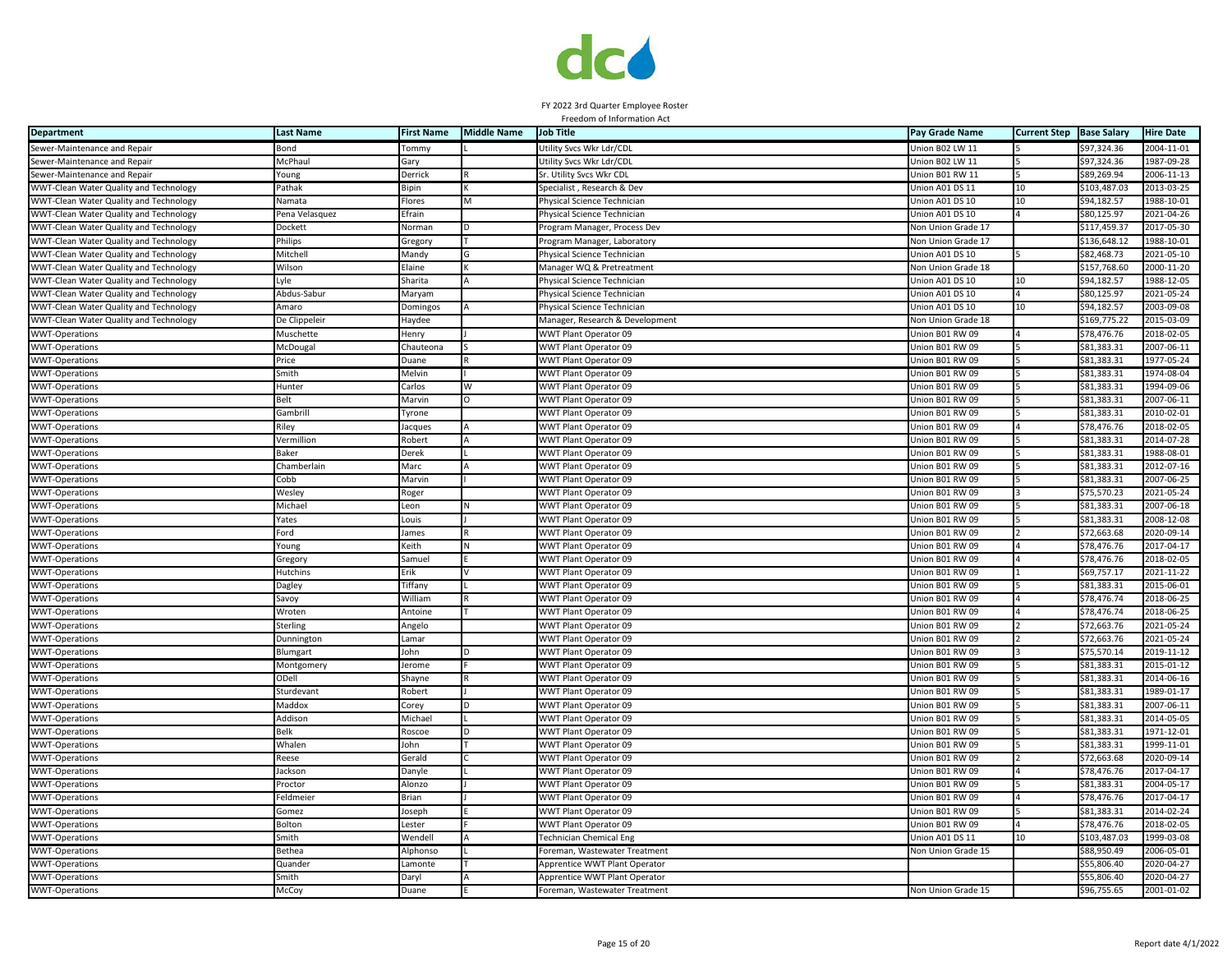

| <b>Department</b>                      | <b>Last Name</b> | <b>First Name</b> | <b>Middle Name</b> | <b>Job Title</b>                | Pay Grade Name            | <b>Current Step</b> | <b>Base Salary</b> | <b>Hire Date</b> |
|----------------------------------------|------------------|-------------------|--------------------|---------------------------------|---------------------------|---------------------|--------------------|------------------|
| Sewer-Maintenance and Repair           | Bond             | Tommy             |                    | Utility Svcs Wkr Ldr/CDL        | Jnion B02 LW 11           |                     | \$97,324.36        | 2004-11-01       |
| Sewer-Maintenance and Repair           | McPhaul          | Gary              |                    | Utility Svcs Wkr Ldr/CDL        | Union B02 LW 11           |                     | \$97,324.36        | 1987-09-28       |
| Sewer-Maintenance and Repair           | oung/            | Derrick           |                    | Sr. Utility Svcs Wkr CDL        | Jnion B01 RW 11           |                     | \$89,269.94        | 2006-11-13       |
| WWT-Clean Water Quality and Technology | Pathak           | Bipin             |                    | Specialist, Research & Dev      | Jnion A01 DS 11           | 10                  | \$103,487.03       | 2013-03-25       |
| WWT-Clean Water Quality and Technology | Namata           | Flores            | M                  | Physical Science Technician     | Jnion A01 DS 10           | 10                  | \$94,182.57        | 1988-10-01       |
| WWT-Clean Water Quality and Technology | Pena Velasquez   | Efrain            |                    | Physical Science Technician     | Jnion A01 DS 10           |                     | \$80,125.97        | 2021-04-26       |
| WWT-Clean Water Quality and Technology | Dockett          | Norman            | D                  | Program Manager, Process Dev    | Non Union Grade 17        |                     | \$117,459.37       | 2017-05-30       |
| WWT-Clean Water Quality and Technology | Philips          | Gregory           |                    | Program Manager, Laboratory     | Non Union Grade 17        |                     | \$136,648.12       | 1988-10-01       |
| WWT-Clean Water Quality and Technology | Mitchel          | Mandy             | G                  | Physical Science Technician     | Jnion A01 DS 10           |                     | \$82,468.73        | 2021-05-10       |
| WWT-Clean Water Quality and Technology | Wilson           | Elaine            |                    | Manager WQ & Pretreatment       | <b>Von Union Grade 18</b> |                     | \$157,768.60       | 2000-11-20       |
| WWT-Clean Water Quality and Technology | Lyle             | Sharita           |                    | Physical Science Technician     | Union A01 DS 10           | 10                  | \$94,182.57        | 1988-12-05       |
| WWT-Clean Water Quality and Technology | Abdus-Sabur      | Maryam            |                    | Physical Science Technician     | Jnion A01 DS 10           |                     | \$80,125.97        | 2021-05-24       |
| WWT-Clean Water Quality and Technology | Amaro            | Domingos          |                    | Physical Science Technician     | Jnion A01 DS 10           | 10                  | \$94,182.57        | 2003-09-08       |
| WWT-Clean Water Quality and Technology | De Clippelei     | Haydee            |                    | Manager, Research & Development | Non Union Grade 18        |                     | \$169,775.22       | 2015-03-09       |
| <b>WWT-Operations</b>                  | Muschette        | Henry             |                    | WWT Plant Operator 09           | Union B01 RW 09           |                     | \$78,476.76        | 2018-02-05       |
| <b>WWT-Operations</b>                  | McDougal         | Chauteona         |                    | WWT Plant Operator 09           | Union B01 RW 09           |                     | \$81,383.31        | 2007-06-11       |
| <b>WWT-Operations</b>                  | Price            | Duane             |                    | WWT Plant Operator 09           | Jnion B01 RW 09           |                     | \$81,383.31        | 1977-05-24       |
| <b>WWT-Operations</b>                  | Smith            | Melvin            |                    | WWT Plant Operator 09           | Jnion B01 RW 09           |                     | \$81.383.31        | 1974-08-04       |
| <b>WWT-Operations</b>                  | Hunter           | Carlos            | W                  | WWT Plant Operator 09           | Jnion B01 RW 09           |                     | \$81,383.31        | 1994-09-06       |
| <b>WWT-Operations</b>                  | 3elt             | Marvin            |                    | WWT Plant Operator 09           | Jnion B01 RW 09           |                     | \$81,383.31        | 2007-06-11       |
| <b>WWT-Operations</b>                  | Gambrill         | Tyrone            |                    | WWT Plant Operator 09           | Jnion B01 RW 09           |                     | \$81,383.31        | 2010-02-01       |
| <b>WWT-Operations</b>                  | Riley            | Jacques           |                    | WWT Plant Operator 09           | Jnion B01 RW 09           |                     | \$78,476.76        | 2018-02-05       |
| <b>WWT-Operations</b>                  | Vermillion       | Robert            | $\overline{A}$     | WWT Plant Operator 09           | Union B01 RW 09           |                     | \$81,383.31        | 2014-07-28       |
| <b>WWT-Operations</b>                  | 3aker            | Derek             |                    | WWT Plant Operator 09           | Jnion B01 RW 09           |                     | \$81,383.31        | 1988-08-01       |
| <b>WWT-Operations</b>                  | Chamberlain      | Marc              |                    | WWT Plant Operator 09           | Union B01 RW 09           |                     | \$81,383.31        | 2012-07-16       |
| <b>WWT-Operations</b>                  | cobb             | Marvin            |                    | WWT Plant Operator 09           | Jnion B01 RW 09           |                     | \$81,383.31        | 2007-06-25       |
| <b>WWT-Operations</b>                  | Wesley           | Roger             |                    | WWT Plant Operator 09           | Jnion B01 RW 09           |                     | \$75,570.23        | 2021-05-24       |
| <b>WWT-Operations</b>                  | Michael          | Leon              |                    | WWT Plant Operator 09           | Jnion B01 RW 09           |                     | \$81,383.31        | 2007-06-18       |
| <b>WWT-Operations</b>                  | ates             | Louis             |                    | WWT Plant Operator 09           | Jnion B01 RW 09           |                     | \$81,383.3         | 2008-12-08       |
| <b>WWT-Operations</b>                  | Ford             | James             |                    | WWT Plant Operator 09           | Union B01 RW 09           |                     | \$72,663.68        | 2020-09-14       |
| <b>WWT-Operations</b>                  | oung/            | Keith             |                    | WWT Plant Operator 09           | Union B01 RW 09           |                     | \$78,476.76        | $2017 - 04 - 17$ |
| <b>WWT-Operations</b>                  | Gregory          | Samuel            |                    | WWT Plant Operator 09           | Union B01 RW 09           |                     | \$78,476.76        | 2018-02-05       |
| <b>WWT-Operations</b>                  | <b>Hutchins</b>  | Erik              |                    | WWT Plant Operator 09           | Jnion B01 RW 09           |                     | \$69,757.17        | 2021-11-22       |
| <b>WWT-Operations</b>                  | Dagley           | Tiffany           |                    | WWT Plant Operator 09           | Jnion B01 RW 09           |                     | \$81,383.31        | 2015-06-01       |
| <b>WWT-Operations</b>                  | Savoy            | William           |                    | WWT Plant Operator 09           | Jnion B01 RW 09           |                     | \$78,476.74        | 2018-06-25       |
| <b>WWT-Operations</b>                  | Wroten           | Antoine           |                    | WWT Plant Operator 09           | Jnion B01 RW 09           |                     | \$78,476.74        | 2018-06-25       |
| <b>WWT-Operations</b>                  | Sterling         | Angelo            |                    | WWT Plant Operator 09           | Jnion B01 RW 09           |                     | \$72,663.76        | 2021-05-24       |
| <b>WWT-Operations</b>                  | Dunnington       | Lamar             |                    | WWT Plant Operator 09           | Jnion B01 RW 09           |                     | \$72,663.76        | 2021-05-24       |
| <b>WWT-Operations</b>                  | Blumgart         | John              | D                  | WWT Plant Operator 09           | Union B01 RW 09           |                     | \$75,570.14        | 2019-11-12       |
| <b>WWT-Operations</b>                  | Montgomery       | Jerome            |                    | WWT Plant Operator 09           | Jnion B01 RW 09           |                     | \$81,383.31        | 2015-01-12       |
| <b>WWT-Operations</b>                  | ODell            | Shayne            |                    | WWT Plant Operator 09           | Jnion B01 RW 09           |                     | \$81,383.31        | 2014-06-16       |
| <b>WWT-Operations</b>                  | Sturdevant       | Robert            |                    | WWT Plant Operator 09           | Jnion B01 RW 09           |                     | \$81.383.31        | 1989-01-17       |
| <b>WWT-Operations</b>                  | Maddox           | Corey             | In                 | WWT Plant Operator 09           | Jnion B01 RW 09           |                     | \$81,383.31        | 2007-06-11       |
| <b>WWT-Operations</b>                  | Addison          | Michael           |                    | WWT Plant Operator 09           | Jnion B01 RW 09           |                     | \$81,383.31        | 2014-05-05       |
| <b>WWT-Operations</b>                  | 3elk             | Roscoe            |                    | WWT Plant Operator 09           | Jnion B01 RW 09           |                     | \$81,383.3         | 1971-12-01       |
| <b>WWT-Operations</b>                  | Whalen           | John              |                    | WWT Plant Operator 09           | Union B01 RW 09           |                     | \$81,383.31        | 1999-11-01       |
| <b>WWT-Operations</b>                  | Reese            | Gerald            |                    | WWT Plant Operator 09           | Union B01 RW 09           |                     | \$72,663.68        | 2020-09-14       |
| <b>WWT-Operations</b>                  | Jackson          | Danyle            |                    | WWT Plant Operator 09           | Union B01 RW 09           |                     | \$78,476.76        | 2017-04-17       |
| <b>WWT-Operations</b>                  | Proctor          | Alonzo            |                    | WWT Plant Operator 09           | Jnion B01 RW 09           |                     | \$81,383.31        | 2004-05-17       |
| <b>WWT-Operations</b>                  | Feldmeier        | <b>Brian</b>      |                    | WWT Plant Operator 09           | Jnion B01 RW 09           |                     | \$78,476.76        | 2017-04-17       |
| <b>WWT-Operations</b>                  | Gomez            | Joseph            |                    | WWT Plant Operator 09           | Jnion B01 RW 09           |                     | \$81,383.31        | 2014-02-24       |
| <b>WWT-Operations</b>                  | Bolton           | Lester            |                    | WWT Plant Operator 09           | Jnion B01 RW 09           |                     | \$78,476.76        | 2018-02-05       |
| <b>WWT-Operations</b>                  | Smith            | Wendell           |                    | Technician Chemical Eng         | Jnion A01 DS 11           | 10                  | \$103,487.03       | 1999-03-08       |
| <b>WWT-Operations</b>                  | Bethea           | Alphonso          |                    | Foreman, Wastewater Treatment   | Non Union Grade 15        |                     | \$88,950.49        | 2006-05-01       |
| <b>WWT-Operations</b>                  | Quander          | Lamonte           |                    | Apprentice WWT Plant Operator   |                           |                     | \$55,806.40        | 2020-04-27       |
| <b>WWT-Operations</b>                  | Smith            | Daryl             |                    | Apprentice WWT Plant Operator   |                           |                     | \$55,806.40        | 2020-04-27       |
| <b>WWT-Operations</b>                  | McCoy            | Duane             |                    | Foreman, Wastewater Treatment   | Non Union Grade 15        |                     | \$96,755.65        | 2001-01-02       |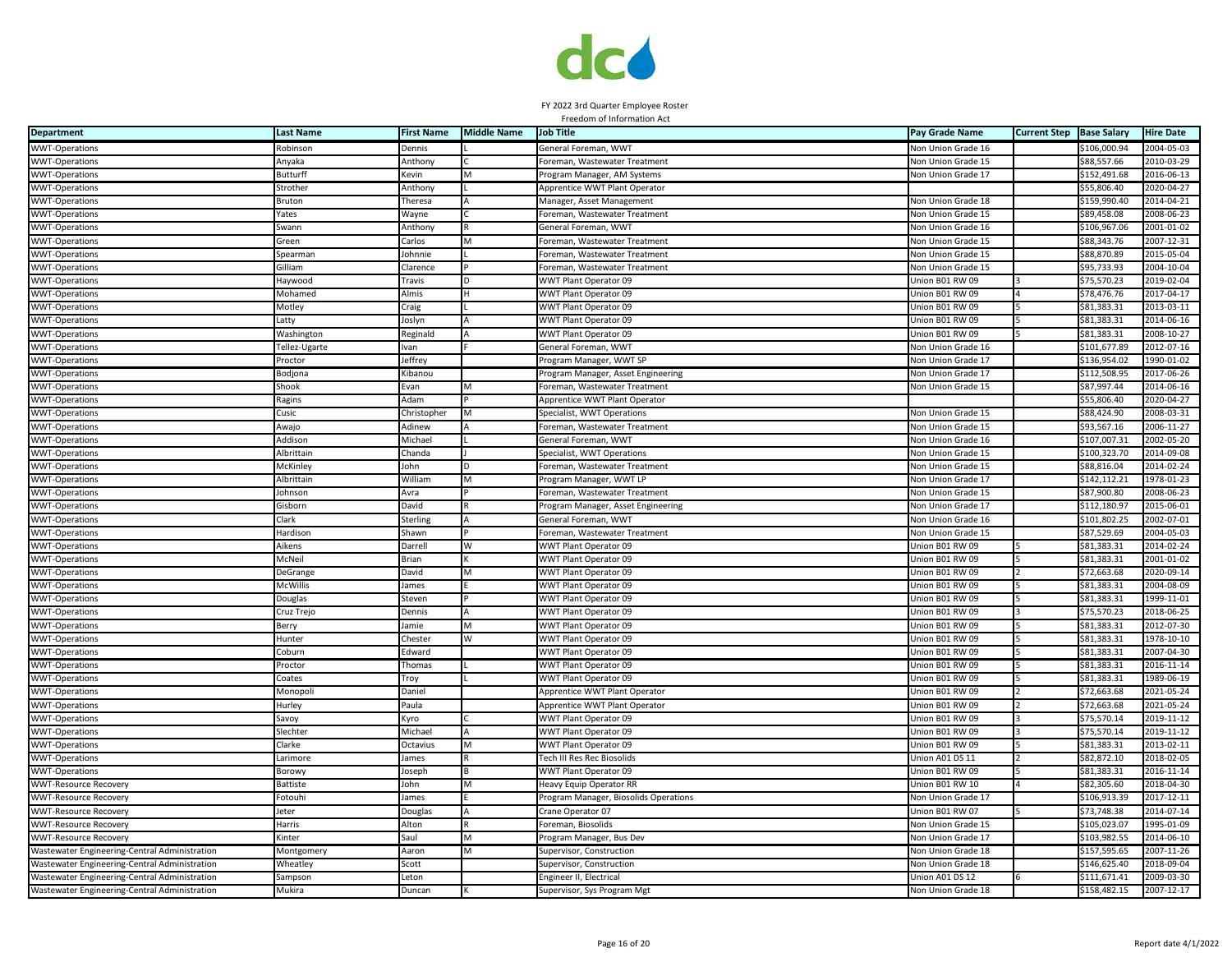

| <b>Department</b>                             | <b>Last Name</b> | <b>First Name</b> | <b>Middle Name</b> | <b>Job Title</b>                      | Pay Grade Name            | <b>Current Step</b> | <b>Base Salary</b> | <b>Hire Date</b> |
|-----------------------------------------------|------------------|-------------------|--------------------|---------------------------------------|---------------------------|---------------------|--------------------|------------------|
| <b>WWT-Operations</b>                         | Robinson         | Dennis            |                    | General Foreman, WWT                  | Non Union Grade 16        |                     | \$106,000.94       | 2004-05-03       |
| WWT-Operations                                | Anyaka           | Anthony           |                    | Foreman, Wastewater Treatment         | Non Union Grade 15        |                     | \$88,557.66        | 2010-03-29       |
| <b>WWT-Operations</b>                         | Butturff         | Kevin             |                    | Program Manager, AM Systems           | Non Union Grade 17        |                     | \$152,491.68       | 2016-06-13       |
| <b>WWT-Operations</b>                         | Strother         | Anthony           |                    | Apprentice WWT Plant Operator         |                           |                     | \$55,806.40        | 2020-04-27       |
| <b>WWT-Operations</b>                         | Bruton           | Theresa           |                    | Manager, Asset Management             | Non Union Grade 18        |                     | \$159,990.40       | 2014-04-21       |
| <b>WWT-Operations</b>                         | Yates            | Wayne             |                    | Foreman, Wastewater Treatment         | Non Union Grade 15        |                     | \$89,458.08        | 2008-06-23       |
| <b>WWT-Operations</b>                         | Swann            | Anthony           |                    | General Foreman, WWT                  | Non Union Grade 16        |                     | \$106,967.06       | 2001-01-02       |
| <b>WWT-Operations</b>                         | Green            | Carlos            |                    | Foreman, Wastewater Treatment         | Non Union Grade 15        |                     | \$88,343.76        | 2007-12-31       |
| <b>WWT-Operations</b>                         | Spearmar         | Johnnie           |                    | Foreman, Wastewater Treatment         | Non Union Grade 15        |                     | \$88,870.89        | 2015-05-04       |
| <b>WWT-Operations</b>                         | Gilliam          | Clarence          |                    | Foreman, Wastewater Treatment         | <b>Von Union Grade 15</b> |                     | \$95,733.93        | 2004-10-04       |
| <b>WWT-Operations</b>                         | Haywood          | Travis            |                    | WWT Plant Operator 09                 | Union B01 RW 09           |                     | \$75,570.23        | 2019-02-04       |
| <b>WWT-Operations</b>                         | Mohamed          | <b>Almis</b>      |                    | WWT Plant Operator 09                 | Union B01 RW 09           |                     | \$78,476.76        | 2017-04-17       |
| <b>WWT-Operations</b>                         | Motley           | Craig             |                    | WWT Plant Operator 09                 | Jnion B01 RW 09           |                     | \$81,383.31        | 2013-03-11       |
| <b>WWT-Operations</b>                         | .atty            | Joslyn            |                    | WWT Plant Operator 09                 | Union B01 RW 09           |                     | \$81,383.31        | 2014-06-16       |
| <b>WWT-Operations</b>                         | Washington       | Reginald          |                    | WWT Plant Operator 09                 | Union B01 RW 09           |                     | \$81,383.31        | 2008-10-27       |
| <b>WWT-Operations</b>                         | Tellez-Ugarte    | Ivan              |                    | General Foreman, WWT                  | Non Union Grade 16        |                     | \$101,677.89       | 2012-07-16       |
| <b>WWT-Operations</b>                         | Proctor          | Jeffrey           |                    | Program Manager, WWT SP               | Non Union Grade 17        |                     | \$136,954.02       | 1990-01-02       |
| WWT-Operations                                | Bodjona          | Kibanou           |                    | Program Manager, Asset Engineering    | Non Union Grade 17        |                     | \$112,508.95       | 2017-06-26       |
| <b>WWT-Operations</b>                         | Shook            | Evan              |                    | Foreman, Wastewater Treatment         | Non Union Grade 15        |                     | \$87,997.44        | 2014-06-16       |
| <b>WWT-Operations</b>                         | Ragins           | Adam              |                    | Apprentice WWT Plant Operator         |                           |                     | \$55,806.40        | 2020-04-27       |
| <b>WWT-Operations</b>                         | Cusic            | Christopher       |                    | Specialist, WWT Operations            | Non Union Grade 15        |                     | \$88,424.90        | 2008-03-31       |
| <b>WWT-Operations</b>                         | Awajo            | Adinew            |                    | Foreman, Wastewater Treatment         | Non Union Grade 15        |                     | \$93,567.16        | 2006-11-27       |
| <b>WWT-Operations</b>                         | Addison          | Michael           |                    | General Foreman, WWT                  | Non Union Grade 16        |                     | \$107,007.31       | 2002-05-20       |
| <b>WWT-Operations</b>                         | Albrittain       | Chanda            |                    | Specialist, WWT Operations            | Non Union Grade 15        |                     | \$100,323.70       | 2014-09-08       |
| <b>WWT-Operations</b>                         | <b>McKinley</b>  | John              |                    | Foreman, Wastewater Treatment         | Non Union Grade 15        |                     | \$88,816.04        | 2014-02-24       |
| <b>WWT-Operations</b>                         | Albrittain       | William           |                    | Program Manager, WWT LP               | Non Union Grade 17        |                     | \$142,112.21       | 1978-01-23       |
| <b>WWT-Operations</b>                         | Johnson          | Avra              |                    | Foreman, Wastewater Treatment         | Non Union Grade 15        |                     | \$87,900.80        | 2008-06-23       |
| <b>WWT-Operations</b>                         | iisborn          | David             |                    | Program Manager, Asset Engineering    | <b>Non Union Grade 17</b> |                     | \$112,180.97       | 2015-06-01       |
| <b>WWT-Operations</b>                         | :lark            | Sterling          |                    | General Foreman, WWT                  | <b>Non Union Grade 16</b> |                     | \$101,802.25       | 2002-07-01       |
| <b>WWT-Operations</b>                         | Hardison         | Shawn             |                    | Foreman, Wastewater Treatment         | Non Union Grade 15        |                     | \$87,529.69        | 2004-05-03       |
| <b>WWT-Operations</b>                         | Aikens           | Darrell           | W                  | WWT Plant Operator 09                 | Union B01 RW 09           |                     | \$81,383.31        | 2014-02-24       |
| <b>WWT-Operations</b>                         | McNeil           | Brian             |                    | WWT Plant Operator 09                 | Union B01 RW 09           |                     | \$81,383.31        | 2001-01-02       |
| <b>WWT-Operations</b>                         | DeGrange         | David             |                    | WWT Plant Operator 09                 | Union B01 RW 09           |                     | \$72,663.68        | 2020-09-14       |
| WWT-Operations                                | McWillis         | James             |                    | WWT Plant Operator 09                 | Jnion B01 RW 09           |                     | \$81,383.31        | 2004-08-09       |
| <b>WWT-Operations</b>                         | Douglas          | Steven            |                    | WWT Plant Operator 09                 | Jnion B01 RW 09           |                     | \$81,383.31        | 1999-11-01       |
| <b>WWT-Operations</b>                         | Cruz Trejo       | Dennis            |                    | WWT Plant Operator 09                 | Jnion B01 RW 09           |                     | \$75,570.23        | 2018-06-25       |
| <b>WWT-Operations</b>                         | Berry            | Jamie             |                    | WWT Plant Operator 09                 | Union B01 RW 09           |                     | \$81,383.31        | 2012-07-30       |
| <b>WWT-Operations</b>                         | Hunter           | Chester           |                    | WWT Plant Operator 09                 | Jnion B01 RW 09           |                     | \$81,383.31        | 1978-10-10       |
| <b>WWT-Operations</b>                         | Coburn           | Edward            |                    | WWT Plant Operator 09                 | Union B01 RW 09           |                     | \$81,383.31        | 2007-04-30       |
| <b>WWT-Operations</b>                         | Proctor          | Thomas            |                    | WWT Plant Operator 09                 | Union B01 RW 09           |                     | \$81,383.31        | 2016-11-14       |
| <b>WWT-Operations</b>                         | Coates           | Troy              |                    | WWT Plant Operator 09                 | Union B01 RW 09           |                     | \$81,383.31        | 1989-06-19       |
| <b>WWT-Operations</b>                         | Monopoli         | Daniel            |                    | Apprentice WWT Plant Operator         | Jnion B01 RW 09           |                     | \$72,663.68        | 2021-05-24       |
| <b>WWT-Operations</b>                         | <b>Hurley</b>    | Paula             |                    | Apprentice WWT Plant Operator         | Jnion B01 RW 09           |                     | \$72,663.68        | 2021-05-24       |
| <b>WWT-Operations</b>                         | Savoy            | Kyro              |                    | WWT Plant Operator 09                 | Jnion B01 RW 09           |                     | \$75,570.14        | 2019-11-12       |
| <b>WWT-Operations</b>                         | Slechter         | Michael           |                    | WWT Plant Operator 09                 | Jnion B01 RW 09           |                     | \$75,570.14        | 2019-11-12       |
| <b>WWT-Operations</b>                         | Clarke           | Octavius          | M                  | WWT Plant Operator 09                 | Union B01 RW 09           |                     | \$81,383.31        | 2013-02-11       |
| <b>WWT-Operations</b>                         | Larimore         | James             |                    | Tech III Res Rec Biosolids            | Union A01 DS 11           |                     | \$82,872.10        | 2018-02-05       |
| <b>WWT-Operations</b>                         | Borowy           | Joseph            |                    | WWT Plant Operator 09                 | Union B01 RW 09           |                     | \$81,383.31        | 2016-11-14       |
| <b>WWT-Resource Recovery</b>                  | Battiste         | John              |                    | Heavy Equip Operator RR               | Union B01 RW 10           |                     | \$82,305.60        | 2018-04-30       |
| <b>WWT-Resource Recovery</b>                  | Fotouhi          | James             |                    | Program Manager, Biosolids Operations | Non Union Grade 17        |                     | \$106,913.39       | $2017 - 12 - 11$ |
| <b>WWT-Resource Recovery</b>                  | leter            | Douglas           |                    | Crane Operator 07                     | Jnion B01 RW 07           |                     | \$73,748.38        | 2014-07-14       |
| WWT-Resource Recovery                         | Harris           | Alton             |                    | Foreman, Biosolids                    | Non Union Grade 15        |                     | \$105,023.07       | 1995-01-09       |
| <b>WWT-Resource Recovery</b>                  | <b>Kinter</b>    | Saul              |                    | Program Manager, Bus Dev              | Non Union Grade 17        |                     | \$103,982.55       | 2014-06-10       |
| Wastewater Engineering-Central Administration | Montgomery       | Aaron             |                    | Supervisor, Construction              | <b>Non Union Grade 18</b> |                     | \$157,595.65       | 2007-11-26       |
| Wastewater Engineering-Central Administration | Wheatley         | Scott             |                    | Supervisor, Construction              | Non Union Grade 18        |                     | \$146,625.40       | 2018-09-04       |
| Wastewater Engineering-Central Administration | ampson           | Leton             |                    | Engineer II, Electrical               | Union A01 DS 12           |                     | \$111,671.41       | 2009-03-30       |
| Wastewater Engineering-Central Administration | Mukira           | Duncan            |                    | Supervisor, Sys Program Mgt           | Non Union Grade 18        |                     | \$158,482.15       | 2007-12-17       |
|                                               |                  |                   |                    |                                       |                           |                     |                    |                  |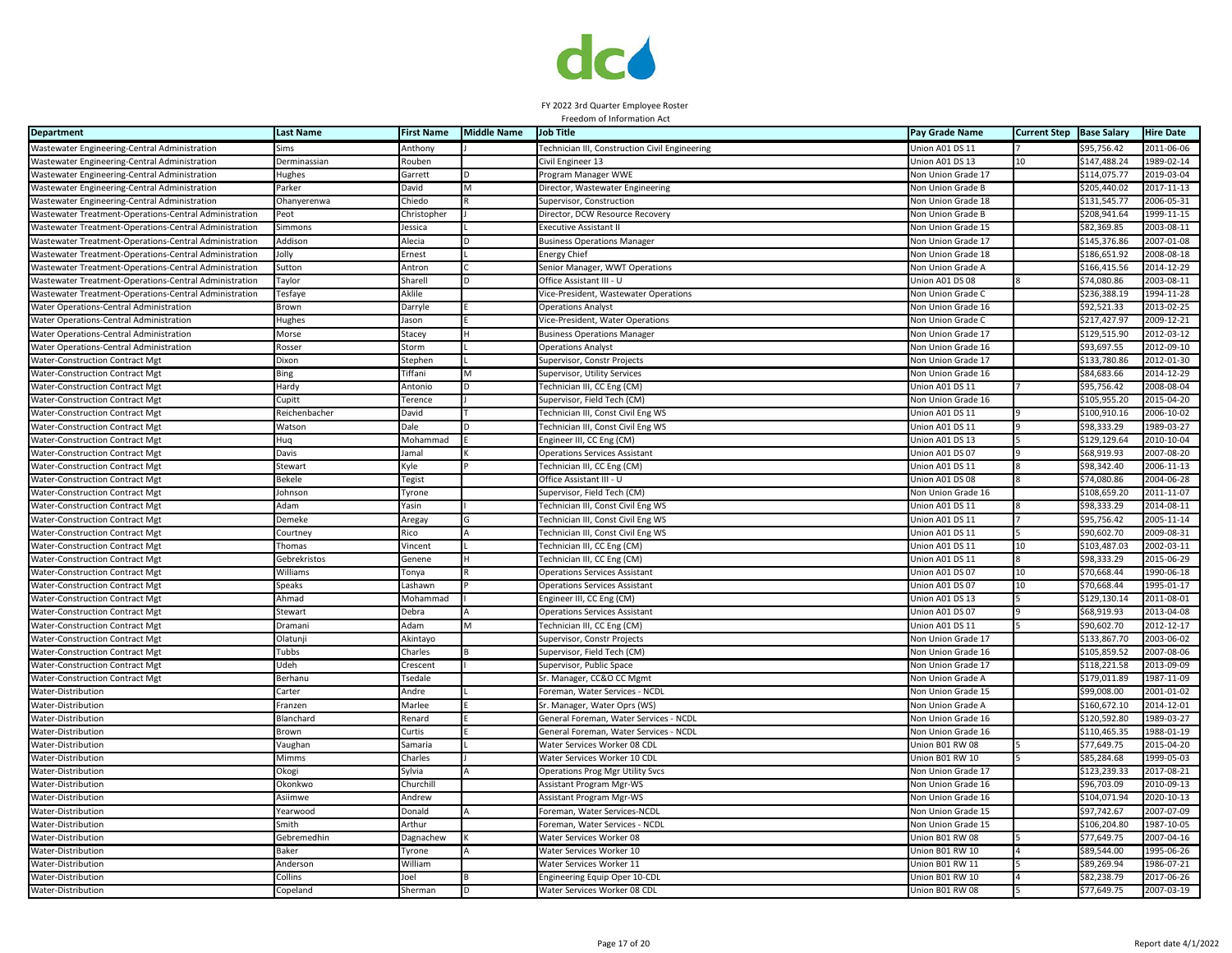

| <b>Department</b>                                      | <b>Last Name</b>    | <b>First Name</b> | <b>Middle Name</b> | <b>Job Title</b>                                        | Pay Grade Name            | <b>Current Step</b> | <b>Base Salary</b> | <b>Hire Date</b> |
|--------------------------------------------------------|---------------------|-------------------|--------------------|---------------------------------------------------------|---------------------------|---------------------|--------------------|------------------|
| Wastewater Engineering-Central Administration          | Sims                | Anthony           |                    | Technician III, Construction Civil Engineering          | Union A01 DS 11           |                     | \$95,756.42        | 2011-06-06       |
| Wastewater Engineering-Central Administration          | Derminassian        | Rouben            |                    | Civil Engineer 13                                       | Jnion A01 DS 13           | 10                  | \$147,488.24       | 1989-02-14       |
| Wastewater Engineering-Central Administration          | Hughes              | Garrett           |                    | Program Manager WWE                                     | Non Union Grade 17        |                     | \$114,075.77       | 2019-03-04       |
| Wastewater Engineering-Central Administratior          | Parker              | David             | M                  | Director, Wastewater Engineering                        | Non Union Grade B         |                     | \$205,440.02       | 2017-11-13       |
| Wastewater Engineering-Central Administration          | Ohanyerenwa         | Chiedo            |                    | Supervisor, Construction                                | Non Union Grade 18        |                     | \$131,545.77       | 2006-05-31       |
| Wastewater Treatment-Operations-Central Administration | Peot                | Christopher       |                    | Director, DCW Resource Recovery                         | Non Union Grade B         |                     | \$208,941.64       | 1999-11-15       |
| Wastewater Treatment-Operations-Central Administration | Simmons             | Jessica           |                    | <b>Executive Assistant I</b>                            | Non Union Grade 15        |                     | \$82,369.85        | 2003-08-11       |
| Wastewater Treatment-Operations-Central Administration | Addison             | Alecia            |                    | <b>Business Operations Manager</b>                      | Non Union Grade 17        |                     | \$145,376.86       | 2007-01-08       |
| Wastewater Treatment-Operations-Central Administration | Jolly               | Ernest            |                    | <b>Energy Chief</b>                                     | Non Union Grade 18        |                     | \$186,651.92       | 2008-08-18       |
| Wastewater Treatment-Operations-Central Administration | Sutton              | Antron            |                    | Senior Manager, WWT Operations                          | <b>Non Union Grade A</b>  |                     | \$166,415.56       | 2014-12-29       |
| Wastewater Treatment-Operations-Central Administration | Taylor              | Sharell           | D                  | Office Assistant III - U                                | Union A01 DS 08           |                     | \$74,080.86        | 2003-08-11       |
| Wastewater Treatment-Operations-Central Administration | Tesfaye             | Aklile            |                    | Vice-President, Wastewater Operations                   | <b>Von Union Grade C</b>  |                     | \$236,388.19       | 1994-11-28       |
| Water Operations-Central Administration                | Brown               | Darryle           |                    | Operations Analyst                                      | Non Union Grade 16        |                     | \$92,521.33        | 2013-02-25       |
| Water Operations-Central Administration                | Hughes              | Jason             |                    | Vice-President, Water Operations                        | Non Union Grade C         |                     | \$217,427.97       | 2009-12-21       |
| Water Operations-Central Administration                | Morse               | Stacey            |                    | <b>Business Operations Manager</b>                      | Non Union Grade 17        |                     | \$129,515.90       | 2012-03-12       |
| Water Operations-Central Administration                | Rosser              | Storm             |                    | <b>Operations Analyst</b>                               | Non Union Grade 16        |                     | \$93,697.55        | 2012-09-10       |
| <b>Water-Construction Contract Mgt</b>                 | Dixon               | Stephen           |                    | Supervisor, Constr Projects                             | Non Union Grade 17        |                     | \$133,780.86       | 2012-01-30       |
| Water-Construction Contract Mgt                        | <b>Bing</b>         | Tiffani           | M                  | Supervisor, Utility Services                            | Non Union Grade 16        |                     | \$84,683.66        | 2014-12-29       |
| <b>Water-Construction Contract Mgt</b>                 | lardy               | Antonio           |                    | Technician III, CC Eng (CM)                             | Union A01 DS 11           |                     | \$95,756.42        | 2008-08-04       |
| Water-Construction Contract Mg                         | Cupitt              | Terence           |                    | Supervisor, Field Tech (CM)                             | Non Union Grade 16        |                     | \$105,955.20       | 2015-04-20       |
| Water-Construction Contract Mgt                        | Reichenbacher       | David             |                    | Technician III, Const Civil Eng WS                      | Jnion A01 DS 11           |                     | \$100,910.16       | 2006-10-02       |
| Water-Construction Contract Mgt                        | Watson              | Dale              |                    | Technician III, Const Civil Eng WS                      | Jnion A01 DS 11           |                     | \$98,333.29        | 1989-03-27       |
| <b>Water-Construction Contract Mgt</b>                 | Huq                 | Mohammad          |                    | Engineer III, CC Eng (CM)                               | Union A01 DS 13           |                     | \$129,129.64       | 2010-10-04       |
| <b>Water-Construction Contract Mgt</b>                 | Davis               | lamal             |                    | <b>Operations Services Assistant</b>                    | Union A01 DS 07           |                     | \$68,919.93        | 2007-08-20       |
|                                                        | Stewart             | Kyle              |                    |                                                         | Union A01 DS 11           |                     | \$98,342.40        | 2006-11-13       |
| Water-Construction Contract Mgt                        | <b>Bekele</b>       |                   |                    | Technician III, CC Eng (CM)<br>Office Assistant III - U | Jnion A01 DS 08           |                     | \$74,080.86        | 2004-06-28       |
| <b>Water-Construction Contract Mgt</b>                 | Iohnson             | Tegist            |                    |                                                         | Non Union Grade 16        |                     | \$108,659.20       | 2011-11-07       |
| Water-Construction Contract Mgt                        |                     | Tyrone            |                    | Supervisor, Field Tech (CM)                             |                           |                     |                    |                  |
| Water-Construction Contract Mgt                        | Adam                | Yasin             |                    | Technician III, Const Civil Eng WS                      | Jnion A01 DS 11           |                     | \$98,333.29        | 2014-08-11       |
| Water-Construction Contract Mgt                        | Demeke              | Aregay            |                    | Technician III, Const Civil Eng WS                      | Union A01 DS 11           |                     | \$95,756.42        | 2005-11-14       |
| Water-Construction Contract Mgt                        | Courtney            | Rico              |                    | Technician III, Const Civil Eng WS                      | Jnion A01 DS 11           |                     | \$90,602.70        | 2009-08-31       |
| Water-Construction Contract Mgt                        | Thomas              | Vincent           |                    | Technician III, CC Eng (CM)                             | Union A01 DS 11           | 10                  | \$103,487.03       | 2002-03-11       |
| Water-Construction Contract Mgt                        | <b>Gebrekristos</b> | Genene            |                    | Technician III, CC Eng (CM)                             | Jnion A01 DS 11           |                     | \$98.333.29        | 2015-06-29       |
| Water-Construction Contract Mgt                        | Williams            | Tonya             |                    | <b>Operations Services Assistant</b>                    | Union A01 DS 07           | 10                  | \$70,668.44        | 1990-06-18       |
| <b>Water-Construction Contract Mgt</b>                 | Speaks              | Lashawn           |                    | <b>Operations Services Assistant</b>                    | Jnion A01 DS 07           | 10                  | \$70,668.44        | 1995-01-17       |
| <b>Water-Construction Contract Mgt</b>                 | Ahmad               | Mohammad          |                    | Engineer III, CC Eng (CM)                               | Union A01 DS 13           |                     | \$129,130.14       | 2011-08-01       |
| Water-Construction Contract Mgt                        | Stewart             | Debra             |                    | <b>Operations Services Assistant</b>                    | Jnion A01 DS 07           |                     | \$68,919.93        | 2013-04-08       |
| <b>Water-Construction Contract Mgt</b>                 | Dramani             | Adam              |                    | Technician III, CC Eng (CM)                             | Jnion A01 DS 11           |                     | \$90,602.70        | 2012-12-17       |
| Water-Construction Contract Mgt                        | Olatunj             | Akintayo          |                    | Supervisor, Constr Projects                             | <b>Non Union Grade 17</b> |                     | \$133,867.70       | 2003-06-02       |
| <b>Water-Construction Contract Mgt</b>                 | Tubbs               | Charles           |                    | Supervisor, Field Tech (CM)                             | Non Union Grade 16        |                     | \$105,859.52       | 2007-08-06       |
| Water-Construction Contract Mgt                        | Udeh                | Crescent          |                    | Supervisor, Public Space                                | Non Union Grade 17        |                     | \$118,221.58       | 2013-09-09       |
| Water-Construction Contract Mgt                        | Berhanu             | Tsedale           |                    | Sr. Manager, CC&O CC Mgmt                               | <b>Non Union Grade A</b>  |                     | \$179,011.89       | 1987-11-09       |
| Water-Distribution                                     | Carter              | Andre             |                    | Foreman, Water Services - NCDL                          | Non Union Grade 15        |                     | \$99,008.00        | 2001-01-02       |
| Water-Distribution                                     | Franzen             | Marlee            |                    | Sr. Manager, Water Oprs (WS)                            | <b>Non Union Grade A</b>  |                     | \$160,672.10       | 2014-12-01       |
| Water-Distribution                                     | <b>Blanchard</b>    | Renard            |                    | General Foreman, Water Services - NCDL                  | Non Union Grade 16        |                     | \$120,592.80       | 1989-03-27       |
| Water-Distribution                                     | <b>Brown</b>        | Curtis            |                    | General Foreman, Water Services - NCDL                  | Non Union Grade 16        |                     | \$110,465.35       | 1988-01-19       |
| Water-Distribution                                     | √aughar             | Samaria           |                    | Water Services Worker 08 CDI                            | Jnion B01 RW 08           |                     | \$77,649.75        | 2015-04-20       |
| Water-Distribution                                     | Mimms               | Charles           |                    | Water Services Worker 10 CDI                            | Union B01 RW 10           |                     | \$85,284.68        | 1999-05-03       |
| Water-Distribution                                     | Okogi               | Sylvia            |                    | Operations Prog Mgr Utility Svcs                        | Non Union Grade 17        |                     | \$123,239.33       | 2017-08-21       |
| Water-Distribution                                     | Okonkwo             | Churchil          |                    | Assistant Program Mgr-WS                                | Non Union Grade 16        |                     | \$96,703.09        | 2010-09-13       |
| Water-Distribution                                     | Asiimwe             | Andrew            |                    | Assistant Program Mgr-WS                                | Non Union Grade 16        |                     | \$104,071.94       | 2020-10-13       |
| Water-Distribution                                     | Yearwood            | Donald            |                    | Foreman, Water Services-NCDI                            | Non Union Grade 15        |                     | \$97,742.67        | 2007-07-09       |
| Water-Distribution                                     | Smith               | Arthur            |                    | Foreman, Water Services - NCDL                          | Non Union Grade 15        |                     | \$106,204.80       | 1987-10-05       |
| Water-Distribution                                     | Gebremedhin         | Dagnachew         |                    | Water Services Worker 08                                | Jnion B01 RW 08           |                     | \$77,649.75        | 2007-04-16       |
| Water-Distribution                                     | Baker               | Tyrone            |                    | Water Services Worker 10                                | Union B01 RW 10           |                     | \$89,544.00        | 1995-06-26       |
| Water-Distribution                                     | Anderson            | William           |                    | Water Services Worker 11                                | Jnion B01 RW 11           |                     | \$89,269.94        | 986-07-21        |
| Water-Distribution                                     | Collins             | Joel              |                    | Engineering Equip Oper 10-CDL                           | Union B01 RW 10           |                     | \$82,238.79        | 2017-06-26       |
| Water-Distribution                                     | Copeland            | Sherman           | D                  | Water Services Worker 08 CDL                            | Union B01 RW 08           |                     | \$77,649.75        | 2007-03-19       |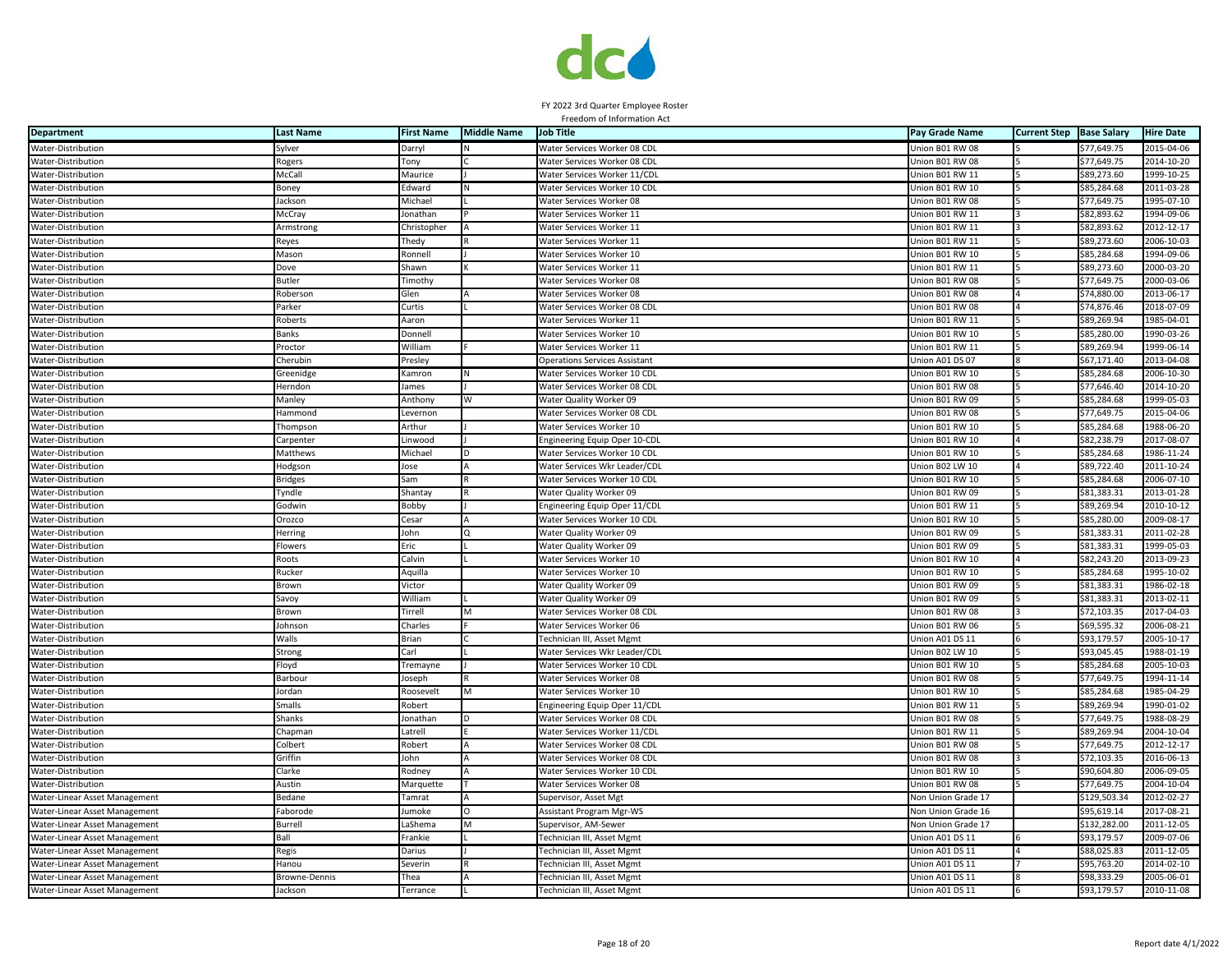

# FY 2022 3rd Quarter Employee Roster

| Freedom of Information Act               |                               |                   |                    |                                                      |                                    |                     |                            |                          |  |  |
|------------------------------------------|-------------------------------|-------------------|--------------------|------------------------------------------------------|------------------------------------|---------------------|----------------------------|--------------------------|--|--|
| <b>Department</b>                        | <b>Last Name</b>              | <b>First Name</b> | <b>Middle Name</b> | <b>Job Title</b>                                     | Pay Grade Name                     | <b>Current Step</b> | <b>Base Salary</b>         | <b>Hire Date</b>         |  |  |
| Water-Distribution                       | Sylver                        | Darryl            |                    | Water Services Worker 08 CDL                         | Jnion B01 RW 08                    |                     | \$77,649.75                | 2015-04-06               |  |  |
| Water-Distribution                       | Rogers                        | Tony              |                    | Water Services Worker 08 CDL                         | Jnion B01 RW 08                    |                     | \$77,649.75                | $2014 - 10 - 20$         |  |  |
| Water-Distribution                       | McCall                        | Maurice           |                    | Water Services Worker 11/CDL                         | Jnion B01 RW 11                    |                     | \$89,273.60                | 1999-10-25               |  |  |
| Water-Distribution                       | Boney                         | Edward            |                    | Water Services Worker 10 CDL                         | Jnion B01 RW 10                    |                     | \$85,284.68                | 2011-03-28               |  |  |
| Water-Distribution                       | Jackson                       | Michael           |                    | Water Services Worker 08                             | Union B01 RW 08                    |                     | \$77,649.75                | 1995-07-10               |  |  |
| Water-Distribution                       | McCray                        | Jonathan          |                    | Water Services Worker 11                             | Union B01 RW 11                    |                     | \$82,893.62                | 1994-09-06               |  |  |
| Water-Distribution                       | Armstrong                     | Christopher       |                    | Water Services Worker 11                             | Jnion B01 RW 11                    |                     | \$82,893.62                | 2012-12-17               |  |  |
| Water-Distribution                       | Reyes                         | Thedy             |                    | Water Services Worker 11                             | Union B01 RW 11                    |                     | \$89,273.60                | 2006-10-03               |  |  |
| Water-Distribution                       | Mason                         | Ronnell           |                    | Water Services Worker 10                             | Union B01 RW 10                    |                     | \$85,284.68                | 1994-09-06               |  |  |
| Water-Distribution                       | Dove                          | Shawn             |                    | Water Services Worker 11                             | Jnion B01 RW 11                    |                     | \$89,273.60                | 2000-03-20               |  |  |
| Water-Distribution                       | <b>Butler</b>                 | Timothy           |                    | Water Services Worker 08                             | Jnion B01 RW 08                    |                     | \$77,649.75                | 2000-03-06               |  |  |
| Water-Distribution                       | Roberson                      | Glen              |                    | Water Services Worker 08                             | Union B01 RW 08                    |                     | \$74,880.00                | 2013-06-17               |  |  |
| Water-Distribution                       | Parker                        | Curtis            |                    | Water Services Worker 08 CDL                         | Jnion B01 RW 08                    |                     | \$74.876.46                | 2018-07-09               |  |  |
| Water-Distribution                       | Roberts                       | Aaron             |                    | Water Services Worker 11                             | Jnion B01 RW 11                    |                     | \$89,269.94                | 1985-04-01               |  |  |
| Water-Distribution                       | <b>Banks</b>                  | Donnell           |                    | Water Services Worker 10                             | Jnion B01 RW 10                    |                     | \$85.280.00                | 1990-03-26               |  |  |
| Water-Distribution                       | Proctor                       | William           |                    | Water Services Worker 11                             | Jnion B01 RW 11                    |                     | \$89,269.94                | 1999-06-14               |  |  |
| Water-Distribution                       | Cherubin                      | Presley           |                    | Operations Services Assistant                        | Jnion A01 DS 07                    |                     | \$67,171.40                | 2013-04-08               |  |  |
| Water-Distribution                       | Greenidge                     | Kamron            | N                  | Water Services Worker 10 CDL                         | Jnion B01 RW 10                    |                     | \$85,284.68                | $2006 - 10 - 30$         |  |  |
| Water-Distribution                       | lerndon                       | James             |                    | Water Services Worker 08 CDL                         | Jnion B01 RW 08                    |                     | \$77,646.40                | 2014-10-20               |  |  |
| Water-Distribution                       | Manley                        | Anthony           | W                  | Water Quality Worker 09                              | Union B01 RW 09                    |                     | \$85,284.68                | 1999-05-03               |  |  |
| Water-Distribution                       | Hammond                       | Levernon          |                    | Water Services Worker 08 CDL                         | Jnion B01 RW 08                    |                     | \$77,649.75                | 2015-04-06               |  |  |
| Water-Distribution                       | hompson                       | Arthur            |                    | Water Services Worker 10                             | Jnion B01 RW 10                    |                     | \$85,284.68                | 1988-06-20               |  |  |
| Water-Distribution                       | Carpenter                     | Linwood           |                    | Engineering Equip Oper 10-CDL                        | Union B01 RW 10                    |                     | \$82,238.79                | 2017-08-07               |  |  |
| Water-Distribution                       | Matthews                      | Michael           |                    | Water Services Worker 10 CDL                         | Jnion B01 RW 10                    |                     | \$85,284.68                | 1986-11-24               |  |  |
| Water-Distribution                       |                               |                   |                    |                                                      | Jnion B02 LW 10                    |                     | \$89,722.40                | 2011-10-24               |  |  |
|                                          | Hodgson                       | Jose<br>sam       |                    | Water Services Wkr Leader/CDL                        | Jnion B01 RW 10                    |                     | \$85,284.68                | 2006-07-10               |  |  |
| Water-Distribution                       | ridges                        |                   |                    | Water Services Worker 10 CDL                         |                                    |                     |                            |                          |  |  |
| Water-Distribution                       | <b>Tyndle</b>                 | Shantay           |                    | Water Quality Worker 09                              | Union B01 RW 09                    |                     | \$81,383.31                | 2013-01-28               |  |  |
| Water-Distribution                       | Godwin                        | Bobby             |                    | Engineering Equip Oper 11/CDL                        | Jnion B01 RW 11                    |                     | \$89,269.94                | 2010-10-12               |  |  |
| Water-Distribution<br>Water-Distribution | Orozco<br><b>Herring</b>      | Cesar<br>John     | O                  | Water Services Worker 10 CDL                         | Jnion B01 RW 10<br>Jnion B01 RW 09 |                     | \$85,280.00<br>\$81,383.31 | 2009-08-17<br>2011-02-28 |  |  |
|                                          |                               |                   |                    | Water Quality Worker 09                              |                                    |                     |                            |                          |  |  |
| Water-Distribution                       | <b>Flowers</b>                | Eric              |                    | Water Quality Worker 09                              | Jnion B01 RW 09                    |                     | \$81,383.31                | 1999-05-03               |  |  |
| Water-Distribution<br>Water-Distribution | <b>Roots</b><br><b>Rucker</b> | Calvin<br>Aquilla |                    | Water Services Worker 10<br>Water Services Worker 10 | Jnion B01 RW 10<br>Jnion B01 RW 10 |                     | \$82,243.20<br>\$85,284.68 | 2013-09-23<br>1995-10-02 |  |  |
|                                          | <b>Brown</b>                  |                   |                    |                                                      | Jnion B01 RW 09                    |                     |                            | 1986-02-18               |  |  |
| Water-Distribution                       |                               | Victor            |                    | Water Quality Worker 09                              |                                    |                     | \$81,383.31                |                          |  |  |
| Water-Distribution                       | Savoy                         | William           |                    | Water Quality Worker 09                              | Jnion B01 RW 09                    |                     | \$81,383.31                | 2013-02-11               |  |  |
| Water-Distribution                       | Brown                         | Tirrell           | M                  | Water Services Worker 08 CDL                         | Jnion B01 RW 08                    |                     | \$72,103.35                | 2017-04-03               |  |  |
| Water-Distribution                       | ohnson                        | Charles           |                    | Water Services Worker 06                             | Jnion B01 RW 06                    |                     | \$69,595.32                | 2006-08-21               |  |  |
| Water-Distribution                       | Walls                         | Brian             |                    | Technician III, Asset Mgmt                           | Union A01 DS 11                    |                     | \$93,179.57                | 2005-10-17               |  |  |
| Water-Distribution                       | Strong                        | Carl              |                    | Water Services Wkr Leader/CDL                        | Jnion B02 LW 10                    |                     | \$93,045.45                | 1988-01-19               |  |  |
| Water-Distribution                       | Floyd                         | Tremayne          |                    | Water Services Worker 10 CDL                         | Union B01 RW 10                    |                     | \$85,284.68                | 2005-10-03               |  |  |
| Water-Distribution                       | 3arbour                       | Joseph            |                    | Water Services Worker 08                             | Jnion B01 RW 08                    |                     | \$77,649.75                | 1994-11-14               |  |  |
| Water-Distribution                       | ordan                         | Roosevelt         | M                  | Water Services Worker 10                             | Jnion B01 RW 10                    |                     | \$85,284.68                | 1985-04-29               |  |  |
| Water-Distribution                       | <b>Smalls</b>                 | Robert            |                    | Engineering Equip Oper 11/CDL                        | Jnion B01 RW 11                    |                     | \$89,269.94                | 1990-01-02               |  |  |
| Water-Distribution                       | Shanks                        | Jonathan          | D                  | Water Services Worker 08 CDL                         | Union B01 RW 08                    |                     | \$77,649.75                | 1988-08-29               |  |  |
| Water-Distribution                       | Chapman                       | Latrell           |                    | Water Services Worker 11/CDL                         | Jnion B01 RW 11                    |                     | \$89,269.94                | 2004-10-04               |  |  |
| Water-Distribution                       | Colbert                       | Robert            |                    | Water Services Worker 08 CDL                         | Jnion B01 RW 08                    |                     | \$77,649.75                | 2012-12-17               |  |  |
| Water-Distribution                       | Griffin                       | Iohn              |                    | Water Services Worker 08 CDL                         | Jnion B01 RW 08                    |                     | \$72,103.35                | 2016-06-13               |  |  |
| Water-Distribution                       | Clarke                        | Rodney            |                    | Water Services Worker 10 CDL                         | Jnion B01 RW 10                    |                     | \$90,604.80                | 2006-09-05               |  |  |
| Water-Distribution                       | Austin                        | Marquette         |                    | Water Services Worker 08                             | Jnion B01 RW 08                    |                     | \$77,649.75                | 2004-10-04               |  |  |
| Water-Linear Asset Management            | Bedane                        | Tamrat            |                    | Supervisor, Asset Mgt                                | <b>Non Union Grade 17</b>          |                     | \$129,503.34               | 2012-02-27               |  |  |
| Water-Linear Asset Management            | aborode                       | Jumoke            | O                  | Assistant Program Mgr-WS                             | <b>Von Union Grade 16</b>          |                     | \$95,619.14                | 2017-08-21               |  |  |
| Water-Linear Asset Management            | Burrell                       | LaShema           | M                  | Supervisor, AM-Sewer                                 | <b>Non Union Grade 17</b>          |                     | \$132,282.00               | 2011-12-05               |  |  |
| Water-Linear Asset Management            | Ball                          | Frankie           |                    | Technician III, Asset Mgmt                           | Union A01 DS 11                    |                     | \$93,179.57                | 2009-07-06               |  |  |
| Water-Linear Asset Management            | Regis                         | Darius            |                    | Technician III, Asset Mgmt                           | Jnion A01 DS 11                    |                     | \$88,025.83                | 2011-12-05               |  |  |
| Water-Linear Asset Management            | Hanou                         | Severin           |                    | Technician III, Asset Mgmt                           | Union A01 DS 11                    |                     | \$95,763.20                | 2014-02-10               |  |  |
| Water-Linear Asset Management            | Browne-Dennis                 | Thea              |                    | Technician III, Asset Mgmt                           | Union A01 DS 11                    |                     | \$98,333.29                | 2005-06-01               |  |  |
| Water-Linear Asset Management            | Jackson                       | Terrance          |                    | Technician III, Asset Mgmt                           | Union A01 DS 11                    |                     | \$93,179.57                | 2010-11-08               |  |  |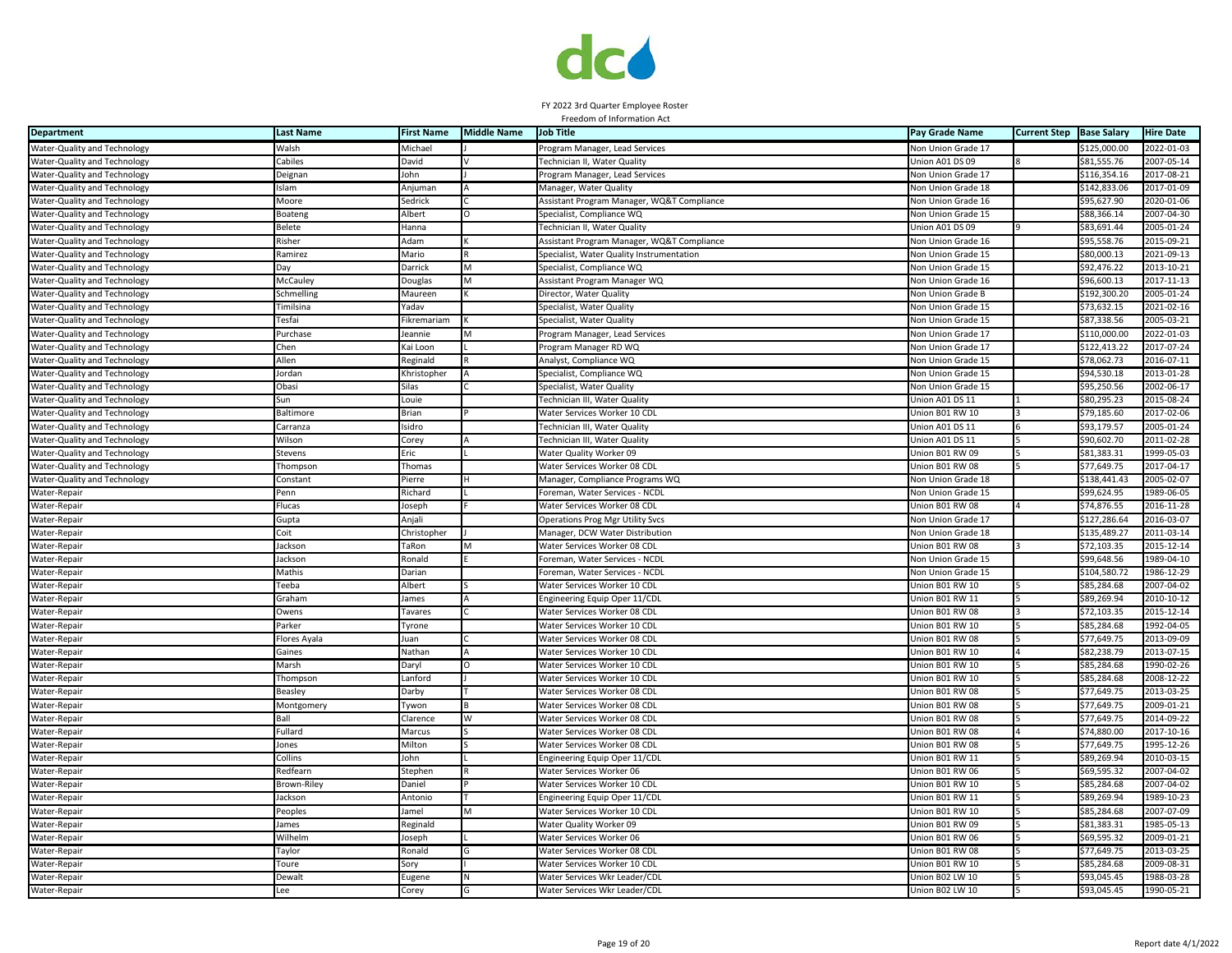

| <b>Department</b>            | <b>Last Name</b> | <b>First Name</b> | <b>Middle Name</b> | <b>Job Title</b>                           | Pay Grade Name            | <b>Current Step</b> | <b>Base Salary</b> | <b>Hire Date</b> |
|------------------------------|------------------|-------------------|--------------------|--------------------------------------------|---------------------------|---------------------|--------------------|------------------|
| Water-Quality and Technology | Walsh            | Michael           |                    | Program Manager, Lead Services             | Non Union Grade 17        |                     | \$125,000.00       | 2022-01-03       |
| Water-Quality and Technology | Cabiles          | David             |                    | Technician II, Water Quality               | Union A01 DS 09           |                     | \$81,555.76        | 2007-05-14       |
| Water-Quality and Technology | Deignan          | John              |                    | Program Manager, Lead Services             | <b>Non Union Grade 17</b> |                     | \$116,354.16       | 2017-08-21       |
| Water-Quality and Technology | Islam            | Anjuman           |                    | Manager, Water Quality                     | Non Union Grade 18        |                     | \$142,833.06       | 2017-01-09       |
| Water-Quality and Technology | Moore            | Sedrick           |                    | Assistant Program Manager, WQ&T Compliance | <b>Von Union Grade 16</b> |                     | \$95,627.90        | 2020-01-06       |
| Water-Quality and Technology | Boateng          | Albert            |                    | Specialist, Compliance WQ                  | Non Union Grade 15        |                     | \$88,366.14        | 2007-04-30       |
| Water-Quality and Technology | Belete           | Hanna             |                    | Technician II, Water Quality               | Union A01 DS 09           |                     | \$83,691.44        | 2005-01-24       |
| Water-Quality and Technology | Risher           | Adam              |                    | Assistant Program Manager, WQ&T Compliance | Non Union Grade 16        |                     | \$95,558.76        | 2015-09-21       |
| Water-Quality and Technology | Ramirez          | Mario             |                    | Specialist, Water Quality Instrumentation  | <b>Non Union Grade 15</b> |                     | \$80,000.13        | 2021-09-13       |
| Water-Quality and Technology | Dav              | Darrick           |                    | Specialist, Compliance WQ                  | <b>Jon Union Grade 15</b> |                     | \$92,476.22        | 2013-10-21       |
| Water-Quality and Technology | McCauley         | Douglas           | M                  | Assistant Program Manager WQ               | Non Union Grade 16        |                     | \$96,600.13        | 2017-11-13       |
| Water-Quality and Technology | Schmelling       | Maureen           |                    | Director, Water Quality                    | <b>Von Union Grade B</b>  |                     | \$192,300.20       | 2005-01-24       |
| Water-Quality and Technology | Timilsina        | Yadav             |                    | Specialist, Water Quality                  | <b>Non Union Grade 15</b> |                     | \$73,632.15        | 2021-02-16       |
| Water-Quality and Technology | Tesfai           | Fikremariam       |                    | Specialist, Water Quality                  | Non Union Grade 15        |                     | \$87,338.56        | 2005-03-21       |
| Water-Quality and Technology | Purchase         | Jeannie           |                    | Program Manager, Lead Services             | Non Union Grade 17        |                     | \$110,000.00       | 2022-01-03       |
| Water-Quality and Technology | Chen             | Kai Loon          |                    | Program Manager RD WQ                      | Non Union Grade 17        |                     | \$122,413.22       | 2017-07-24       |
| Water-Quality and Technology | Allen            | teginald          |                    | Analyst, Compliance WQ                     | <b>Von Union Grade 15</b> |                     | \$78,062.73        | 2016-07-11       |
| Water-Quality and Technology | Jordan           | Khristopher       |                    | Specialist, Compliance WQ                  | <b>Von Union Grade 15</b> |                     | \$94.530.18        | 2013-01-28       |
| Water-Quality and Technology | Obasi            | Silas             |                    | Specialist, Water Quality                  | <b>Von Union Grade 15</b> |                     | \$95,250.56        | 2002-06-17       |
| Water-Quality and Technology | Sun              | Louie             |                    | Technician III, Water Quality              | Jnion A01 DS 11           |                     | \$80,295.23        | 2015-08-24       |
| Water-Quality and Technology | <b>Baltimore</b> | Brian             |                    | Water Services Worker 10 CDI               | Jnion B01 RW 10           |                     | \$79,185.60        | 2017-02-06       |
| Water-Quality and Technology | Carranza         | Isidro            |                    | Technician III, Water Quality              | Jnion A01 DS 11           |                     | \$93,179.57        | 2005-01-24       |
| Water-Quality and Technology | Wilson           | Corey             |                    | Technician III, Water Quality              | Union A01 DS 11           |                     | \$90,602.70        | 2011-02-28       |
| Water-Quality and Technology | Stevens          | Eric              |                    | Water Quality Worker 09                    | Jnion B01 RW 09           |                     | \$81,383.31        | 1999-05-03       |
| Water-Quality and Technology | Thompson         | Thomas            |                    | Water Services Worker 08 CDI               | Union B01 RW 08           |                     | \$77,649.75        | 2017-04-17       |
| Water-Quality and Technology | Constant         | Pierre            |                    | Manager, Compliance Programs WQ            | <b>Non Union Grade 18</b> |                     | \$138,441.43       | 2005-02-07       |
| Water-Repair                 | Penn             | Richard           |                    | Foreman, Water Services - NCDL             | Non Union Grade 15        |                     | \$99,624.95        | 1989-06-05       |
| Water-Repair                 | Flucas           | Joseph            |                    | Water Services Worker 08 CDL               | Jnion B01 RW 08           |                     | \$74,876.55        | 2016-11-28       |
| Water-Repair                 | Gupta            | Anjali            |                    | <b>Operations Prog Mgr Utility Svcs</b>    | Non Union Grade 17        |                     | \$127,286.64       | 2016-03-07       |
| Water-Repair                 | Coit             | Christopher       |                    | Manager, DCW Water Distribution            | Non Union Grade 18        |                     | \$135,489.27       | 2011-03-14       |
| Water-Repair                 | lackson          | TaRon             |                    | Water Services Worker 08 CDL               | Union B01 RW 08           |                     | \$72,103.35        | 2015-12-14       |
| Water-Repair                 | lackson          | Ronald            |                    | Foreman, Water Services - NCDL             | Non Union Grade 15        |                     | \$99,648.56        | 1989-04-10       |
| Water-Repair                 | Mathis           | Darian            |                    | Foreman, Water Services - NCDL             | Von Union Grade 15        |                     | \$104,580.72       | 1986-12-29       |
| Water-Repair                 | Teeba            | Albert            |                    | Water Services Worker 10 CDL               | Union B01 RW 10           |                     | \$85,284.68        | 2007-04-02       |
| Water-Repair                 | Graham           | lames             |                    | Engineering Equip Oper 11/CDL              | Jnion B01 RW 11           |                     | \$89,269.94        | 2010-10-12       |
| Water-Repair                 | Owens            | Tavares           |                    | Water Services Worker 08 CDI               | Jnion B01 RW 08           |                     | \$72,103.35        | 2015-12-14       |
| Water-Repair                 | Parker           | Tyrone            |                    | Water Services Worker 10 CDL               | Jnion B01 RW 10           |                     | \$85,284.68        | 1992-04-05       |
| Water-Repair                 | Flores Ayala     | Juan              |                    | Water Services Worker 08 CDL               | Jnion B01 RW 08           |                     | \$77,649.75        | 2013-09-09       |
| Water-Repair                 | Gaines           | Nathan            |                    | Water Services Worker 10 CDL               | Union B01 RW 10           |                     | \$82,238.79        | 2013-07-15       |
| Water-Repair                 | Marsh            | Daryl             |                    | Water Services Worker 10 CDL               | Jnion B01 RW 10           |                     | \$85,284.68        | 1990-02-26       |
| Water-Repair                 | Thompson         | Lanford           |                    | Water Services Worker 10 CDL               | Jnion B01 RW 10           |                     | \$85,284.68        | 2008-12-22       |
| Water-Repair                 | Beasley          | Darby             |                    | Water Services Worker 08 CDL               | Jnion B01 RW 08           |                     | \$77,649.75        | 2013-03-25       |
| Water-Repair                 | Montgomery       | Tywon             |                    | Water Services Worker 08 CDL               | Jnion B01 RW 08           |                     | \$77,649.75        | 2009-01-21       |
| Water-Repair                 | Ball             | Clarence          |                    | Water Services Worker 08 CDL               | Jnion B01 RW 08           |                     | \$77,649.75        | 2014-09-22       |
| Water-Repair                 | Fullard          | Marcus            |                    | Water Services Worker 08 CDI               | Inion B01 RW 08           |                     | \$74,880.00        | 2017-10-16       |
| Water-Repair                 | Jones            | Milton            |                    | Water Services Worker 08 CDL               | Union B01 RW 08           |                     | \$77,649.75        | 1995-12-26       |
| Water-Repair                 | Collins          | John              |                    | Engineering Equip Oper 11/CDL              | Union B01 RW 11           |                     | \$89,269.94        | 2010-03-15       |
| Water-Repair                 | Redfearn         | Stephen           |                    | Water Services Worker 06                   | Union B01 RW 06           |                     | \$69,595.32        | 2007-04-02       |
| Water-Repair                 | Brown-Riley      | Daniel            |                    | Water Services Worker 10 CDL               | Jnion B01 RW 10           |                     | \$85,284.68        | 2007-04-02       |
| Water-Repair                 | lackson          | Antonio           |                    | Engineering Equip Oper 11/CDL              | Jnion B01 RW 11           |                     | \$89,269.94        | $1989 - 10 - 23$ |
| Water-Repair                 | Peoples          | lamel             |                    | Water Services Worker 10 CDL               | Jnion B01 RW 10           |                     | \$85,284.68        | 2007-07-09       |
| Water-Repair                 | lames            | Reginald          |                    | Water Quality Worker 09                    | Jnion B01 RW 09           |                     | \$81,383.31        | 1985-05-13       |
| Water-Repair                 | Wilhelm          | Joseph            |                    | Water Services Worker 06                   | Jnion B01 RW 06           |                     | \$69,595.32        | 2009-01-21       |
| Water-Repair                 | Taylor           | Ronald            |                    | Water Services Worker 08 CDI               | Jnion B01 RW 08           |                     | \$77,649.75        | 2013-03-25       |
| Water-Repair                 | Toure            | Sory              |                    | Water Services Worker 10 CDL               | Jnion B01 RW 10           |                     | \$85,284.68        | 2009-08-31       |
| Water-Repair                 | <b>Dewalt</b>    | Eugene            |                    | Water Services Wkr Leader/CDI              | Jnion B02 LW 10           |                     | \$93,045.45        | 1988-03-28       |
| Water-Repair                 | Lee              | Corey             |                    | Water Services Wkr Leader/CDI              | Union B02 LW 10           |                     | \$93,045.45        | 1990-05-21       |